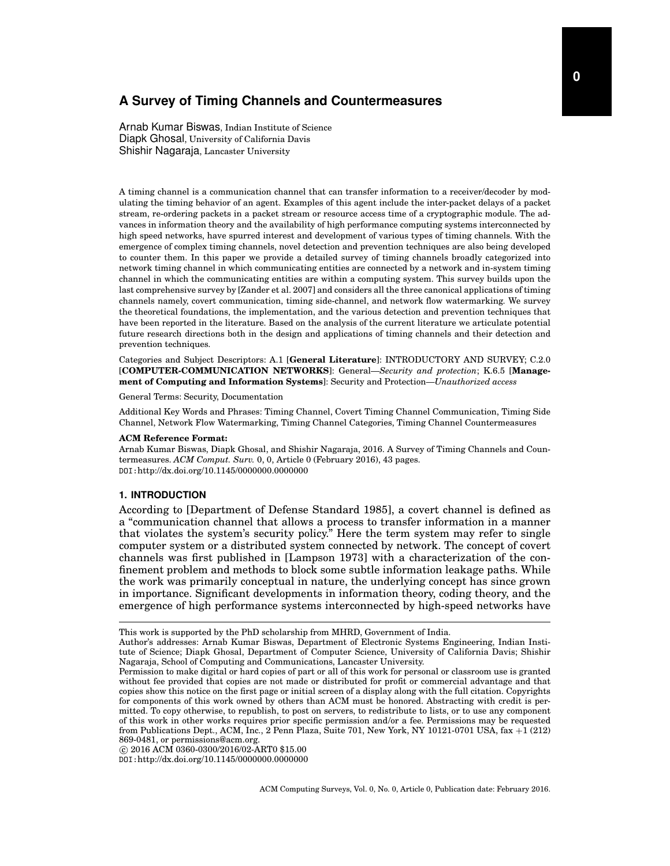Arnab Kumar Biswas, Indian Institute of Science Diapk Ghosal, University of California Davis Shishir Nagaraja, Lancaster University

A timing channel is a communication channel that can transfer information to a receiver/decoder by modulating the timing behavior of an agent. Examples of this agent include the inter-packet delays of a packet stream, re-ordering packets in a packet stream or resource access time of a cryptographic module. The advances in information theory and the availability of high performance computing systems interconnected by high speed networks, have spurred interest and development of various types of timing channels. With the emergence of complex timing channels, novel detection and prevention techniques are also being developed to counter them. In this paper we provide a detailed survey of timing channels broadly categorized into network timing channel in which communicating entities are connected by a network and in-system timing channel in which the communicating entities are within a computing system. This survey builds upon the last comprehensive survey by [Zander et al. 2007] and considers all the three canonical applications of timing channels namely, covert communication, timing side-channel, and network flow watermarking. We survey the theoretical foundations, the implementation, and the various detection and prevention techniques that have been reported in the literature. Based on the analysis of the current literature we articulate potential future research directions both in the design and applications of timing channels and their detection and prevention techniques.

Categories and Subject Descriptors: A.1 [**General Literature**]: INTRODUCTORY AND SURVEY; C.2.0 [**COMPUTER-COMMUNICATION NETWORKS**]: General—*Security and protection*; K.6.5 [**Management of Computing and Information Systems**]: Security and Protection—*Unauthorized access*

General Terms: Security, Documentation

Additional Key Words and Phrases: Timing Channel, Covert Timing Channel Communication, Timing Side Channel, Network Flow Watermarking, Timing Channel Categories, Timing Channel Countermeasures

### **ACM Reference Format:**

Arnab Kumar Biswas, Diapk Ghosal, and Shishir Nagaraja, 2016. A Survey of Timing Channels and Countermeasures. *ACM Comput. Surv.* 0, 0, Article 0 (February 2016), 43 pages. DOI:http://dx.doi.org/10.1145/0000000.0000000

## **1. INTRODUCTION**

According to [Department of Defense Standard 1985], a covert channel is defined as a "communication channel that allows a process to transfer information in a manner that violates the system's security policy." Here the term system may refer to single computer system or a distributed system connected by network. The concept of covert channels was first published in [Lampson 1973] with a characterization of the confinement problem and methods to block some subtle information leakage paths. While the work was primarily conceptual in nature, the underlying concept has since grown in importance. Significant developments in information theory, coding theory, and the emergence of high performance systems interconnected by high-speed networks have

*⃝*c 2016 ACM 0360-0300/2016/02-ART0 \$15.00

DOI:http://dx.doi.org/10.1145/0000000.0000000

This work is supported by the PhD scholarship from MHRD, Government of India.

Author's addresses: Arnab Kumar Biswas, Department of Electronic Systems Engineering, Indian Institute of Science; Diapk Ghosal, Department of Computer Science, University of California Davis; Shishir Nagaraja, School of Computing and Communications, Lancaster University.

Permission to make digital or hard copies of part or all of this work for personal or classroom use is granted without fee provided that copies are not made or distributed for profit or commercial advantage and that copies show this notice on the first page or initial screen of a display along with the full citation. Copyrights for components of this work owned by others than ACM must be honored. Abstracting with credit is permitted. To copy otherwise, to republish, to post on servers, to redistribute to lists, or to use any component of this work in other works requires prior specific permission and/or a fee. Permissions may be requested from Publications Dept., ACM, Inc., 2 Penn Plaza, Suite 701, New York, NY 10121-0701 USA, fax +1 (212) 869-0481, or permissions@acm.org.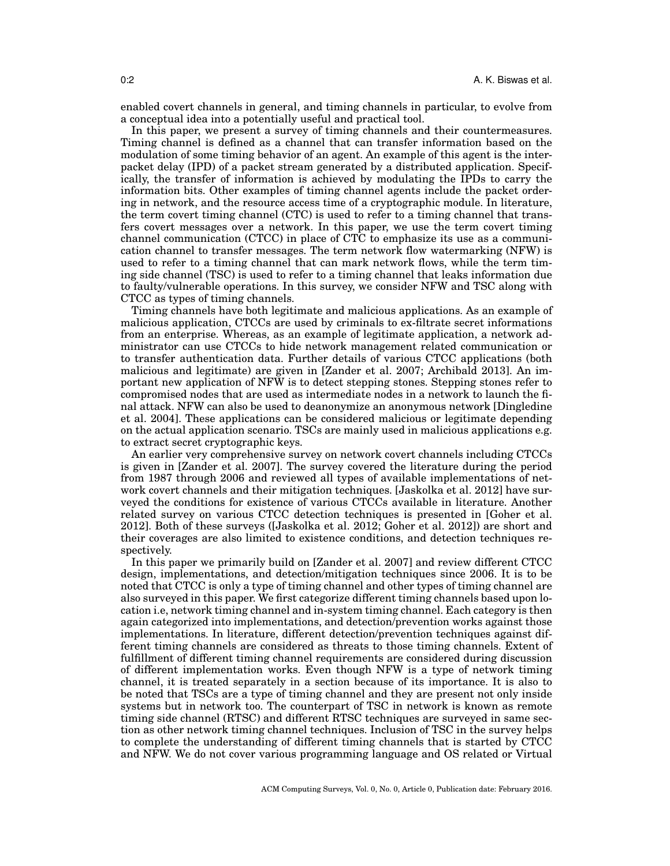enabled covert channels in general, and timing channels in particular, to evolve from a conceptual idea into a potentially useful and practical tool.

In this paper, we present a survey of timing channels and their countermeasures. Timing channel is defined as a channel that can transfer information based on the modulation of some timing behavior of an agent. An example of this agent is the interpacket delay (IPD) of a packet stream generated by a distributed application. Specifically, the transfer of information is achieved by modulating the IPDs to carry the information bits. Other examples of timing channel agents include the packet ordering in network, and the resource access time of a cryptographic module. In literature, the term covert timing channel (CTC) is used to refer to a timing channel that transfers covert messages over a network. In this paper, we use the term covert timing channel communication (CTCC) in place of CTC to emphasize its use as a communication channel to transfer messages. The term network flow watermarking (NFW) is used to refer to a timing channel that can mark network flows, while the term timing side channel (TSC) is used to refer to a timing channel that leaks information due to faulty/vulnerable operations. In this survey, we consider NFW and TSC along with CTCC as types of timing channels.

Timing channels have both legitimate and malicious applications. As an example of malicious application, CTCCs are used by criminals to ex-filtrate secret informations from an enterprise. Whereas, as an example of legitimate application, a network administrator can use CTCCs to hide network management related communication or to transfer authentication data. Further details of various CTCC applications (both malicious and legitimate) are given in [Zander et al. 2007; Archibald 2013]. An important new application of NFW is to detect stepping stones. Stepping stones refer to compromised nodes that are used as intermediate nodes in a network to launch the final attack. NFW can also be used to deanonymize an anonymous network [Dingledine et al. 2004]. These applications can be considered malicious or legitimate depending on the actual application scenario. TSCs are mainly used in malicious applications e.g. to extract secret cryptographic keys.

An earlier very comprehensive survey on network covert channels including CTCCs is given in [Zander et al. 2007]. The survey covered the literature during the period from 1987 through 2006 and reviewed all types of available implementations of network covert channels and their mitigation techniques. [Jaskolka et al. 2012] have surveyed the conditions for existence of various CTCCs available in literature. Another related survey on various CTCC detection techniques is presented in [Goher et al. 2012]. Both of these surveys ([Jaskolka et al. 2012; Goher et al. 2012]) are short and their coverages are also limited to existence conditions, and detection techniques respectively.

In this paper we primarily build on [Zander et al. 2007] and review different CTCC design, implementations, and detection/mitigation techniques since 2006. It is to be noted that CTCC is only a type of timing channel and other types of timing channel are also surveyed in this paper. We first categorize different timing channels based upon location i.e, network timing channel and in-system timing channel. Each category is then again categorized into implementations, and detection/prevention works against those implementations. In literature, different detection/prevention techniques against different timing channels are considered as threats to those timing channels. Extent of fulfillment of different timing channel requirements are considered during discussion of different implementation works. Even though NFW is a type of network timing channel, it is treated separately in a section because of its importance. It is also to be noted that TSCs are a type of timing channel and they are present not only inside systems but in network too. The counterpart of TSC in network is known as remote timing side channel (RTSC) and different RTSC techniques are surveyed in same section as other network timing channel techniques. Inclusion of TSC in the survey helps to complete the understanding of different timing channels that is started by CTCC and NFW. We do not cover various programming language and OS related or Virtual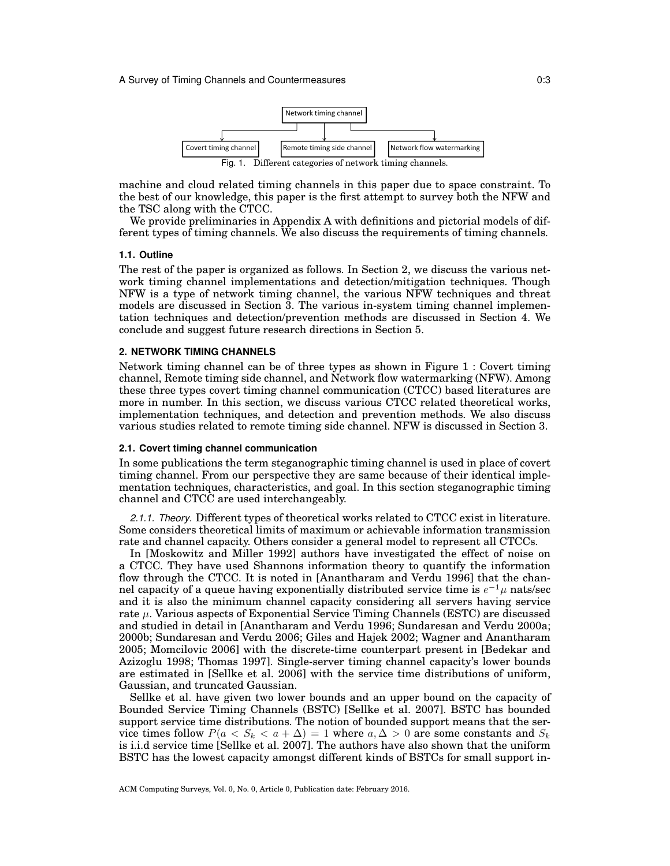

machine and cloud related timing channels in this paper due to space constraint. To the best of our knowledge, this paper is the first attempt to survey both the NFW and the TSC along with the CTCC.

We provide preliminaries in Appendix A with definitions and pictorial models of different types of timing channels. We also discuss the requirements of timing channels.

## **1.1. Outline**

The rest of the paper is organized as follows. In Section 2, we discuss the various network timing channel implementations and detection/mitigation techniques. Though NFW is a type of network timing channel, the various NFW techniques and threat models are discussed in Section  $\overline{3}$ . The various in-system timing channel implementation techniques and detection/prevention methods are discussed in Section 4. We conclude and suggest future research directions in Section 5.

### **2. NETWORK TIMING CHANNELS**

Network timing channel can be of three types as shown in Figure 1 : Covert timing channel, Remote timing side channel, and Network flow watermarking (NFW). Among these three types covert timing channel communication (CTCC) based literatures are more in number. In this section, we discuss various CTCC related theoretical works, implementation techniques, and detection and prevention methods. We also discuss various studies related to remote timing side channel. NFW is discussed in Section 3.

### **2.1. Covert timing channel communication**

In some publications the term steganographic timing channel is used in place of covert timing channel. From our perspective they are same because of their identical implementation techniques, characteristics, and goal. In this section steganographic timing channel and CTCC are used interchangeably.

*2.1.1. Theory.* Different types of theoretical works related to CTCC exist in literature. Some considers theoretical limits of maximum or achievable information transmission rate and channel capacity. Others consider a general model to represent all CTCCs.

In [Moskowitz and Miller 1992] authors have investigated the effect of noise on a CTCC. They have used Shannons information theory to quantify the information flow through the CTCC. It is noted in [Anantharam and Verdu 1996] that the channel capacity of a queue having exponentially distributed service time is *e <sup>−</sup>*<sup>1</sup>*µ* nats/sec and it is also the minimum channel capacity considering all servers having service rate *µ*. Various aspects of Exponential Service Timing Channels (ESTC) are discussed and studied in detail in [Anantharam and Verdu 1996; Sundaresan and Verdu 2000a; 2000b; Sundaresan and Verdu 2006; Giles and Hajek 2002; Wagner and Anantharam 2005; Momcilovic 2006] with the discrete-time counterpart present in [Bedekar and Azizoglu 1998; Thomas 1997]. Single-server timing channel capacity's lower bounds are estimated in [Sellke et al. 2006] with the service time distributions of uniform, Gaussian, and truncated Gaussian.

Sellke et al. have given two lower bounds and an upper bound on the capacity of Bounded Service Timing Channels (BSTC) [Sellke et al. 2007]. BSTC has bounded support service time distributions. The notion of bounded support means that the service times follow  $P(a < S_k < a + \Delta) = 1$  where  $a, \Delta > 0$  are some constants and  $S_k$ is i.i.d service time [Sellke et al. 2007]. The authors have also shown that the uniform BSTC has the lowest capacity amongst different kinds of BSTCs for small support in-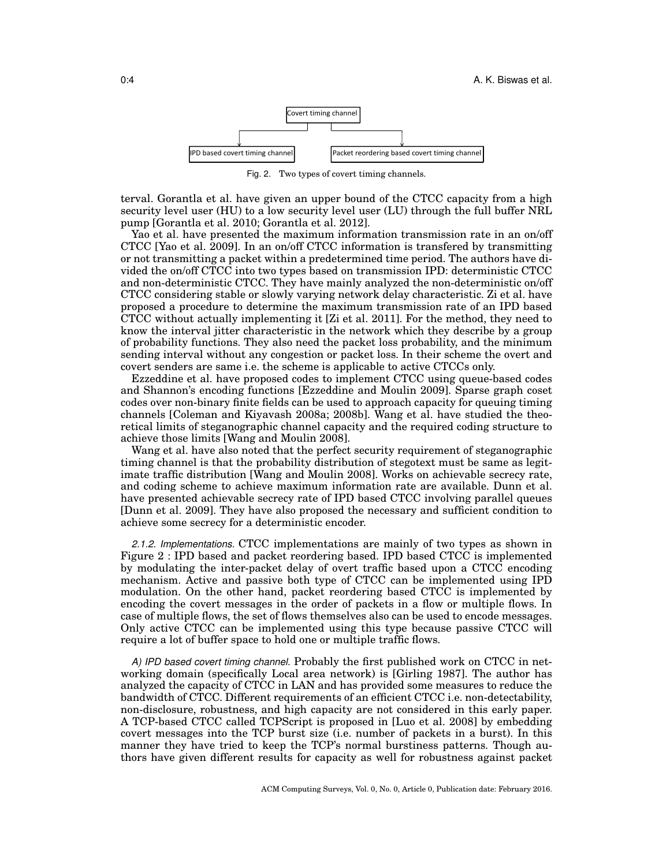

Fig. 2. Two types of covert timing channels.

terval. Gorantla et al. have given an upper bound of the CTCC capacity from a high security level user (HU) to a low security level user (LU) through the full buffer NRL pump [Gorantla et al. 2010; Gorantla et al. 2012].

Yao et al. have presented the maximum information transmission rate in an on/off CTCC [Yao et al. 2009]. In an on/off CTCC information is transfered by transmitting or not transmitting a packet within a predetermined time period. The authors have divided the on/off CTCC into two types based on transmission IPD: deterministic CTCC and non-deterministic CTCC. They have mainly analyzed the non-deterministic on/off CTCC considering stable or slowly varying network delay characteristic. Zi et al. have proposed a procedure to determine the maximum transmission rate of an IPD based CTCC without actually implementing it [Zi et al. 2011]. For the method, they need to know the interval jitter characteristic in the network which they describe by a group of probability functions. They also need the packet loss probability, and the minimum sending interval without any congestion or packet loss. In their scheme the overt and covert senders are same i.e. the scheme is applicable to active CTCCs only.

Ezzeddine et al. have proposed codes to implement CTCC using queue-based codes and Shannon's encoding functions [Ezzeddine and Moulin 2009]. Sparse graph coset codes over non-binary finite fields can be used to approach capacity for queuing timing channels [Coleman and Kiyavash 2008a; 2008b]. Wang et al. have studied the theoretical limits of steganographic channel capacity and the required coding structure to achieve those limits [Wang and Moulin 2008].

Wang et al. have also noted that the perfect security requirement of steganographic timing channel is that the probability distribution of stegotext must be same as legitimate traffic distribution [Wang and Moulin 2008]. Works on achievable secrecy rate, and coding scheme to achieve maximum information rate are available. Dunn et al. have presented achievable secrecy rate of IPD based CTCC involving parallel queues [Dunn et al. 2009]. They have also proposed the necessary and sufficient condition to achieve some secrecy for a deterministic encoder.

*2.1.2. Implementations.* CTCC implementations are mainly of two types as shown in Figure 2 : IPD based and packet reordering based. IPD based CTCC is implemented by modulating the inter-packet delay of overt traffic based upon a CTCC encoding mechanism. Active and passive both type of CTCC can be implemented using IPD modulation. On the other hand, packet reordering based CTCC is implemented by encoding the covert messages in the order of packets in a flow or multiple flows. In case of multiple flows, the set of flows themselves also can be used to encode messages. Only active CTCC can be implemented using this type because passive CTCC will require a lot of buffer space to hold one or multiple traffic flows.

*A) IPD based covert timing channel.* Probably the first published work on CTCC in networking domain (specifically Local area network) is [Girling 1987]. The author has analyzed the capacity of CTCC in LAN and has provided some measures to reduce the bandwidth of CTCC. Different requirements of an efficient CTCC i.e. non-detectability, non-disclosure, robustness, and high capacity are not considered in this early paper. A TCP-based CTCC called TCPScript is proposed in [Luo et al. 2008] by embedding covert messages into the TCP burst size (i.e. number of packets in a burst). In this manner they have tried to keep the TCP's normal burstiness patterns. Though authors have given different results for capacity as well for robustness against packet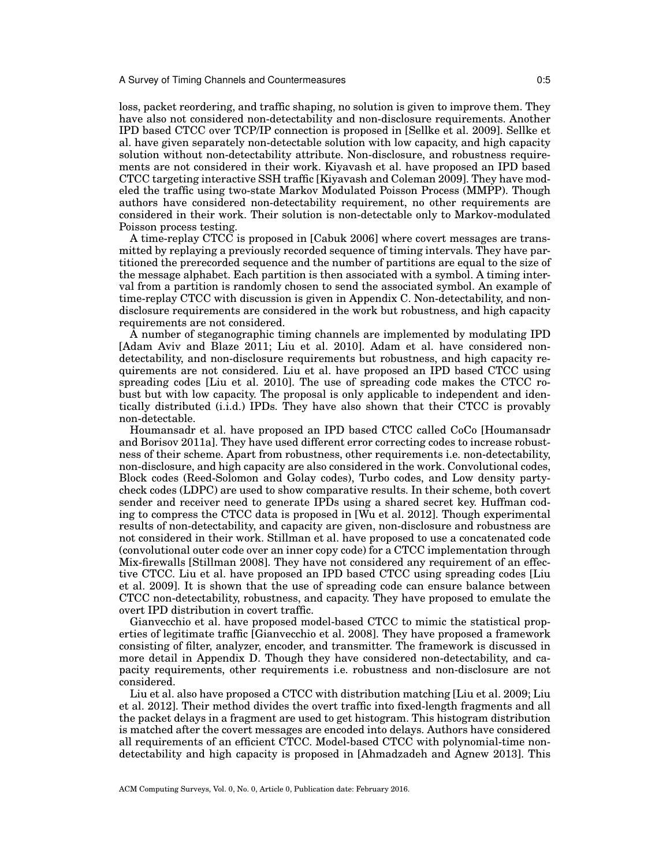loss, packet reordering, and traffic shaping, no solution is given to improve them. They have also not considered non-detectability and non-disclosure requirements. Another IPD based CTCC over TCP/IP connection is proposed in [Sellke et al. 2009]. Sellke et al. have given separately non-detectable solution with low capacity, and high capacity solution without non-detectability attribute. Non-disclosure, and robustness requirements are not considered in their work. Kiyavash et al. have proposed an IPD based CTCC targeting interactive SSH traffic [Kiyavash and Coleman 2009]. They have modeled the traffic using two-state Markov Modulated Poisson Process (MMPP). Though authors have considered non-detectability requirement, no other requirements are considered in their work. Their solution is non-detectable only to Markov-modulated Poisson process testing.

A time-replay CTCC is proposed in [Cabuk 2006] where covert messages are transmitted by replaying a previously recorded sequence of timing intervals. They have partitioned the prerecorded sequence and the number of partitions are equal to the size of the message alphabet. Each partition is then associated with a symbol. A timing interval from a partition is randomly chosen to send the associated symbol. An example of time-replay CTCC with discussion is given in Appendix C. Non-detectability, and nondisclosure requirements are considered in the work but robustness, and high capacity requirements are not considered.

A number of steganographic timing channels are implemented by modulating IPD [Adam Aviv and Blaze 2011; Liu et al. 2010]. Adam et al. have considered nondetectability, and non-disclosure requirements but robustness, and high capacity requirements are not considered. Liu et al. have proposed an IPD based CTCC using spreading codes [Liu et al. 2010]. The use of spreading code makes the CTCC robust but with low capacity. The proposal is only applicable to independent and identically distributed (i.i.d.) IPDs. They have also shown that their CTCC is provably non-detectable.

Houmansadr et al. have proposed an IPD based CTCC called CoCo [Houmansadr and Borisov 2011a]. They have used different error correcting codes to increase robustness of their scheme. Apart from robustness, other requirements i.e. non-detectability, non-disclosure, and high capacity are also considered in the work. Convolutional codes, Block codes (Reed-Solomon and Golay codes), Turbo codes, and Low density partycheck codes (LDPC) are used to show comparative results. In their scheme, both covert sender and receiver need to generate IPDs using a shared secret key. Huffman coding to compress the CTCC data is proposed in [Wu et al. 2012]. Though experimental results of non-detectability, and capacity are given, non-disclosure and robustness are not considered in their work. Stillman et al. have proposed to use a concatenated code (convolutional outer code over an inner copy code) for a CTCC implementation through Mix-firewalls [Stillman 2008]. They have not considered any requirement of an effective CTCC. Liu et al. have proposed an IPD based CTCC using spreading codes [Liu et al. 2009]. It is shown that the use of spreading code can ensure balance between CTCC non-detectability, robustness, and capacity. They have proposed to emulate the overt IPD distribution in covert traffic.

Gianvecchio et al. have proposed model-based CTCC to mimic the statistical properties of legitimate traffic [Gianvecchio et al. 2008]. They have proposed a framework consisting of filter, analyzer, encoder, and transmitter. The framework is discussed in more detail in Appendix D. Though they have considered non-detectability, and capacity requirements, other requirements i.e. robustness and non-disclosure are not considered.

Liu et al. also have proposed a CTCC with distribution matching [Liu et al. 2009; Liu et al. 2012]. Their method divides the overt traffic into fixed-length fragments and all the packet delays in a fragment are used to get histogram. This histogram distribution is matched after the covert messages are encoded into delays. Authors have considered all requirements of an efficient CTCC. Model-based CTCC with polynomial-time nondetectability and high capacity is proposed in [Ahmadzadeh and Agnew 2013]. This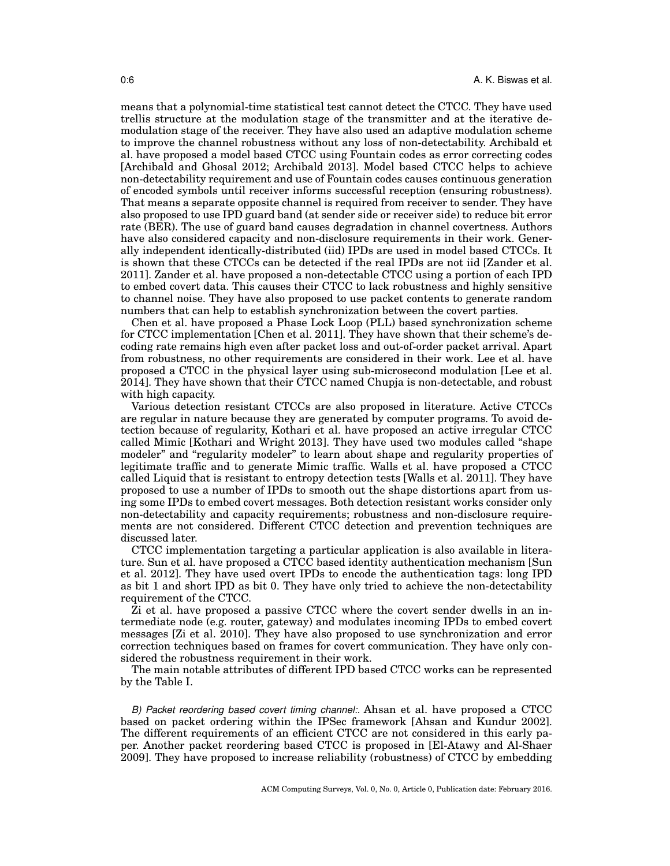means that a polynomial-time statistical test cannot detect the CTCC. They have used trellis structure at the modulation stage of the transmitter and at the iterative demodulation stage of the receiver. They have also used an adaptive modulation scheme to improve the channel robustness without any loss of non-detectability. Archibald et al. have proposed a model based CTCC using Fountain codes as error correcting codes [Archibald and Ghosal 2012; Archibald 2013]. Model based CTCC helps to achieve non-detectability requirement and use of Fountain codes causes continuous generation of encoded symbols until receiver informs successful reception (ensuring robustness). That means a separate opposite channel is required from receiver to sender. They have also proposed to use IPD guard band (at sender side or receiver side) to reduce bit error rate (BER). The use of guard band causes degradation in channel covertness. Authors have also considered capacity and non-disclosure requirements in their work. Generally independent identically-distributed (iid) IPDs are used in model based CTCCs. It is shown that these CTCCs can be detected if the real IPDs are not iid [Zander et al. 2011]. Zander et al. have proposed a non-detectable CTCC using a portion of each IPD to embed covert data. This causes their CTCC to lack robustness and highly sensitive to channel noise. They have also proposed to use packet contents to generate random numbers that can help to establish synchronization between the covert parties.

Chen et al. have proposed a Phase Lock Loop (PLL) based synchronization scheme for CTCC implementation [Chen et al. 2011]. They have shown that their scheme's decoding rate remains high even after packet loss and out-of-order packet arrival. Apart from robustness, no other requirements are considered in their work. Lee et al. have proposed a CTCC in the physical layer using sub-microsecond modulation [Lee et al. 2014]. They have shown that their CTCC named Chupja is non-detectable, and robust with high capacity.

Various detection resistant CTCCs are also proposed in literature. Active CTCCs are regular in nature because they are generated by computer programs. To avoid detection because of regularity, Kothari et al. have proposed an active irregular CTCC called Mimic [Kothari and Wright 2013]. They have used two modules called "shape modeler" and "regularity modeler" to learn about shape and regularity properties of legitimate traffic and to generate Mimic traffic. Walls et al. have proposed a CTCC called Liquid that is resistant to entropy detection tests [Walls et al. 2011]. They have proposed to use a number of IPDs to smooth out the shape distortions apart from using some IPDs to embed covert messages. Both detection resistant works consider only non-detectability and capacity requirements; robustness and non-disclosure requirements are not considered. Different CTCC detection and prevention techniques are discussed later.

CTCC implementation targeting a particular application is also available in literature. Sun et al. have proposed a CTCC based identity authentication mechanism [Sun et al. 2012]. They have used overt IPDs to encode the authentication tags: long IPD as bit 1 and short IPD as bit 0. They have only tried to achieve the non-detectability requirement of the CTCC.

Zi et al. have proposed a passive CTCC where the covert sender dwells in an intermediate node (e.g. router, gateway) and modulates incoming IPDs to embed covert messages [Zi et al. 2010]. They have also proposed to use synchronization and error correction techniques based on frames for covert communication. They have only considered the robustness requirement in their work.

The main notable attributes of different IPD based CTCC works can be represented by the Table I.

*B) Packet reordering based covert timing channel:.* Ahsan et al. have proposed a CTCC based on packet ordering within the IPSec framework [Ahsan and Kundur 2002]. The different requirements of an efficient CTCC are not considered in this early paper. Another packet reordering based CTCC is proposed in [El-Atawy and Al-Shaer 2009]. They have proposed to increase reliability (robustness) of CTCC by embedding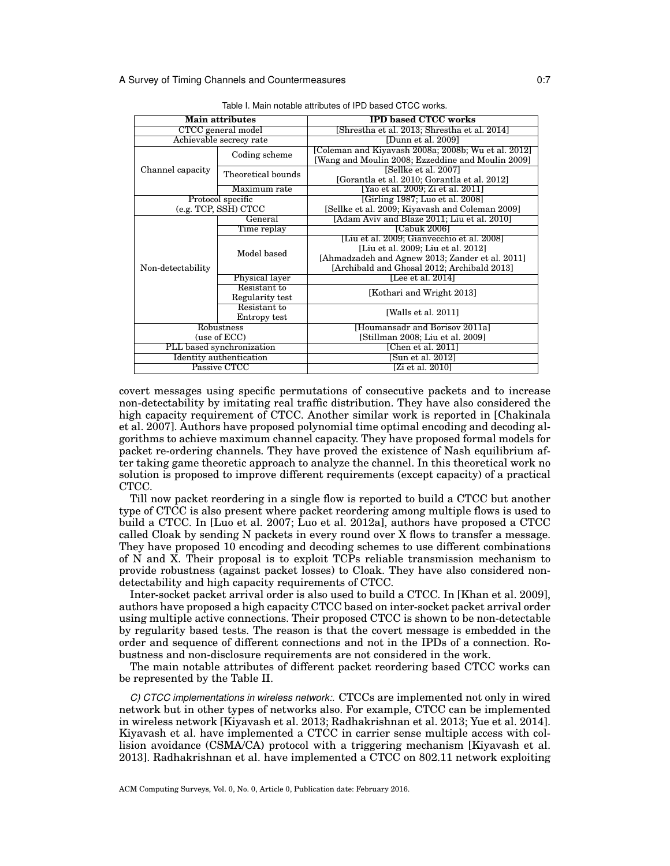| <b>Main attributes</b>    |                                 | <b>IPD based CTCC works</b>                                                                                                         |  |  |
|---------------------------|---------------------------------|-------------------------------------------------------------------------------------------------------------------------------------|--|--|
| CTCC general model        |                                 | [Shrestha et al. 2013; Shrestha et al. 2014]                                                                                        |  |  |
|                           | Achievable secrecy rate         | [Dunn et al. 2009]                                                                                                                  |  |  |
|                           | Coding scheme                   | [Coleman and Kiyavash 2008a; 2008b; Wu et al. 2012]<br>[Wang and Moulin 2008; Ezzeddine and Moulin 2009]                            |  |  |
| Channel capacity          | Theoretical bounds              | [Sellke et al. 2007]<br>[Gorantla et al. 2010; Gorantla et al. 2012]                                                                |  |  |
|                           | Maximum rate                    | [Yao et al. 2009; Zi et al. 2011]                                                                                                   |  |  |
|                           | Protocol specific               | [Girling 1987; Luo et al. 2008]                                                                                                     |  |  |
|                           | (e.g. TCP, SSH) CTCC            | [Sellke et al. 2009; Kiyavash and Coleman 2009]                                                                                     |  |  |
|                           | General                         | [Adam Aviv and Blaze 2011; Liu et al. 2010]                                                                                         |  |  |
|                           | Time replay                     | [Cabuk 2006]                                                                                                                        |  |  |
|                           | Model based                     | [Liu et al. 2009; Gianvecchio et al. 2008]<br>[Liu et al. 2009; Liu et al. 2012]<br>[Ahmadzadeh and Agnew 2013; Zander et al. 2011] |  |  |
| Non-detectability         |                                 | [Archibald and Ghosal 2012; Archibald 2013]                                                                                         |  |  |
|                           | <b>Physical layer</b>           | [Lee et al. 2014]                                                                                                                   |  |  |
|                           | Resistant to<br>Regularity test | [Kothari and Wright 2013]                                                                                                           |  |  |
|                           | Resistant to<br>Entropy test    | [Walls et al. 2011]                                                                                                                 |  |  |
| Robustness                |                                 | [Houmansadr and Borisov 2011a]                                                                                                      |  |  |
| (use of ECC)              |                                 | [Stillman 2008; Liu et al. 2009]                                                                                                    |  |  |
| PLL based synchronization |                                 | [Chen et al. 2011]                                                                                                                  |  |  |
|                           | Identity authentication         | [Sun et al. 2012]                                                                                                                   |  |  |
| Passive CTCC              |                                 | [Zi et al. 2010]                                                                                                                    |  |  |

Table I. Main notable attributes of IPD based CTCC works.

covert messages using specific permutations of consecutive packets and to increase non-detectability by imitating real traffic distribution. They have also considered the high capacity requirement of CTCC. Another similar work is reported in [Chakinala et al. 2007]. Authors have proposed polynomial time optimal encoding and decoding algorithms to achieve maximum channel capacity. They have proposed formal models for packet re-ordering channels. They have proved the existence of Nash equilibrium after taking game theoretic approach to analyze the channel. In this theoretical work no solution is proposed to improve different requirements (except capacity) of a practical CTCC.

Till now packet reordering in a single flow is reported to build a CTCC but another type of CTCC is also present where packet reordering among multiple flows is used to build a CTCC. In [Luo et al. 2007; Luo et al. 2012a], authors have proposed a CTCC called Cloak by sending N packets in every round over X flows to transfer a message. They have proposed 10 encoding and decoding schemes to use different combinations of N and X. Their proposal is to exploit TCPs reliable transmission mechanism to provide robustness (against packet losses) to Cloak. They have also considered nondetectability and high capacity requirements of CTCC.

Inter-socket packet arrival order is also used to build a CTCC. In [Khan et al. 2009], authors have proposed a high capacity CTCC based on inter-socket packet arrival order using multiple active connections. Their proposed CTCC is shown to be non-detectable by regularity based tests. The reason is that the covert message is embedded in the order and sequence of different connections and not in the IPDs of a connection. Robustness and non-disclosure requirements are not considered in the work.

The main notable attributes of different packet reordering based CTCC works can be represented by the Table II.

*C) CTCC implementations in wireless network:.* CTCCs are implemented not only in wired network but in other types of networks also. For example, CTCC can be implemented in wireless network [Kiyavash et al. 2013; Radhakrishnan et al. 2013; Yue et al. 2014]. Kiyavash et al. have implemented a CTCC in carrier sense multiple access with collision avoidance (CSMA/CA) protocol with a triggering mechanism [Kiyavash et al. 2013]. Radhakrishnan et al. have implemented a  $\text{CTCC}$  on 802.11 network exploiting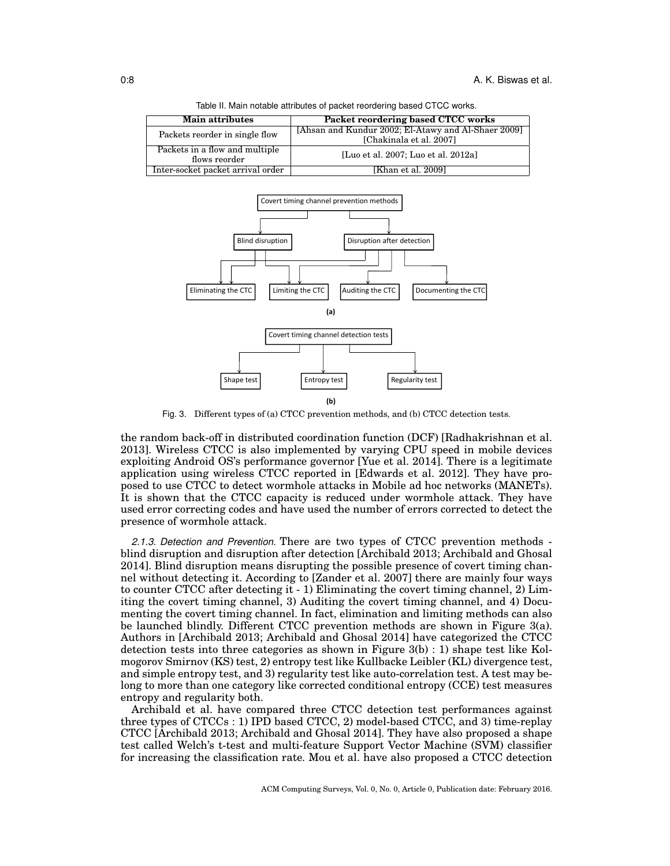| rapid in main notable attributed or packet recrucing based or oo monto. |                                                     |  |  |  |  |
|-------------------------------------------------------------------------|-----------------------------------------------------|--|--|--|--|
| <b>Main attributes</b>                                                  | Packet reordering based CTCC works                  |  |  |  |  |
| Packets reorder in single flow                                          | [Ahsan and Kundur 2002; El-Atawy and Al-Shaer 2009] |  |  |  |  |
|                                                                         | [Chakinala et al. 2007]                             |  |  |  |  |
| Packets in a flow and multiple                                          | [Luo et al. 2007; Luo et al. 2012a]                 |  |  |  |  |
| flows reorder                                                           |                                                     |  |  |  |  |
| Inter-socket packet arrival order                                       | [Khan et al. 2009]                                  |  |  |  |  |

Table II. Main notable attributes of packet reordering based CTCC works.



Fig. 3. Different types of (a) CTCC prevention methods, and (b) CTCC detection tests.

the random back-off in distributed coordination function (DCF) [Radhakrishnan et al. 2013]. Wireless CTCC is also implemented by varying CPU speed in mobile devices exploiting Android OS's performance governor [Yue et al. 2014]. There is a legitimate application using wireless CTCC reported in [Edwards et al. 2012]. They have proposed to use CTCC to detect wormhole attacks in Mobile ad hoc networks (MANETs). It is shown that the CTCC capacity is reduced under wormhole attack. They have used error correcting codes and have used the number of errors corrected to detect the presence of wormhole attack.

*2.1.3. Detection and Prevention.* There are two types of CTCC prevention methods blind disruption and disruption after detection [Archibald 2013; Archibald and Ghosal 2014]. Blind disruption means disrupting the possible presence of covert timing channel without detecting it. According to [Zander et al. 2007] there are mainly four ways to counter CTCC after detecting it - 1) Eliminating the covert timing channel, 2) Limiting the covert timing channel, 3) Auditing the covert timing channel, and 4) Documenting the covert timing channel. In fact, elimination and limiting methods can also be launched blindly. Different CTCC prevention methods are shown in Figure 3(a). Authors in [Archibald 2013; Archibald and Ghosal 2014] have categorized the CTCC detection tests into three categories as shown in Figure 3(b) : 1) shape test like Kolmogorov Smirnov (KS) test, 2) entropy test like Kullbacke Leibler (KL) divergence test, and simple entropy test, and 3) regularity test like auto-correlation test. A test may belong to more than one category like corrected conditional entropy (CCE) test measures entropy and regularity both.

Archibald et al. have compared three CTCC detection test performances against three types of CTCCs : 1) IPD based CTCC, 2) model-based CTCC, and 3) time-replay CTCC [Archibald 2013; Archibald and Ghosal 2014]. They have also proposed a shape test called Welch's t-test and multi-feature Support Vector Machine (SVM) classifier for increasing the classification rate. Mou et al. have also proposed a CTCC detection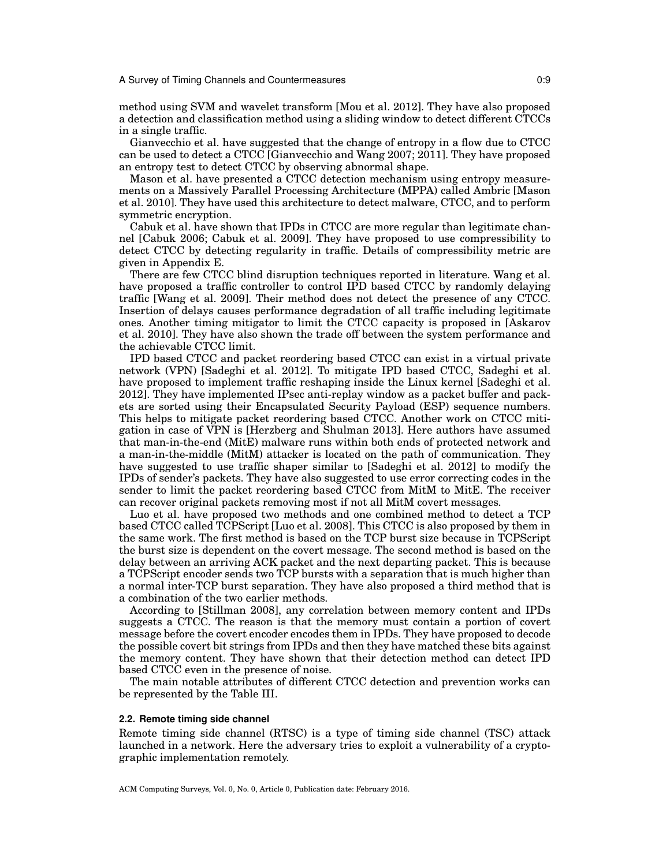method using SVM and wavelet transform [Mou et al. 2012]. They have also proposed a detection and classification method using a sliding window to detect different CTCCs in a single traffic.

Gianvecchio et al. have suggested that the change of entropy in a flow due to CTCC can be used to detect a CTCC [Gianvecchio and Wang 2007; 2011]. They have proposed an entropy test to detect CTCC by observing abnormal shape.

Mason et al. have presented a CTCC detection mechanism using entropy measurements on a Massively Parallel Processing Architecture (MPPA) called Ambric [Mason et al. 2010]. They have used this architecture to detect malware, CTCC, and to perform symmetric encryption.

Cabuk et al. have shown that IPDs in CTCC are more regular than legitimate channel [Cabuk 2006; Cabuk et al. 2009]. They have proposed to use compressibility to detect CTCC by detecting regularity in traffic. Details of compressibility metric are given in Appendix E.

There are few CTCC blind disruption techniques reported in literature. Wang et al. have proposed a traffic controller to control IPD based CTCC by randomly delaying traffic [Wang et al. 2009]. Their method does not detect the presence of any CTCC. Insertion of delays causes performance degradation of all traffic including legitimate ones. Another timing mitigator to limit the CTCC capacity is proposed in [Askarov et al. 2010]. They have also shown the trade off between the system performance and the achievable CTCC limit.

IPD based CTCC and packet reordering based CTCC can exist in a virtual private network (VPN) [Sadeghi et al. 2012]. To mitigate IPD based CTCC, Sadeghi et al. have proposed to implement traffic reshaping inside the Linux kernel [Sadeghi et al. 2012]. They have implemented IPsec anti-replay window as a packet buffer and packets are sorted using their Encapsulated Security Payload (ESP) sequence numbers. This helps to mitigate packet reordering based CTCC. Another work on CTCC mitigation in case of VPN is [Herzberg and Shulman 2013]. Here authors have assumed that man-in-the-end (MitE) malware runs within both ends of protected network and a man-in-the-middle (MitM) attacker is located on the path of communication. They have suggested to use traffic shaper similar to [Sadeghi et al. 2012] to modify the IPDs of sender's packets. They have also suggested to use error correcting codes in the sender to limit the packet reordering based CTCC from MitM to MitE. The receiver can recover original packets removing most if not all MitM covert messages.

Luo et al. have proposed two methods and one combined method to detect a TCP based CTCC called TCPScript [Luo et al. 2008]. This CTCC is also proposed by them in the same work. The first method is based on the TCP burst size because in TCPScript the burst size is dependent on the covert message. The second method is based on the delay between an arriving ACK packet and the next departing packet. This is because a TCPScript encoder sends two TCP bursts with a separation that is much higher than a normal inter-TCP burst separation. They have also proposed a third method that is a combination of the two earlier methods.

According to [Stillman 2008], any correlation between memory content and IPDs suggests a CTCC. The reason is that the memory must contain a portion of covert message before the covert encoder encodes them in IPDs. They have proposed to decode the possible covert bit strings from IPDs and then they have matched these bits against the memory content. They have shown that their detection method can detect IPD based CTCC even in the presence of noise.

The main notable attributes of different CTCC detection and prevention works can be represented by the Table III.

### **2.2. Remote timing side channel**

Remote timing side channel (RTSC) is a type of timing side channel (TSC) attack launched in a network. Here the adversary tries to exploit a vulnerability of a cryptographic implementation remotely.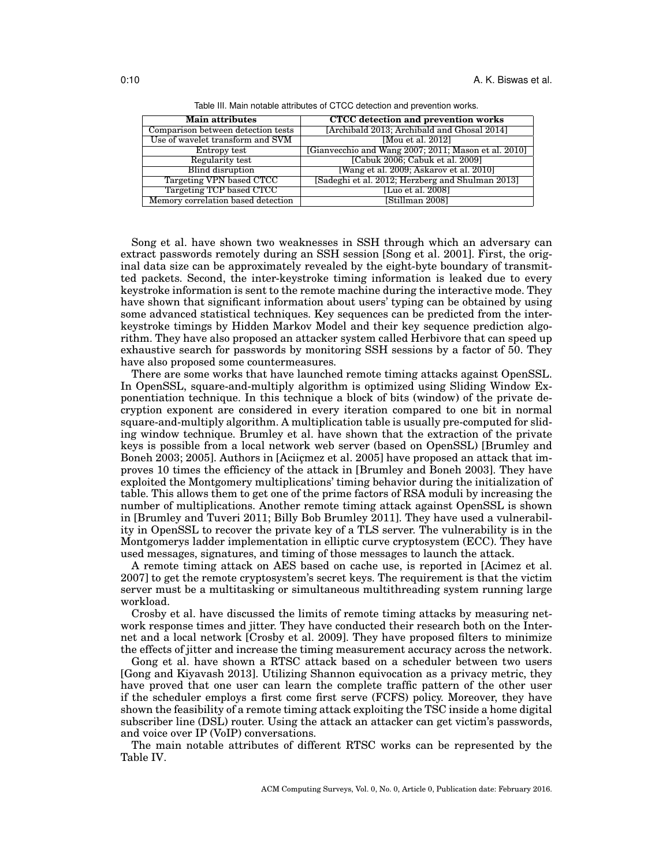| <b>Main attributes</b>             | <b>CTCC</b> detection and prevention works           |
|------------------------------------|------------------------------------------------------|
| Comparison between detection tests | [Archibald 2013; Archibald and Ghosal 2014]          |
| Use of wavelet transform and SVM   | [Mou et al. 2012]                                    |
| Entropy test                       | [Gianvecchio and Wang 2007; 2011; Mason et al. 2010] |
| Regularity test                    | [Cabuk 2006; Cabuk et al. 2009]                      |
| <b>Blind disruption</b>            | [Wang et al. 2009; Askarov et al. 2010]              |
| <b>Targeting VPN based CTCC</b>    | [Sadeghi et al. 2012; Herzberg and Shulman 2013]     |
| Targeting TCP based CTCC           | [Luo et al. 2008]                                    |
| Memory correlation based detection | [Stillman 2008]                                      |

Table III. Main notable attributes of CTCC detection and prevention works.

Song et al. have shown two weaknesses in SSH through which an adversary can extract passwords remotely during an SSH session [Song et al. 2001]. First, the original data size can be approximately revealed by the eight-byte boundary of transmitted packets. Second, the inter-keystroke timing information is leaked due to every keystroke information is sent to the remote machine during the interactive mode. They have shown that significant information about users' typing can be obtained by using some advanced statistical techniques. Key sequences can be predicted from the interkeystroke timings by Hidden Markov Model and their key sequence prediction algorithm. They have also proposed an attacker system called Herbivore that can speed up exhaustive search for passwords by monitoring SSH sessions by a factor of 50. They have also proposed some countermeasures.

There are some works that have launched remote timing attacks against OpenSSL. In OpenSSL, square-and-multiply algorithm is optimized using Sliding Window Exponentiation technique. In this technique a block of bits (window) of the private decryption exponent are considered in every iteration compared to one bit in normal square-and-multiply algorithm. A multiplication table is usually pre-computed for sliding window technique. Brumley et al. have shown that the extraction of the private keys is possible from a local network web server (based on OpenSSL) [Brumley and Boneh 2003; 2005]. Authors in [Aciic mez et al. 2005] have proposed an attack that improves 10 times the efficiency of the attack in [Brumley and Boneh 2003]. They have exploited the Montgomery multiplications' timing behavior during the initialization of table. This allows them to get one of the prime factors of RSA moduli by increasing the number of multiplications. Another remote timing attack against OpenSSL is shown in [Brumley and Tuveri 2011; Billy Bob Brumley 2011]. They have used a vulnerability in OpenSSL to recover the private key of a TLS server. The vulnerability is in the Montgomerys ladder implementation in elliptic curve cryptosystem (ECC). They have used messages, signatures, and timing of those messages to launch the attack.

A remote timing attack on AES based on cache use, is reported in [Acimez et al. 2007] to get the remote cryptosystem's secret keys. The requirement is that the victim server must be a multitasking or simultaneous multithreading system running large workload.

Crosby et al. have discussed the limits of remote timing attacks by measuring network response times and jitter. They have conducted their research both on the Internet and a local network [Crosby et al. 2009]. They have proposed filters to minimize the effects of jitter and increase the timing measurement accuracy across the network.

Gong et al. have shown a RTSC attack based on a scheduler between two users [Gong and Kiyavash 2013]. Utilizing Shannon equivocation as a privacy metric, they have proved that one user can learn the complete traffic pattern of the other user if the scheduler employs a first come first serve (FCFS) policy. Moreover, they have shown the feasibility of a remote timing attack exploiting the TSC inside a home digital subscriber line (DSL) router. Using the attack an attacker can get victim's passwords, and voice over IP (VoIP) conversations.

The main notable attributes of different RTSC works can be represented by the Table IV.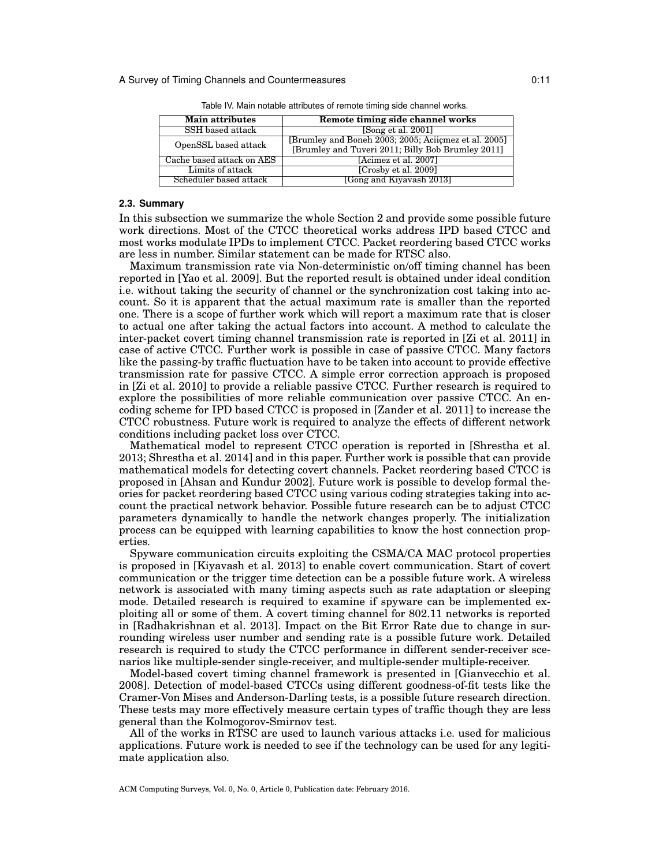| <b>Main attributes</b>    | Remote timing side channel works                     |  |  |
|---------------------------|------------------------------------------------------|--|--|
| SSH based attack          | [Song et al. 2001]                                   |  |  |
| OpenSSL based attack      | [Brumley and Boneh 2003; 2005; Aciicmez et al. 2005] |  |  |
|                           | [Brumley and Tuveri 2011; Billy Bob Brumley 2011]    |  |  |
| Cache based attack on AES | [Acimez et al. 2007]                                 |  |  |
| Limits of attack          | [Crosby et al. 2009]                                 |  |  |
| Scheduler based attack    | [Gong and Kiyayash 2013]                             |  |  |

Table IV. Main notable attributes of remote timing side channel works.

### **2.3. Summary**

In this subsection we summarize the whole Section 2 and provide some possible future work directions. Most of the CTCC theoretical works address IPD based CTCC and most works modulate IPDs to implement CTCC. Packet reordering based CTCC works are less in number. Similar statement can be made for RTSC also.

Maximum transmission rate via Non-deterministic on/off timing channel has been reported in [Yao et al. 2009]. But the reported result is obtained under ideal condition i.e. without taking the security of channel or the synchronization cost taking into account. So it is apparent that the actual maximum rate is smaller than the reported one. There is a scope of further work which will report a maximum rate that is closer to actual one after taking the actual factors into account. A method to calculate the inter-packet covert timing channel transmission rate is reported in [Zi et al. 2011] in case of active CTCC. Further work is possible in case of passive CTCC. Many factors like the passing-by traffic fluctuation have to be taken into account to provide effective transmission rate for passive CTCC. A simple error correction approach is proposed in [Zi et al. 2010] to provide a reliable passive CTCC. Further research is required to explore the possibilities of more reliable communication over passive CTCC. An encoding scheme for IPD based CTCC is proposed in [Zander et al. 2011] to increase the CTCC robustness. Future work is required to analyze the effects of different network conditions including packet loss over CTCC.

Mathematical model to represent CTCC operation is reported in [Shrestha et al. 2013; Shrestha et al. 2014] and in this paper. Further work is possible that can provide mathematical models for detecting covert channels. Packet reordering based CTCC is proposed in [Ahsan and Kundur 2002]. Future work is possible to develop formal theories for packet reordering based CTCC using various coding strategies taking into account the practical network behavior. Possible future research can be to adjust CTCC parameters dynamically to handle the network changes properly. The initialization process can be equipped with learning capabilities to know the host connection properties.

Spyware communication circuits exploiting the CSMA/CA MAC protocol properties is proposed in [Kiyavash et al. 2013] to enable covert communication. Start of covert communication or the trigger time detection can be a possible future work. A wireless network is associated with many timing aspects such as rate adaptation or sleeping mode. Detailed research is required to examine if spyware can be implemented exploiting all or some of them. A covert timing channel for 802.11 networks is reported in [Radhakrishnan et al. 2013]. Impact on the Bit Error Rate due to change in surrounding wireless user number and sending rate is a possible future work. Detailed research is required to study the CTCC performance in different sender-receiver scenarios like multiple-sender single-receiver, and multiple-sender multiple-receiver.

Model-based covert timing channel framework is presented in [Gianvecchio et al. 2008]. Detection of model-based CTCCs using different goodness-of-fit tests like the Cramer-Von Mises and Anderson-Darling tests, is a possible future research direction. These tests may more effectively measure certain types of traffic though they are less general than the Kolmogorov-Smirnov test.

All of the works in RTSC are used to launch various attacks i.e. used for malicious applications. Future work is needed to see if the technology can be used for any legitimate application also.

ACM Computing Surveys, Vol. 0, No. 0, Article 0, Publication date: February 2016.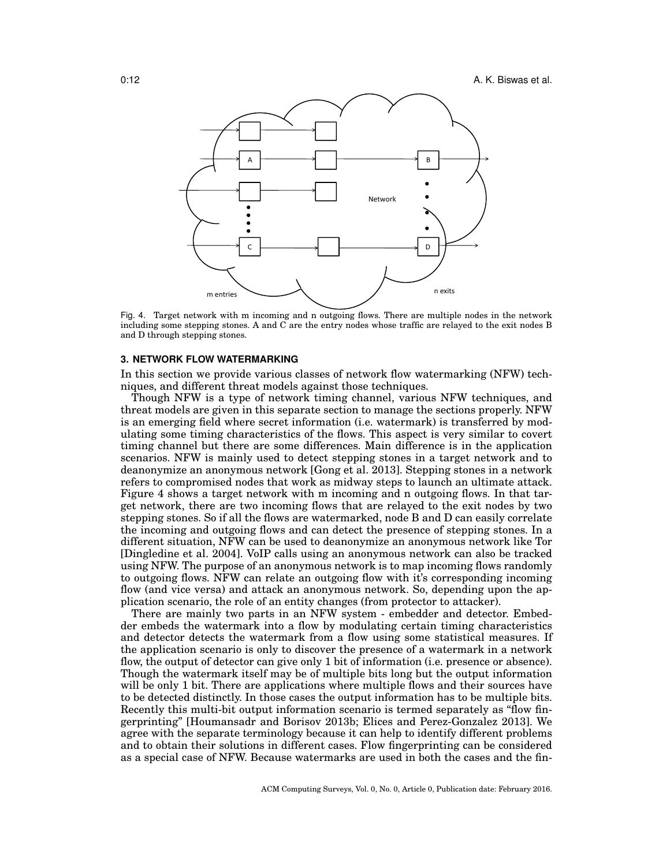

Fig. 4. Target network with m incoming and n outgoing flows. There are multiple nodes in the network including some stepping stones. A and C are the entry nodes whose traffic are relayed to the exit nodes B and D through stepping stones.

### **3. NETWORK FLOW WATERMARKING**

In this section we provide various classes of network flow watermarking (NFW) techniques, and different threat models against those techniques.

Though NFW is a type of network timing channel, various NFW techniques, and threat models are given in this separate section to manage the sections properly. NFW is an emerging field where secret information (i.e. watermark) is transferred by modulating some timing characteristics of the flows. This aspect is very similar to covert timing channel but there are some differences. Main difference is in the application scenarios. NFW is mainly used to detect stepping stones in a target network and to deanonymize an anonymous network [Gong et al. 2013]. Stepping stones in a network refers to compromised nodes that work as midway steps to launch an ultimate attack. Figure 4 shows a target network with m incoming and n outgoing flows. In that target network, there are two incoming flows that are relayed to the exit nodes by two stepping stones. So if all the flows are watermarked, node B and D can easily correlate the incoming and outgoing flows and can detect the presence of stepping stones. In a different situation, NFW can be used to deanonymize an anonymous network like Tor [Dingledine et al. 2004]. VoIP calls using an anonymous network can also be tracked using NFW. The purpose of an anonymous network is to map incoming flows randomly to outgoing flows. NFW can relate an outgoing flow with it's corresponding incoming flow (and vice versa) and attack an anonymous network. So, depending upon the application scenario, the role of an entity changes (from protector to attacker).

There are mainly two parts in an NFW system - embedder and detector. Embedder embeds the watermark into a flow by modulating certain timing characteristics and detector detects the watermark from a flow using some statistical measures. If the application scenario is only to discover the presence of a watermark in a network flow, the output of detector can give only 1 bit of information (i.e. presence or absence). Though the watermark itself may be of multiple bits long but the output information will be only 1 bit. There are applications where multiple flows and their sources have to be detected distinctly. In those cases the output information has to be multiple bits. Recently this multi-bit output information scenario is termed separately as "flow fingerprinting" [Houmansadr and Borisov 2013b; Elices and Perez-Gonzalez 2013]. We agree with the separate terminology because it can help to identify different problems and to obtain their solutions in different cases. Flow fingerprinting can be considered as a special case of NFW. Because watermarks are used in both the cases and the fin-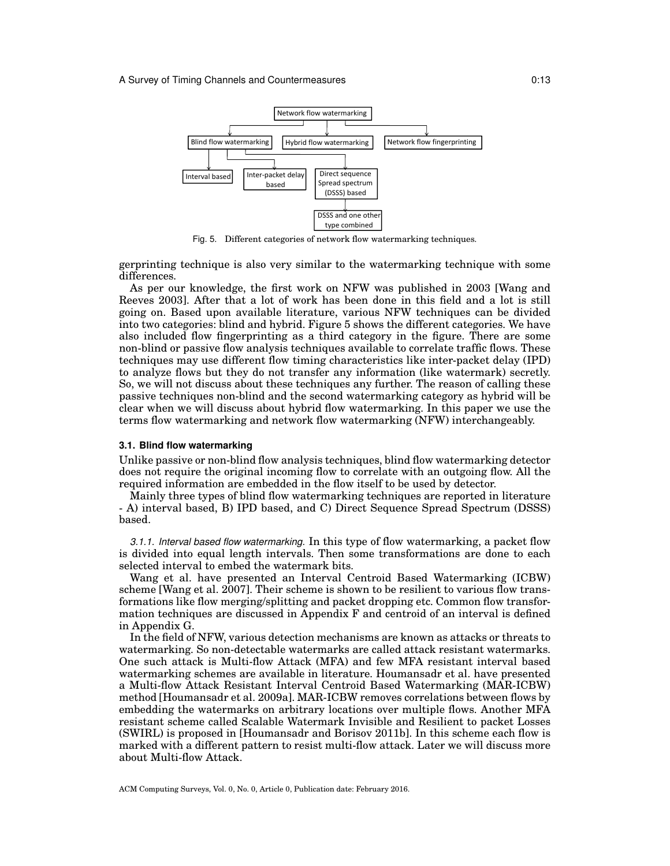

Fig. 5. Different categories of network flow watermarking techniques.

gerprinting technique is also very similar to the watermarking technique with some differences.

As per our knowledge, the first work on NFW was published in 2003 [Wang and Reeves 2003]. After that a lot of work has been done in this field and a lot is still going on. Based upon available literature, various NFW techniques can be divided into two categories: blind and hybrid. Figure 5 shows the different categories. We have also included flow fingerprinting as a third category in the figure. There are some non-blind or passive flow analysis techniques available to correlate traffic flows. These techniques may use different flow timing characteristics like inter-packet delay (IPD) to analyze flows but they do not transfer any information (like watermark) secretly. So, we will not discuss about these techniques any further. The reason of calling these passive techniques non-blind and the second watermarking category as hybrid will be clear when we will discuss about hybrid flow watermarking. In this paper we use the terms flow watermarking and network flow watermarking (NFW) interchangeably.

## **3.1. Blind flow watermarking**

Unlike passive or non-blind flow analysis techniques, blind flow watermarking detector does not require the original incoming flow to correlate with an outgoing flow. All the required information are embedded in the flow itself to be used by detector.

Mainly three types of blind flow watermarking techniques are reported in literature - A) interval based, B) IPD based, and C) Direct Sequence Spread Spectrum (DSSS) based.

*3.1.1. Interval based flow watermarking.* In this type of flow watermarking, a packet flow is divided into equal length intervals. Then some transformations are done to each selected interval to embed the watermark bits.

Wang et al. have presented an Interval Centroid Based Watermarking (ICBW) scheme [Wang et al. 2007]. Their scheme is shown to be resilient to various flow transformations like flow merging/splitting and packet dropping etc. Common flow transformation techniques are discussed in Appendix F and centroid of an interval is defined in Appendix G.

In the field of NFW, various detection mechanisms are known as attacks or threats to watermarking. So non-detectable watermarks are called attack resistant watermarks. One such attack is Multi-flow Attack (MFA) and few MFA resistant interval based watermarking schemes are available in literature. Houmansadr et al. have presented a Multi-flow Attack Resistant Interval Centroid Based Watermarking (MAR-ICBW) method [Houmansadr et al. 2009a]. MAR-ICBW removes correlations between flows by embedding the watermarks on arbitrary locations over multiple flows. Another MFA resistant scheme called Scalable Watermark Invisible and Resilient to packet Losses (SWIRL) is proposed in [Houmansadr and Borisov 2011b]. In this scheme each flow is marked with a different pattern to resist multi-flow attack. Later we will discuss more about Multi-flow Attack.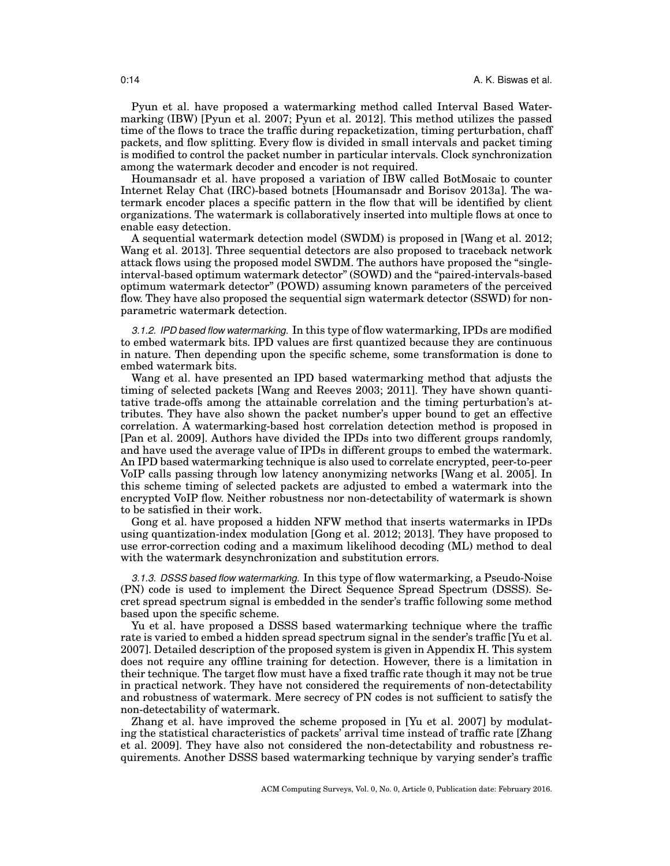Pyun et al. have proposed a watermarking method called Interval Based Watermarking (IBW) [Pyun et al. 2007; Pyun et al. 2012]. This method utilizes the passed time of the flows to trace the traffic during repacketization, timing perturbation, chaff packets, and flow splitting. Every flow is divided in small intervals and packet timing is modified to control the packet number in particular intervals. Clock synchronization among the watermark decoder and encoder is not required.

Houmansadr et al. have proposed a variation of IBW called BotMosaic to counter Internet Relay Chat (IRC)-based botnets [Houmansadr and Borisov 2013a]. The watermark encoder places a specific pattern in the flow that will be identified by client organizations. The watermark is collaboratively inserted into multiple flows at once to enable easy detection.

A sequential watermark detection model (SWDM) is proposed in [Wang et al. 2012; Wang et al. 2013]. Three sequential detectors are also proposed to traceback network attack flows using the proposed model SWDM. The authors have proposed the "singleinterval-based optimum watermark detector" (SOWD) and the "paired-intervals-based optimum watermark detector" (POWD) assuming known parameters of the perceived flow. They have also proposed the sequential sign watermark detector (SSWD) for nonparametric watermark detection.

*3.1.2. IPD based flow watermarking.* In this type of flow watermarking, IPDs are modified to embed watermark bits. IPD values are first quantized because they are continuous in nature. Then depending upon the specific scheme, some transformation is done to embed watermark bits.

Wang et al. have presented an IPD based watermarking method that adjusts the timing of selected packets [Wang and Reeves 2003; 2011]. They have shown quantitative trade-offs among the attainable correlation and the timing perturbation's attributes. They have also shown the packet number's upper bound to get an effective correlation. A watermarking-based host correlation detection method is proposed in [Pan et al. 2009]. Authors have divided the IPDs into two different groups randomly, and have used the average value of IPDs in different groups to embed the watermark. An IPD based watermarking technique is also used to correlate encrypted, peer-to-peer VoIP calls passing through low latency anonymizing networks [Wang et al. 2005]. In this scheme timing of selected packets are adjusted to embed a watermark into the encrypted VoIP flow. Neither robustness nor non-detectability of watermark is shown to be satisfied in their work.

Gong et al. have proposed a hidden NFW method that inserts watermarks in IPDs using quantization-index modulation [Gong et al. 2012; 2013]. They have proposed to use error-correction coding and a maximum likelihood decoding (ML) method to deal with the watermark desynchronization and substitution errors.

*3.1.3. DSSS based flow watermarking.* In this type of flow watermarking, a Pseudo-Noise (PN) code is used to implement the Direct Sequence Spread Spectrum (DSSS). Secret spread spectrum signal is embedded in the sender's traffic following some method based upon the specific scheme.

Yu et al. have proposed a DSSS based watermarking technique where the traffic rate is varied to embed a hidden spread spectrum signal in the sender's traffic [Yu et al. 2007]. Detailed description of the proposed system is given in Appendix H. This system does not require any offline training for detection. However, there is a limitation in their technique. The target flow must have a fixed traffic rate though it may not be true in practical network. They have not considered the requirements of non-detectability and robustness of watermark. Mere secrecy of PN codes is not sufficient to satisfy the non-detectability of watermark.

Zhang et al. have improved the scheme proposed in [Yu et al. 2007] by modulating the statistical characteristics of packets' arrival time instead of traffic rate [Zhang et al. 2009]. They have also not considered the non-detectability and robustness requirements. Another DSSS based watermarking technique by varying sender's traffic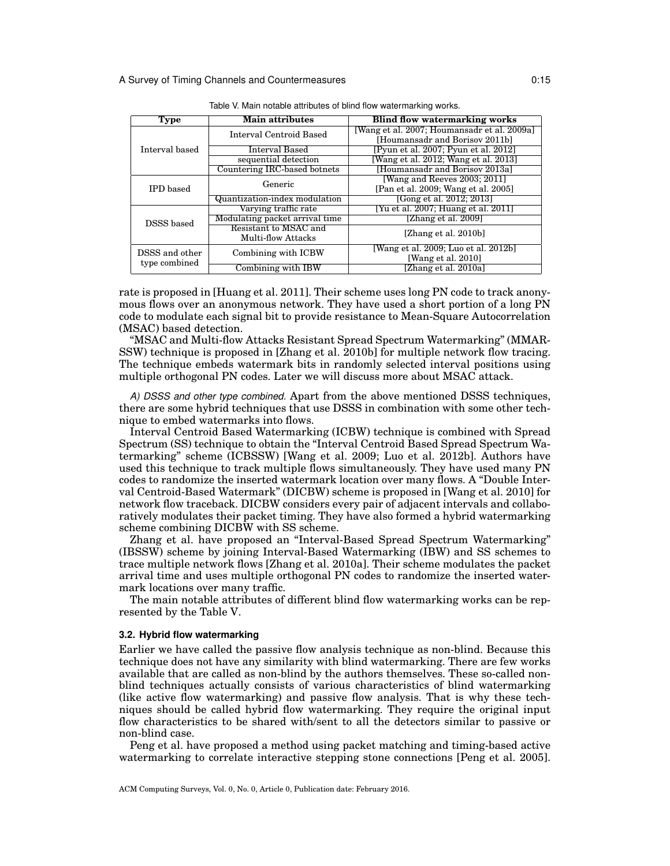| Type             | <b>Main attributes</b>         | <b>Blind flow watermarking works</b>        |  |  |
|------------------|--------------------------------|---------------------------------------------|--|--|
|                  | Interval Centroid Based        | [Wang et al. 2007; Houmansadr et al. 2009a] |  |  |
|                  |                                | [Houmansadr and Borisov 2011b]              |  |  |
| Interval based   | Interval Based                 | [Pyun et al. 2007; Pyun et al. 2012]        |  |  |
|                  | sequential detection           | [Wang et al. 2012; Wang et al. 2013]        |  |  |
|                  | Countering IRC-based botnets   | [Houmansadr and Borisov 2013a]              |  |  |
|                  | Generic                        | [Wang and Reeves 2003; 2011]                |  |  |
| <b>IPD</b> based |                                | [Pan et al. 2009; Wang et al. 2005]         |  |  |
|                  | Quantization-index modulation  | [Gong et al. 2012; 2013]                    |  |  |
|                  | Varying traffic rate           | [Yu et al. 2007; Huang et al. 2011]         |  |  |
| DSSS based       | Modulating packet arrival time | [Zhang et al. 2009]                         |  |  |
|                  | Resistant to MSAC and          | [Zhang et al. 2010b]                        |  |  |
|                  | <b>Multi-flow Attacks</b>      |                                             |  |  |
| DSSS and other   | Combining with ICBW            | [Wang et al. 2009; Luo et al. 2012b]        |  |  |
| type combined    |                                | [Wang et al. 2010]                          |  |  |
|                  | Combining with IBW             | [Zhang et al. 2010a]                        |  |  |

|  |  |  | Table V. Main notable attributes of blind flow watermarking works. |  |  |  |  |  |  |  |
|--|--|--|--------------------------------------------------------------------|--|--|--|--|--|--|--|
|--|--|--|--------------------------------------------------------------------|--|--|--|--|--|--|--|

rate is proposed in [Huang et al. 2011]. Their scheme uses long PN code to track anonymous flows over an anonymous network. They have used a short portion of a long PN code to modulate each signal bit to provide resistance to Mean-Square Autocorrelation (MSAC) based detection.

"MSAC and Multi-flow Attacks Resistant Spread Spectrum Watermarking" (MMAR-SSW) technique is proposed in [Zhang et al. 2010b] for multiple network flow tracing. The technique embeds watermark bits in randomly selected interval positions using multiple orthogonal PN codes. Later we will discuss more about MSAC attack.

*A) DSSS and other type combined.* Apart from the above mentioned DSSS techniques, there are some hybrid techniques that use DSSS in combination with some other technique to embed watermarks into flows.

Interval Centroid Based Watermarking (ICBW) technique is combined with Spread Spectrum (SS) technique to obtain the "Interval Centroid Based Spread Spectrum Watermarking" scheme (ICBSSW) [Wang et al. 2009; Luo et al. 2012b]. Authors have used this technique to track multiple flows simultaneously. They have used many PN codes to randomize the inserted watermark location over many flows. A "Double Interval Centroid-Based Watermark" (DICBW) scheme is proposed in [Wang et al. 2010] for network flow traceback. DICBW considers every pair of adjacent intervals and collaboratively modulates their packet timing. They have also formed a hybrid watermarking scheme combining DICBW with SS scheme.

Zhang et al. have proposed an "Interval-Based Spread Spectrum Watermarking" (IBSSW) scheme by joining Interval-Based Watermarking (IBW) and SS schemes to trace multiple network flows [Zhang et al. 2010a]. Their scheme modulates the packet arrival time and uses multiple orthogonal PN codes to randomize the inserted watermark locations over many traffic.

The main notable attributes of different blind flow watermarking works can be represented by the Table V.

### **3.2. Hybrid flow watermarking**

Earlier we have called the passive flow analysis technique as non-blind. Because this technique does not have any similarity with blind watermarking. There are few works available that are called as non-blind by the authors themselves. These so-called nonblind techniques actually consists of various characteristics of blind watermarking (like active flow watermarking) and passive flow analysis. That is why these techniques should be called hybrid flow watermarking. They require the original input flow characteristics to be shared with/sent to all the detectors similar to passive or non-blind case.

Peng et al. have proposed a method using packet matching and timing-based active watermarking to correlate interactive stepping stone connections [Peng et al. 2005].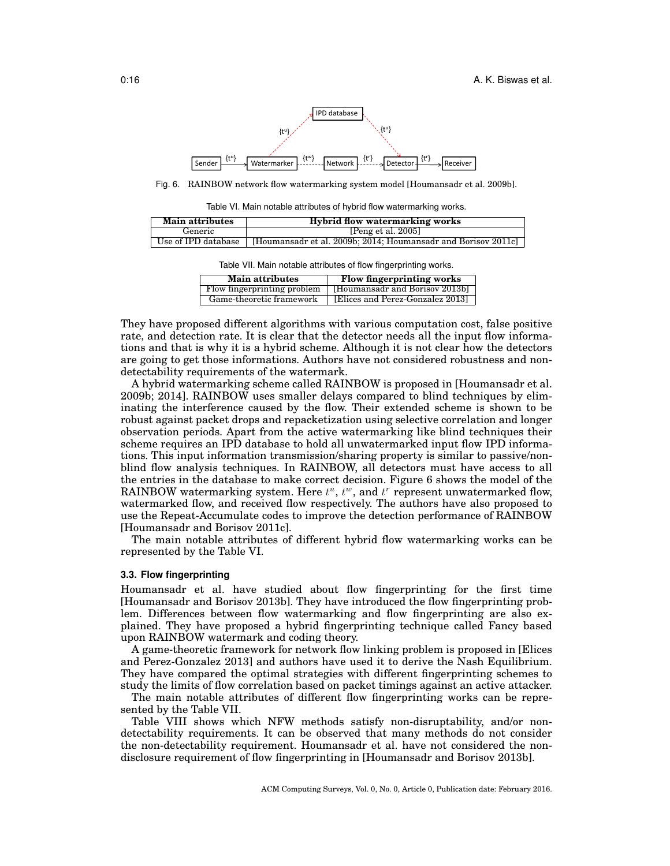

Fig. 6. RAINBOW network flow watermarking system model [Houmansadr et al. 2009b].

Table VI. Main notable attributes of hybrid flow watermarking works.

| <b>Main attributes</b> | Hybrid flow watermarking works                                |  |  |
|------------------------|---------------------------------------------------------------|--|--|
| Generic                | [Peng et al. $2005$ ]                                         |  |  |
| Use of IPD database    | [Houmansadr et al. 2009b: 2014: Houmansadr and Borisov 2011c] |  |  |

Table VII. Main notable attributes of flow fingerprinting works.

| <b>Main attributes</b>      | <b>Flow fingerprinting works</b> |
|-----------------------------|----------------------------------|
| Flow fingerprinting problem | [Houmansadr and Borisov 2013b]   |
| Game-theoretic framework    | [Elices and Perez-Gonzalez 2013] |

They have proposed different algorithms with various computation cost, false positive rate, and detection rate. It is clear that the detector needs all the input flow informations and that is why it is a hybrid scheme. Although it is not clear how the detectors are going to get those informations. Authors have not considered robustness and nondetectability requirements of the watermark.

A hybrid watermarking scheme called RAINBOW is proposed in [Houmansadr et al. 2009b; 2014]. RAINBOW uses smaller delays compared to blind techniques by eliminating the interference caused by the flow. Their extended scheme is shown to be robust against packet drops and repacketization using selective correlation and longer observation periods. Apart from the active watermarking like blind techniques their scheme requires an IPD database to hold all unwatermarked input flow IPD informations. This input information transmission/sharing property is similar to passive/nonblind flow analysis techniques. In RAINBOW, all detectors must have access to all the entries in the database to make correct decision. Figure 6 shows the model of the RAINBOW watermarking system. Here  $t^u$ ,  $t^w$ , and  $t^r$  represent unwatermarked flow, watermarked flow, and received flow respectively. The authors have also proposed to use the Repeat-Accumulate codes to improve the detection performance of RAINBOW [Houmansadr and Borisov 2011c].

The main notable attributes of different hybrid flow watermarking works can be represented by the Table VI.

## **3.3. Flow fingerprinting**

Houmansadr et al. have studied about flow fingerprinting for the first time [Houmansadr and Borisov 2013b]. They have introduced the flow fingerprinting problem. Differences between flow watermarking and flow fingerprinting are also explained. They have proposed a hybrid fingerprinting technique called Fancy based upon RAINBOW watermark and coding theory.

A game-theoretic framework for network flow linking problem is proposed in [Elices and Perez-Gonzalez 2013] and authors have used it to derive the Nash Equilibrium. They have compared the optimal strategies with different fingerprinting schemes to study the limits of flow correlation based on packet timings against an active attacker.

The main notable attributes of different flow fingerprinting works can be represented by the Table VII.

Table VIII shows which NFW methods satisfy non-disruptability, and/or nondetectability requirements. It can be observed that many methods do not consider the non-detectability requirement. Houmansadr et al. have not considered the nondisclosure requirement of flow fingerprinting in [Houmansadr and Borisov 2013b].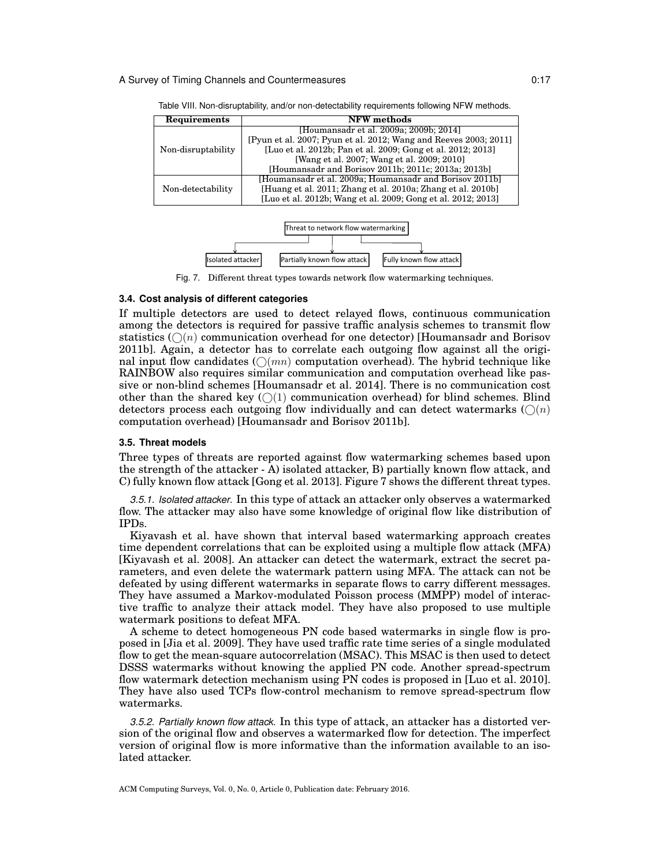| Requirements       | <b>NFW</b> methods                                               |  |  |  |
|--------------------|------------------------------------------------------------------|--|--|--|
| Non-disruptability | [Houmansadr et al. 2009a; 2009b; 2014]                           |  |  |  |
|                    | [Pyun et al. 2007; Pyun et al. 2012; Wang and Reeves 2003; 2011] |  |  |  |
|                    | [Luo et al. 2012b; Pan et al. 2009; Gong et al. 2012; 2013]      |  |  |  |
|                    | [Wang et al. 2007; Wang et al. 2009; 2010]                       |  |  |  |
|                    | [Houmansadr and Borisov 2011b; 2011c; 2013a; 2013b]              |  |  |  |
|                    | [Houmansadr et al. 2009a; Houmansadr and Borisov 2011b]          |  |  |  |
| Non-detectability  | [Huang et al. 2011; Zhang et al. 2010a; Zhang et al. 2010b]      |  |  |  |
|                    | [Luo et al. 2012b; Wang et al. 2009; Gong et al. 2012; 2013]     |  |  |  |

Table VIII. Non-disruptability, and/or non-detectability requirements following NFW methods.



Fig. 7. Different threat types towards network flow watermarking techniques.

## **3.4. Cost analysis of different categories**

If multiple detectors are used to detect relayed flows, continuous communication among the detectors is required for passive traffic analysis schemes to transmit flow statistics  $(\bigcap(n)$  communication overhead for one detector) [Houmansadr and Borisov 2011b]. Again, a detector has to correlate each outgoing flow against all the original input flow candidates  $(\bigcirc(mn)$  computation overhead). The hybrid technique like RAINBOW also requires similar communication and computation overhead like passive or non-blind schemes [Houmansadr et al. 2014]. There is no communication cost other than the shared key  $(\bigcirc)(1)$  communication overhead) for blind schemes. Blind detectors process each outgoing flow individually and can detect watermarks  $(\bigcap(n)$ computation overhead) [Houmansadr and Borisov 2011b].

### **3.5. Threat models**

Three types of threats are reported against flow watermarking schemes based upon the strength of the attacker  $-A$ ) isolated attacker, B) partially known flow attack, and C) fully known flow attack [Gong et al. 2013]. Figure 7 shows the different threat types.

*3.5.1. Isolated attacker.* In this type of attack an attacker only observes a watermarked flow. The attacker may also have some knowledge of original flow like distribution of IPDs.

Kiyavash et al. have shown that interval based watermarking approach creates time dependent correlations that can be exploited using a multiple flow attack (MFA) [Kiyavash et al. 2008]. An attacker can detect the watermark, extract the secret parameters, and even delete the watermark pattern using MFA. The attack can not be defeated by using different watermarks in separate flows to carry different messages. They have assumed a Markov-modulated Poisson process (MMPP) model of interactive traffic to analyze their attack model. They have also proposed to use multiple watermark positions to defeat MFA.

A scheme to detect homogeneous PN code based watermarks in single flow is proposed in [Jia et al. 2009]. They have used traffic rate time series of a single modulated flow to get the mean-square autocorrelation (MSAC). This MSAC is then used to detect DSSS watermarks without knowing the applied PN code. Another spread-spectrum flow watermark detection mechanism using PN codes is proposed in [Luo et al. 2010]. They have also used TCPs flow-control mechanism to remove spread-spectrum flow watermarks.

*3.5.2. Partially known flow attack.* In this type of attack, an attacker has a distorted version of the original flow and observes a watermarked flow for detection. The imperfect version of original flow is more informative than the information available to an isolated attacker.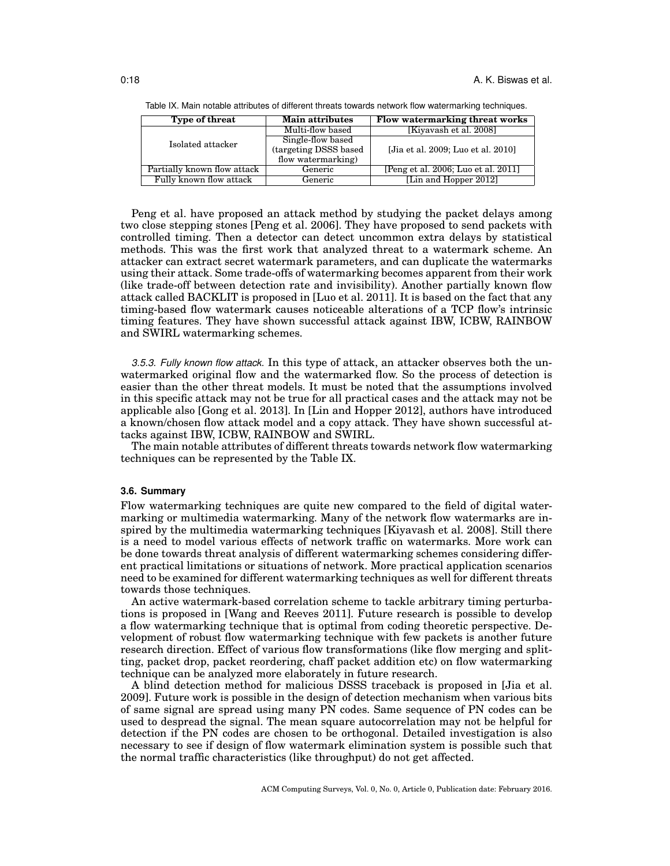| Type of threat              | <b>Main attributes</b> | Flow watermarking threat works      |
|-----------------------------|------------------------|-------------------------------------|
|                             | Multi-flow based       | [Kiyavash et al. 2008]              |
| Isolated attacker           | Single-flow based      |                                     |
|                             | (targeting DSSS based  | [Jia et al. 2009; Luo et al. 2010]  |
|                             | flow watermarking)     |                                     |
| Partially known flow attack | Generic                | [Peng et al. 2006; Luo et al. 2011] |
| Fully known flow attack     | Generic                | [Lin and Hopper 2012]               |

Table IX. Main notable attributes of different threats towards network flow watermarking techniques.

Peng et al. have proposed an attack method by studying the packet delays among two close stepping stones [Peng et al. 2006]. They have proposed to send packets with controlled timing. Then a detector can detect uncommon extra delays by statistical methods. This was the first work that analyzed threat to a watermark scheme. An attacker can extract secret watermark parameters, and can duplicate the watermarks using their attack. Some trade-offs of watermarking becomes apparent from their work (like trade-off between detection rate and invisibility). Another partially known flow attack called BACKLIT is proposed in [Luo et al. 2011]. It is based on the fact that any timing-based flow watermark causes noticeable alterations of a TCP flow's intrinsic timing features. They have shown successful attack against IBW, ICBW, RAINBOW and SWIRL watermarking schemes.

*3.5.3. Fully known flow attack.* In this type of attack, an attacker observes both the unwatermarked original flow and the watermarked flow. So the process of detection is easier than the other threat models. It must be noted that the assumptions involved in this specific attack may not be true for all practical cases and the attack may not be applicable also [Gong et al. 2013]. In [Lin and Hopper 2012], authors have introduced a known/chosen flow attack model and a copy attack. They have shown successful attacks against IBW, ICBW, RAINBOW and SWIRL.

The main notable attributes of different threats towards network flow watermarking techniques can be represented by the Table IX.

## **3.6. Summary**

Flow watermarking techniques are quite new compared to the field of digital watermarking or multimedia watermarking. Many of the network flow watermarks are inspired by the multimedia watermarking techniques [Kiyavash et al. 2008]. Still there is a need to model various effects of network traffic on watermarks. More work can be done towards threat analysis of different watermarking schemes considering different practical limitations or situations of network. More practical application scenarios need to be examined for different watermarking techniques as well for different threats towards those techniques.

An active watermark-based correlation scheme to tackle arbitrary timing perturbations is proposed in [Wang and Reeves 2011]. Future research is possible to develop a flow watermarking technique that is optimal from coding theoretic perspective. Development of robust flow watermarking technique with few packets is another future research direction. Effect of various flow transformations (like flow merging and splitting, packet drop, packet reordering, chaff packet addition etc) on flow watermarking technique can be analyzed more elaborately in future research.

A blind detection method for malicious DSSS traceback is proposed in [Jia et al. 2009]. Future work is possible in the design of detection mechanism when various bits of same signal are spread using many PN codes. Same sequence of PN codes can be used to despread the signal. The mean square autocorrelation may not be helpful for detection if the PN codes are chosen to be orthogonal. Detailed investigation is also necessary to see if design of flow watermark elimination system is possible such that the normal traffic characteristics (like throughput) do not get affected.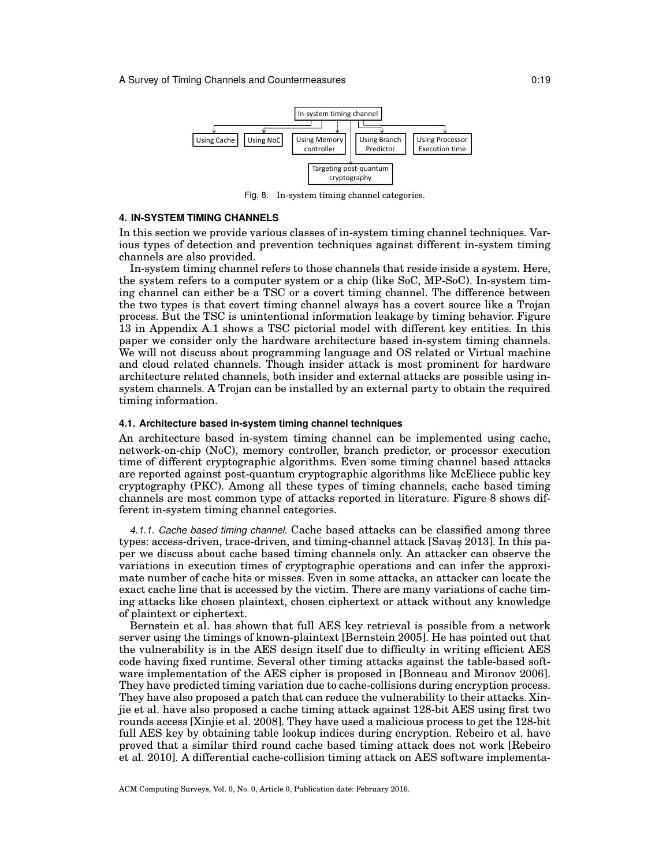

Fig. 8. In-system timing channel categories.

## **4. IN-SYSTEM TIMING CHANNELS**

In this section we provide various classes of in-system timing channel techniques. Various types of detection and prevention techniques against different in-system timing channels are also provided.

In-system timing channel refers to those channels that reside inside a system. Here, the system refers to a computer system or a chip (like SoC, MP-SoC). In-system timing channel can either be a TSC or a covert timing channel. The difference between the two types is that covert timing channel always has a covert source like a Trojan process. But the TSC is unintentional information leakage by timing behavior. Figure 13 in Appendix A.1 shows a TSC pictorial model with different key entities. In this paper we consider only the hardware architecture based in-system timing channels. We will not discuss about programming language and OS related or Virtual machine and cloud related channels. Though insider attack is most prominent for hardware architecture related channels, both insider and external attacks are possible using insystem channels. A Trojan can be installed by an external party to obtain the required timing information.

### **4.1. Architecture based in-system timing channel techniques**

An architecture based in-system timing channel can be implemented using cache, network-on-chip (NoC), memory controller, branch predictor, or processor execution time of different cryptographic algorithms. Even some timing channel based attacks are reported against post-quantum cryptographic algorithms like McEliece public key cryptography (PKC). Among all these types of timing channels, cache based timing channels are most common type of attacks reported in literature. Figure 8 shows different in-system timing channel categories.

*4.1.1. Cache based timing channel.* Cache based attacks can be classified among three types: access-driven, trace-driven, and timing-channel attack [Savas¸ 2013]. In this paper we discuss about cache based timing channels only. An attacker can observe the variations in execution times of cryptographic operations and can infer the approximate number of cache hits or misses. Even in some attacks, an attacker can locate the exact cache line that is accessed by the victim. There are many variations of cache timing attacks like chosen plaintext, chosen ciphertext or attack without any knowledge of plaintext or ciphertext.

Bernstein et al. has shown that full AES key retrieval is possible from a network server using the timings of known-plaintext [Bernstein 2005]. He has pointed out that the vulnerability is in the AES design itself due to difficulty in writing efficient AES code having fixed runtime. Several other timing attacks against the table-based software implementation of the AES cipher is proposed in [Bonneau and Mironov 2006]. They have predicted timing variation due to cache-collisions during encryption process. They have also proposed a patch that can reduce the vulnerability to their attacks. Xinjie et al. have also proposed a cache timing attack against 128-bit AES using first two rounds access [Xinjie et al. 2008]. They have used a malicious process to get the 128-bit full AES key by obtaining table lookup indices during encryption. Rebeiro et al. have proved that a similar third round cache based timing attack does not work [Rebeiro et al. 2010]. A differential cache-collision timing attack on AES software implementa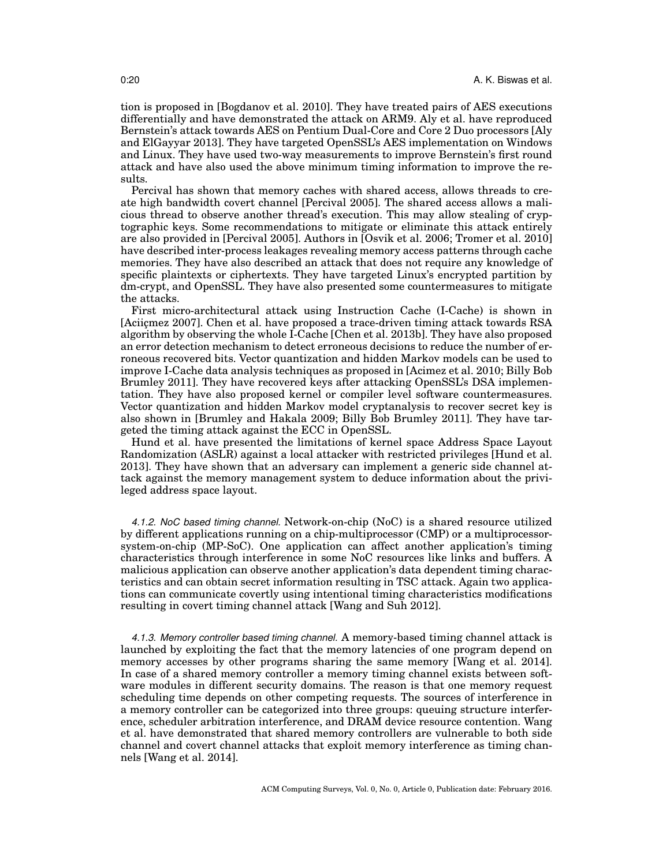tion is proposed in [Bogdanov et al. 2010]. They have treated pairs of AES executions differentially and have demonstrated the attack on ARM9. Aly et al. have reproduced Bernstein's attack towards AES on Pentium Dual-Core and Core 2 Duo processors [Aly and ElGayyar 2013]. They have targeted OpenSSL's AES implementation on Windows and Linux. They have used two-way measurements to improve Bernstein's first round attack and have also used the above minimum timing information to improve the results.

Percival has shown that memory caches with shared access, allows threads to create high bandwidth covert channel [Percival 2005]. The shared access allows a malicious thread to observe another thread's execution. This may allow stealing of cryptographic keys. Some recommendations to mitigate or eliminate this attack entirely are also provided in [Percival 2005]. Authors in [Osvik et al. 2006; Tromer et al. 2010] have described inter-process leakages revealing memory access patterns through cache memories. They have also described an attack that does not require any knowledge of specific plaintexts or ciphertexts. They have targeted Linux's encrypted partition by dm-crypt, and OpenSSL. They have also presented some countermeasures to mitigate the attacks.

First micro-architectural attack using Instruction Cache (I-Cache) is shown in [Aciic mez 2007]. Chen et al. have proposed a trace-driven timing attack towards RSA algorithm by observing the whole I-Cache [Chen et al. 2013b]. They have also proposed an error detection mechanism to detect erroneous decisions to reduce the number of erroneous recovered bits. Vector quantization and hidden Markov models can be used to improve I-Cache data analysis techniques as proposed in [Acimez et al. 2010; Billy Bob Brumley 2011]. They have recovered keys after attacking OpenSSL's DSA implementation. They have also proposed kernel or compiler level software countermeasures. Vector quantization and hidden Markov model cryptanalysis to recover secret key is also shown in [Brumley and Hakala 2009; Billy Bob Brumley 2011]. They have targeted the timing attack against the ECC in OpenSSL.

Hund et al. have presented the limitations of kernel space Address Space Layout Randomization (ASLR) against a local attacker with restricted privileges [Hund et al. 2013]. They have shown that an adversary can implement a generic side channel attack against the memory management system to deduce information about the privileged address space layout.

*4.1.2. NoC based timing channel.* Network-on-chip (NoC) is a shared resource utilized by different applications running on a chip-multiprocessor (CMP) or a multiprocessorsystem-on-chip (MP-SoC). One application can affect another application's timing characteristics through interference in some NoC resources like links and buffers. A malicious application can observe another application's data dependent timing characteristics and can obtain secret information resulting in TSC attack. Again two applications can communicate covertly using intentional timing characteristics modifications resulting in covert timing channel attack [Wang and Suh 2012].

*4.1.3. Memory controller based timing channel.* A memory-based timing channel attack is launched by exploiting the fact that the memory latencies of one program depend on memory accesses by other programs sharing the same memory [Wang et al. 2014]. In case of a shared memory controller a memory timing channel exists between software modules in different security domains. The reason is that one memory request scheduling time depends on other competing requests. The sources of interference in a memory controller can be categorized into three groups: queuing structure interference, scheduler arbitration interference, and DRAM device resource contention. Wang et al. have demonstrated that shared memory controllers are vulnerable to both side channel and covert channel attacks that exploit memory interference as timing channels [Wang et al. 2014].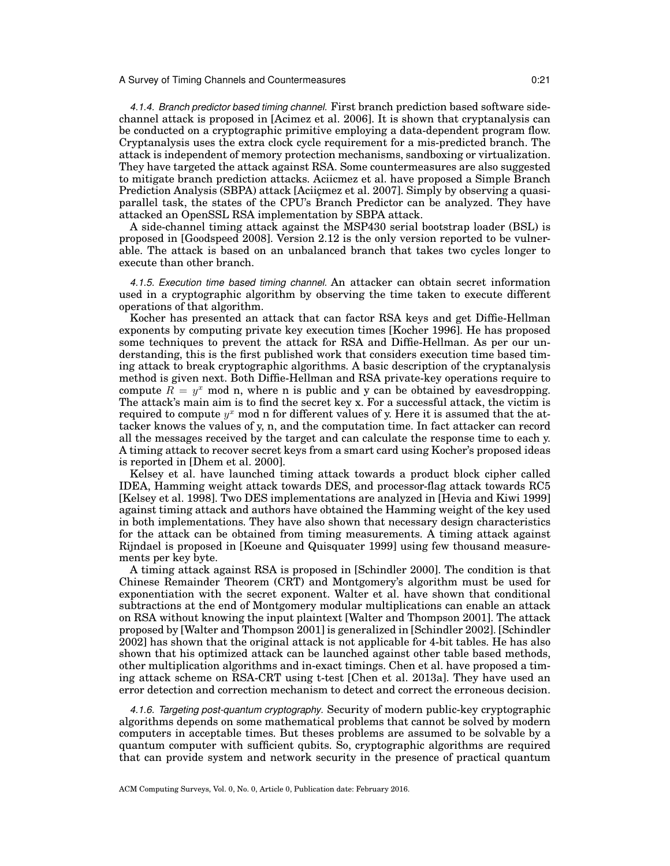*4.1.4. Branch predictor based timing channel.* First branch prediction based software sidechannel attack is proposed in [Acimez et al. 2006]. It is shown that cryptanalysis can be conducted on a cryptographic primitive employing a data-dependent program flow. Cryptanalysis uses the extra clock cycle requirement for a mis-predicted branch. The attack is independent of memory protection mechanisms, sandboxing or virtualization. They have targeted the attack against RSA. Some countermeasures are also suggested to mitigate branch prediction attacks. Aciicmez et al. have proposed a Simple Branch Prediction Analysis (SBPA) attack [Aciic mez et al. 2007]. Simply by observing a quasiparallel task, the states of the CPU's Branch Predictor can be analyzed. They have attacked an OpenSSL RSA implementation by SBPA attack.

A side-channel timing attack against the MSP430 serial bootstrap loader (BSL) is proposed in [Goodspeed 2008]. Version 2.12 is the only version reported to be vulnerable. The attack is based on an unbalanced branch that takes two cycles longer to execute than other branch.

*4.1.5. Execution time based timing channel.* An attacker can obtain secret information used in a cryptographic algorithm by observing the time taken to execute different operations of that algorithm.

Kocher has presented an attack that can factor RSA keys and get Diffie-Hellman exponents by computing private key execution times [Kocher 1996]. He has proposed some techniques to prevent the attack for RSA and Diffie-Hellman. As per our understanding, this is the first published work that considers execution time based timing attack to break cryptographic algorithms. A basic description of the cryptanalysis method is given next. Both Diffie-Hellman and RSA private-key operations require to compute  $\overline{R} = y^x$  mod n, where n is public and y can be obtained by eavesdropping. The attack's main aim is to find the secret key x. For a successful attack, the victim is required to compute  $y^x$  mod n for different values of y. Here it is assumed that the attacker knows the values of y, n, and the computation time. In fact attacker can record all the messages received by the target and can calculate the response time to each y. A timing attack to recover secret keys from a smart card using Kocher's proposed ideas is reported in [Dhem et al. 2000].

Kelsey et al. have launched timing attack towards a product block cipher called IDEA, Hamming weight attack towards DES, and processor-flag attack towards RC5 [Kelsey et al. 1998]. Two DES implementations are analyzed in [Hevia and Kiwi 1999] against timing attack and authors have obtained the Hamming weight of the key used in both implementations. They have also shown that necessary design characteristics for the attack can be obtained from timing measurements. A timing attack against Rijndael is proposed in [Koeune and Quisquater 1999] using few thousand measurements per key byte.

A timing attack against RSA is proposed in [Schindler 2000]. The condition is that Chinese Remainder Theorem (CRT) and Montgomery's algorithm must be used for exponentiation with the secret exponent. Walter et al. have shown that conditional subtractions at the end of Montgomery modular multiplications can enable an attack on RSA without knowing the input plaintext [Walter and Thompson 2001]. The attack proposed by [Walter and Thompson 2001] is generalized in [Schindler 2002]. [Schindler 2002] has shown that the original attack is not applicable for 4-bit tables. He has also shown that his optimized attack can be launched against other table based methods, other multiplication algorithms and in-exact timings. Chen et al. have proposed a timing attack scheme on RSA-CRT using t-test [Chen et al. 2013a]. They have used an error detection and correction mechanism to detect and correct the erroneous decision.

*4.1.6. Targeting post-quantum cryptography.* Security of modern public-key cryptographic algorithms depends on some mathematical problems that cannot be solved by modern computers in acceptable times. But theses problems are assumed to be solvable by a quantum computer with sufficient qubits. So, cryptographic algorithms are required that can provide system and network security in the presence of practical quantum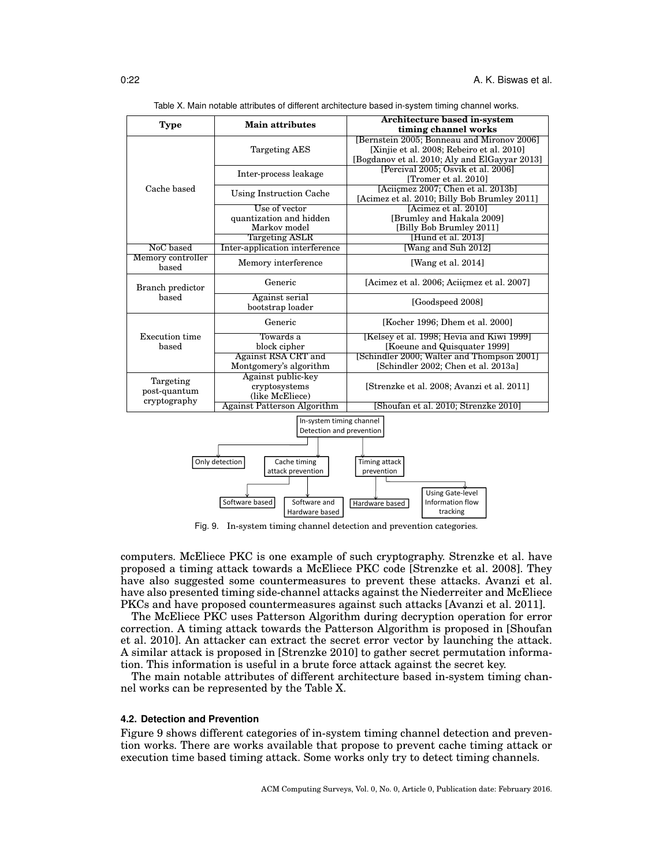| <b>Type</b>                                          | <b>Main attributes</b>             | Architecture based in-system<br>timing channel works                                                                                     |  |  |  |  |
|------------------------------------------------------|------------------------------------|------------------------------------------------------------------------------------------------------------------------------------------|--|--|--|--|
|                                                      | <b>Targeting AES</b>               | [Bernstein 2005; Bonneau and Mironov 2006]<br>[Xinjie et al. 2008; Rebeiro et al. 2010]<br>[Bogdanov et al. 2010; Aly and ElGayyar 2013] |  |  |  |  |
|                                                      | Inter-process leakage              | [Percival 2005; Osvik et al. 2006]<br>[Tromer et al. 2010]                                                                               |  |  |  |  |
| Cache based                                          | Using Instruction Cache            | [Aciicmez 2007; Chen et al. 2013b]<br>[Acimez et al. 2010; Billy Bob Brumley 2011]                                                       |  |  |  |  |
|                                                      | Use of vector                      | [Acimez et al. 2010]                                                                                                                     |  |  |  |  |
|                                                      | quantization and hidden            | [Brumley and Hakala 2009]                                                                                                                |  |  |  |  |
|                                                      | Markov model                       | [Billy Bob Brumley 2011]                                                                                                                 |  |  |  |  |
|                                                      | <b>Targeting ASLR</b>              | [Hund et al. 2013]                                                                                                                       |  |  |  |  |
| NoC based                                            | Inter-application interference     | [Wang and Suh 2012]                                                                                                                      |  |  |  |  |
| Memory controller<br>based                           | Memory interference                | [Wang et al. 2014]                                                                                                                       |  |  |  |  |
| Branch predictor                                     | Generic                            | [Acimez et al. 2006; Aciicmez et al. 2007]                                                                                               |  |  |  |  |
| based                                                | Against serial<br>bootstrap loader | [Goodspeed 2008]                                                                                                                         |  |  |  |  |
|                                                      | Generic                            | [Kocher 1996; Dhem et al. 2000]                                                                                                          |  |  |  |  |
| <b>Execution</b> time                                | Towards a                          | [Kelsey et al. 1998; Hevia and Kiwi 1999]                                                                                                |  |  |  |  |
| based                                                | block cipher                       | [Koeune and Quisquater 1999]                                                                                                             |  |  |  |  |
|                                                      | Against RSA CRT and                | [Schindler 2000; Walter and Thompson 2001]                                                                                               |  |  |  |  |
|                                                      | Montgomery's algorithm             | [Schindler 2002; Chen et al. 2013a]                                                                                                      |  |  |  |  |
|                                                      | Against public-key                 |                                                                                                                                          |  |  |  |  |
| Targeting                                            | cryptosystems                      | [Strenzke et al. 2008; Avanzi et al. 2011]                                                                                               |  |  |  |  |
| post-quantum                                         | (like McEliece)                    |                                                                                                                                          |  |  |  |  |
| cryptography                                         | <b>Against Patterson Algorithm</b> | [Shoufan et al. 2010; Strenzke 2010]                                                                                                     |  |  |  |  |
| In-system timing channel<br>Detection and prevention |                                    |                                                                                                                                          |  |  |  |  |
|                                                      |                                    |                                                                                                                                          |  |  |  |  |
|                                                      |                                    |                                                                                                                                          |  |  |  |  |
| Only detection<br>Timing attack<br>Cache timing      |                                    |                                                                                                                                          |  |  |  |  |
|                                                      | attack prevention                  | prevention                                                                                                                               |  |  |  |  |
|                                                      |                                    |                                                                                                                                          |  |  |  |  |
|                                                      |                                    | <b>Using Gate-level</b>                                                                                                                  |  |  |  |  |
|                                                      | Software based<br>Software and     | Information flow<br>Hardware based                                                                                                       |  |  |  |  |
|                                                      | Hardware based                     | tracking                                                                                                                                 |  |  |  |  |

Table X. Main notable attributes of different architecture based in-system timing channel works.

Fig. 9. In-system timing channel detection and prevention categories.

computers. McEliece PKC is one example of such cryptography. Strenzke et al. have proposed a timing attack towards a McEliece PKC code [Strenzke et al. 2008]. They have also suggested some countermeasures to prevent these attacks. Avanzi et al. have also presented timing side-channel attacks against the Niederreiter and McEliece PKCs and have proposed countermeasures against such attacks [Avanzi et al. 2011].

The McEliece PKC uses Patterson Algorithm during decryption operation for error correction. A timing attack towards the Patterson Algorithm is proposed in [Shoufan et al. 2010]. An attacker can extract the secret error vector by launching the attack. A similar attack is proposed in [Strenzke 2010] to gather secret permutation information. This information is useful in a brute force attack against the secret key.

The main notable attributes of different architecture based in-system timing channel works can be represented by the Table X.

## **4.2. Detection and Prevention**

Figure 9 shows different categories of in-system timing channel detection and prevention works. There are works available that propose to prevent cache timing attack or execution time based timing attack. Some works only try to detect timing channels.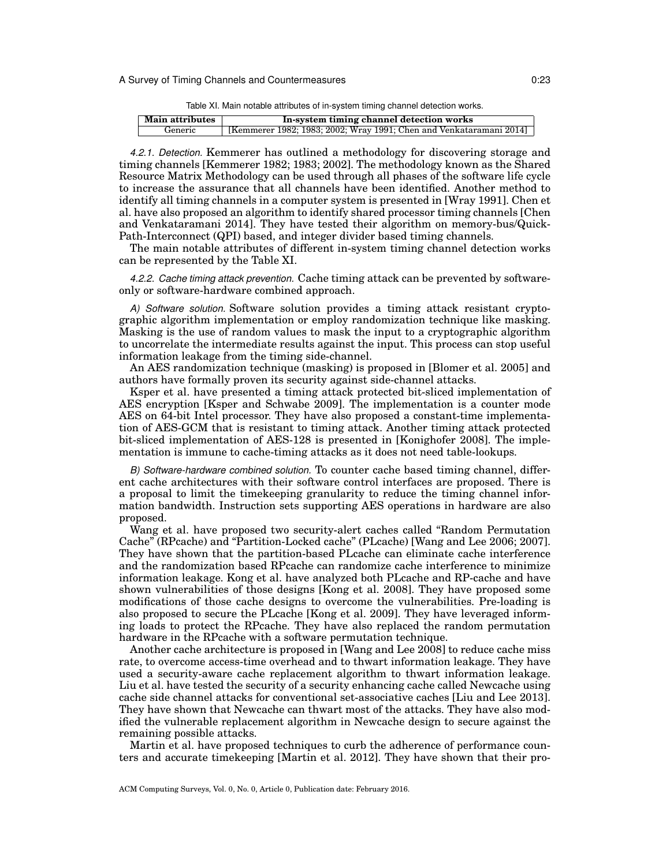| Table XI. Main notable attributes of in-system timing channel detection works. |  |  |
|--------------------------------------------------------------------------------|--|--|
|                                                                                |  |  |

| <b>Main attributes</b> | In-system timing channel detection works                            |  |
|------------------------|---------------------------------------------------------------------|--|
| Generic                | [Kemmerer 1982; 1983; 2002; Wray 1991; Chen and Venkataramani 2014] |  |

*4.2.1. Detection.* Kemmerer has outlined a methodology for discovering storage and timing channels [Kemmerer 1982; 1983; 2002]. The methodology known as the Shared Resource Matrix Methodology can be used through all phases of the software life cycle to increase the assurance that all channels have been identified. Another method to identify all timing channels in a computer system is presented in [Wray 1991]. Chen et al. have also proposed an algorithm to identify shared processor timing channels [Chen and Venkataramani 2014]. They have tested their algorithm on memory-bus/Quick-Path-Interconnect (QPI) based, and integer divider based timing channels.

The main notable attributes of different in-system timing channel detection works can be represented by the Table XI.

*4.2.2. Cache timing attack prevention.* Cache timing attack can be prevented by softwareonly or software-hardware combined approach.

*A) Software solution.* Software solution provides a timing attack resistant cryptographic algorithm implementation or employ randomization technique like masking. Masking is the use of random values to mask the input to a cryptographic algorithm to uncorrelate the intermediate results against the input. This process can stop useful information leakage from the timing side-channel.

An AES randomization technique (masking) is proposed in [Blomer et al. 2005] and authors have formally proven its security against side-channel attacks.

Ksper et al. have presented a timing attack protected bit-sliced implementation of AES encryption [Ksper and Schwabe 2009]. The implementation is a counter mode AES on 64-bit Intel processor. They have also proposed a constant-time implementation of AES-GCM that is resistant to timing attack. Another timing attack protected bit-sliced implementation of AES-128 is presented in [Konighofer 2008]. The implementation is immune to cache-timing attacks as it does not need table-lookups.

*B) Software-hardware combined solution.* To counter cache based timing channel, different cache architectures with their software control interfaces are proposed. There is a proposal to limit the timekeeping granularity to reduce the timing channel information bandwidth. Instruction sets supporting AES operations in hardware are also proposed.

Wang et al. have proposed two security-alert caches called "Random Permutation Cache" (RPcache) and "Partition-Locked cache" (PLcache) [Wang and Lee 2006; 2007]. They have shown that the partition-based PLcache can eliminate cache interference and the randomization based RPcache can randomize cache interference to minimize information leakage. Kong et al. have analyzed both PLcache and RP-cache and have shown vulnerabilities of those designs [Kong et al. 2008]. They have proposed some modifications of those cache designs to overcome the vulnerabilities. Pre-loading is also proposed to secure the PLcache [Kong et al. 2009]. They have leveraged informing loads to protect the RPcache. They have also replaced the random permutation hardware in the RPcache with a software permutation technique.

Another cache architecture is proposed in [Wang and Lee 2008] to reduce cache miss rate, to overcome access-time overhead and to thwart information leakage. They have used a security-aware cache replacement algorithm to thwart information leakage. Liu et al. have tested the security of a security enhancing cache called Newcache using cache side channel attacks for conventional set-associative caches [Liu and Lee 2013]. They have shown that Newcache can thwart most of the attacks. They have also modified the vulnerable replacement algorithm in Newcache design to secure against the remaining possible attacks.

Martin et al. have proposed techniques to curb the adherence of performance counters and accurate timekeeping [Martin et al. 2012]. They have shown that their pro-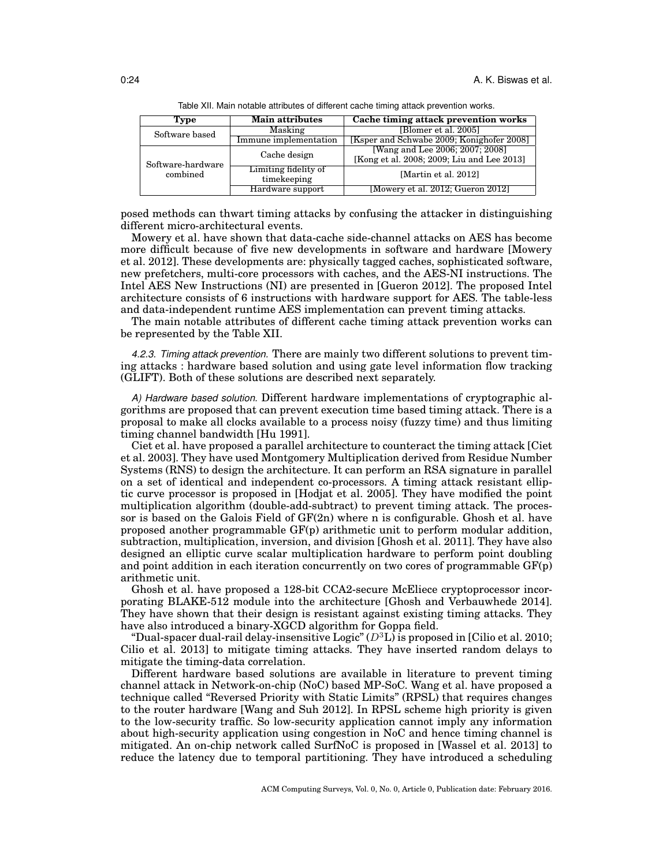| Type                          | <b>Main attributes</b> | Cache timing attack prevention works       |  |
|-------------------------------|------------------------|--------------------------------------------|--|
| Software based                | Masking                | [Blomer et al. 2005]                       |  |
|                               | Immune implementation  | [Ksper and Schwabe 2009; Konighofer 2008]  |  |
| Software-hardware<br>combined | Cache design           | [Wang and Lee 2006; 2007; 2008]            |  |
|                               |                        | [Kong et al. 2008; 2009; Liu and Lee 2013] |  |
|                               | Limiting fidelity of   | [Martin et al. 2012]                       |  |
|                               | timekeeping            |                                            |  |
|                               | Hardware support       | [Mowery et al. 2012; Gueron 2012]          |  |

Table XII. Main notable attributes of different cache timing attack prevention works.

posed methods can thwart timing attacks by confusing the attacker in distinguishing different micro-architectural events.

Mowery et al. have shown that data-cache side-channel attacks on AES has become more difficult because of five new developments in software and hardware [Mowery et al. 2012]. These developments are: physically tagged caches, sophisticated software, new prefetchers, multi-core processors with caches, and the AES-NI instructions. The Intel AES New Instructions (NI) are presented in [Gueron 2012]. The proposed Intel architecture consists of 6 instructions with hardware support for AES. The table-less and data-independent runtime AES implementation can prevent timing attacks.

The main notable attributes of different cache timing attack prevention works can be represented by the Table XII.

*4.2.3. Timing attack prevention.* There are mainly two different solutions to prevent timing attacks : hardware based solution and using gate level information flow tracking (GLIFT). Both of these solutions are described next separately.

*A) Hardware based solution.* Different hardware implementations of cryptographic algorithms are proposed that can prevent execution time based timing attack. There is a proposal to make all clocks available to a process noisy (fuzzy time) and thus limiting timing channel bandwidth [Hu 1991].

Ciet et al. have proposed a parallel architecture to counteract the timing attack [Ciet et al. 2003]. They have used Montgomery Multiplication derived from Residue Number Systems (RNS) to design the architecture. It can perform an RSA signature in parallel on a set of identical and independent co-processors. A timing attack resistant elliptic curve processor is proposed in [Hodjat et al. 2005]. They have modified the point multiplication algorithm (double-add-subtract) to prevent timing attack. The processor is based on the Galois Field of GF(2n) where n is configurable. Ghosh et al. have proposed another programmable GF(p) arithmetic unit to perform modular addition, subtraction, multiplication, inversion, and division [Ghosh et al. 2011]. They have also designed an elliptic curve scalar multiplication hardware to perform point doubling and point addition in each iteration concurrently on two cores of programmable  $GF(p)$ arithmetic unit.

Ghosh et al. have proposed a 128-bit CCA2-secure McEliece cryptoprocessor incorporating BLAKE-512 module into the architecture [Ghosh and Verbauwhede 2014]. They have shown that their design is resistant against existing timing attacks. They have also introduced a binary-XGCD algorithm for Goppa field.

"Dual-spacer dual-rail delay-insensitive Logic" (*D*<sup>3</sup>L) is proposed in [Cilio et al. 2010; Cilio et al. 2013] to mitigate timing attacks. They have inserted random delays to mitigate the timing-data correlation.

Different hardware based solutions are available in literature to prevent timing channel attack in Network-on-chip (NoC) based MP-SoC. Wang et al. have proposed a technique called "Reversed Priority with Static Limits" (RPSL) that requires changes to the router hardware [Wang and Suh 2012]. In RPSL scheme high priority is given to the low-security traffic. So low-security application cannot imply any information about high-security application using congestion in NoC and hence timing channel is mitigated. An on-chip network called SurfNoC is proposed in [Wassel et al. 2013] to reduce the latency due to temporal partitioning. They have introduced a scheduling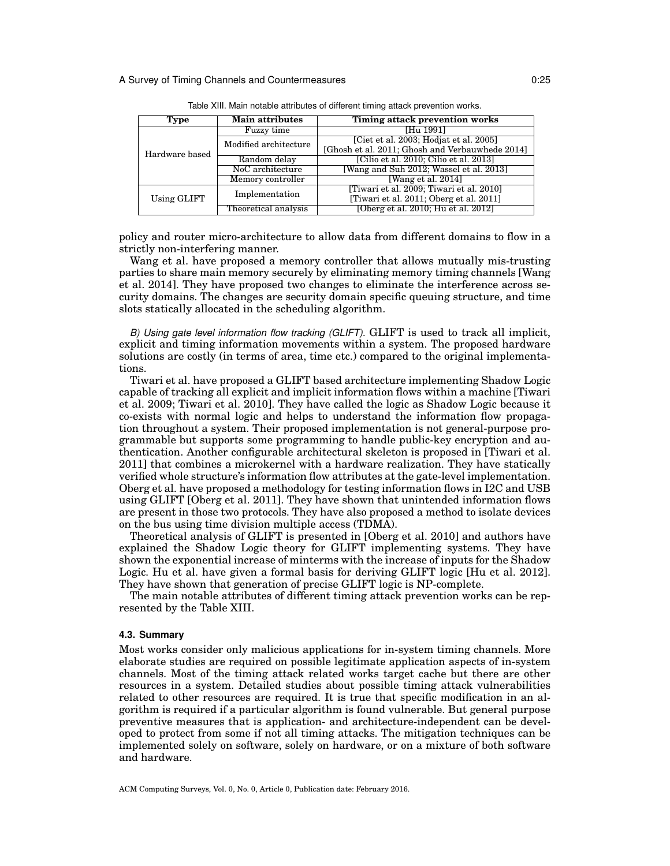| Type           | <b>Main attributes</b> | Timing attack prevention works                  |  |  |
|----------------|------------------------|-------------------------------------------------|--|--|
| Hardware based | Fuzzy time             | [Hu 1991]                                       |  |  |
|                | Modified architecture  | [Ciet et al. 2003; Hodjat et al. 2005]          |  |  |
|                |                        | [Ghosh et al. 2011; Ghosh and Verbauwhede 2014] |  |  |
|                | Random delay           | [Cilio et al. 2010; Cilio et al. 2013]          |  |  |
|                | NoC architecture       | [Wang and Suh 2012; Wassel et al. 2013]         |  |  |
|                | Memory controller      | [Wang et al. $2014$ ]                           |  |  |
| Using GLIFT    | Implementation         | [Tiwari et al. 2009; Tiwari et al. 2010]        |  |  |
|                |                        | [Tiwari et al. 2011; Oberg et al. 2011]         |  |  |
|                | Theoretical analysis   | [Oberg et al. 2010; Hu et al. 2012]             |  |  |

Table XIII. Main notable attributes of different timing attack prevention works.

policy and router micro-architecture to allow data from different domains to flow in a strictly non-interfering manner.

Wang et al. have proposed a memory controller that allows mutually mis-trusting parties to share main memory securely by eliminating memory timing channels [Wang et al. 2014]. They have proposed two changes to eliminate the interference across security domains. The changes are security domain specific queuing structure, and time slots statically allocated in the scheduling algorithm.

*B) Using gate level information flow tracking (GLIFT).* GLIFT is used to track all implicit, explicit and timing information movements within a system. The proposed hardware solutions are costly (in terms of area, time etc.) compared to the original implementations.

Tiwari et al. have proposed a GLIFT based architecture implementing Shadow Logic capable of tracking all explicit and implicit information flows within a machine [Tiwari et al. 2009; Tiwari et al. 2010]. They have called the logic as Shadow Logic because it co-exists with normal logic and helps to understand the information flow propagation throughout a system. Their proposed implementation is not general-purpose programmable but supports some programming to handle public-key encryption and authentication. Another configurable architectural skeleton is proposed in [Tiwari et al. 2011] that combines a microkernel with a hardware realization. They have statically verified whole structure's information flow attributes at the gate-level implementation. Oberg et al. have proposed a methodology for testing information flows in I2C and USB using GLIFT [Oberg et al. 2011]. They have shown that unintended information flows are present in those two protocols. They have also proposed a method to isolate devices on the bus using time division multiple access (TDMA).

Theoretical analysis of GLIFT is presented in [Oberg et al. 2010] and authors have explained the Shadow Logic theory for GLIFT implementing systems. They have shown the exponential increase of minterms with the increase of inputs for the Shadow Logic. Hu et al. have given a formal basis for deriving GLIFT logic [Hu et al. 2012]. They have shown that generation of precise GLIFT logic is NP-complete.

The main notable attributes of different timing attack prevention works can be represented by the Table XIII.

### **4.3. Summary**

Most works consider only malicious applications for in-system timing channels. More elaborate studies are required on possible legitimate application aspects of in-system channels. Most of the timing attack related works target cache but there are other resources in a system. Detailed studies about possible timing attack vulnerabilities related to other resources are required. It is true that specific modification in an algorithm is required if a particular algorithm is found vulnerable. But general purpose preventive measures that is application- and architecture-independent can be developed to protect from some if not all timing attacks. The mitigation techniques can be implemented solely on software, solely on hardware, or on a mixture of both software and hardware.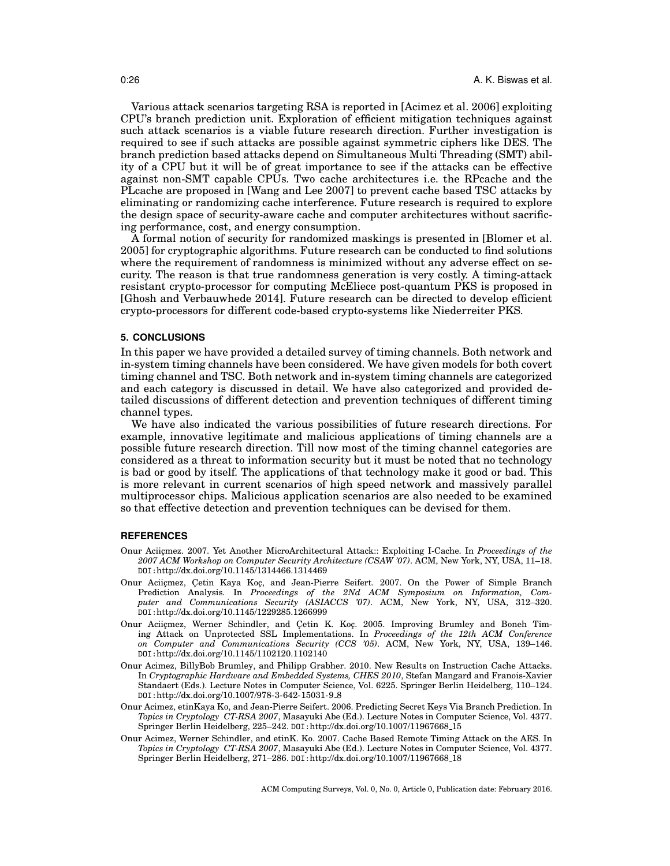Various attack scenarios targeting RSA is reported in [Acimez et al. 2006] exploiting CPU's branch prediction unit. Exploration of efficient mitigation techniques against such attack scenarios is a viable future research direction. Further investigation is required to see if such attacks are possible against symmetric ciphers like DES. The branch prediction based attacks depend on Simultaneous Multi Threading (SMT) ability of a CPU but it will be of great importance to see if the attacks can be effective against non-SMT capable CPUs. Two cache architectures i.e. the RPcache and the PLcache are proposed in [Wang and Lee 2007] to prevent cache based TSC attacks by eliminating or randomizing cache interference. Future research is required to explore the design space of security-aware cache and computer architectures without sacrificing performance, cost, and energy consumption.

A formal notion of security for randomized maskings is presented in [Blomer et al. 2005] for cryptographic algorithms. Future research can be conducted to find solutions where the requirement of randomness is minimized without any adverse effect on security. The reason is that true randomness generation is very costly. A timing-attack resistant crypto-processor for computing McEliece post-quantum PKS is proposed in [Ghosh and Verbauwhede 2014]. Future research can be directed to develop efficient crypto-processors for different code-based crypto-systems like Niederreiter PKS.

## **5. CONCLUSIONS**

In this paper we have provided a detailed survey of timing channels. Both network and in-system timing channels have been considered. We have given models for both covert timing channel and TSC. Both network and in-system timing channels are categorized and each category is discussed in detail. We have also categorized and provided detailed discussions of different detection and prevention techniques of different timing channel types.

We have also indicated the various possibilities of future research directions. For example, innovative legitimate and malicious applications of timing channels are a possible future research direction. Till now most of the timing channel categories are considered as a threat to information security but it must be noted that no technology is bad or good by itself. The applications of that technology make it good or bad. This is more relevant in current scenarios of high speed network and massively parallel multiprocessor chips. Malicious application scenarios are also needed to be examined so that effective detection and prevention techniques can be devised for them.

### **REFERENCES**

- Onur Aciicmez. 2007. Yet Another MicroArchitectural Attack:: Exploiting I-Cache. In *Proceedings of the 2007 ACM Workshop on Computer Security Architecture (CSAW '07)*. ACM, New York, NY, USA, 11–18. DOI:http://dx.doi.org/10.1145/1314466.1314469
- Onur Aciiçmez, Çetin Kaya Koç, and Jean-Pierre Seifert. 2007. On the Power of Simple Branch Prediction Analysis. In *Proceedings of the 2Nd ACM Symposium on Information, Computer and Communications Security (ASIACCS '07)*. ACM, New York, NY, USA, 312–320. DOI:http://dx.doi.org/10.1145/1229285.1266999
- Onur Aciiçmez, Werner Schindler, and Çetin K. Koç. 2005. Improving Brumley and Boneh Timing Attack on Unprotected SSL Implementations. In *Proceedings of the 12th ACM Conference on Computer and Communications Security (CCS '05)*. ACM, New York, NY, USA, 139–146. DOI:http://dx.doi.org/10.1145/1102120.1102140
- Onur Acimez, BillyBob Brumley, and Philipp Grabher. 2010. New Results on Instruction Cache Attacks. In *Cryptographic Hardware and Embedded Systems, CHES 2010*, Stefan Mangard and Franois-Xavier Standaert (Eds.). Lecture Notes in Computer Science, Vol. 6225. Springer Berlin Heidelberg, 110–124. DOI:http://dx.doi.org/10.1007/978-3-642-15031-9\_8
- Onur Acimez, etinKaya Ko, and Jean-Pierre Seifert. 2006. Predicting Secret Keys Via Branch Prediction. In *Topics in Cryptology CT-RSA 2007*, Masayuki Abe (Ed.). Lecture Notes in Computer Science, Vol. 4377. Springer Berlin Heidelberg, 225–242. DOI:http://dx.doi.org/10.1007/11967668 15
- Onur Acimez, Werner Schindler, and etinK. Ko. 2007. Cache Based Remote Timing Attack on the AES. In *Topics in Cryptology CT-RSA 2007*, Masayuki Abe (Ed.). Lecture Notes in Computer Science, Vol. 4377. Springer Berlin Heidelberg, 271–286. DOI:http://dx.doi.org/10.1007/11967668 18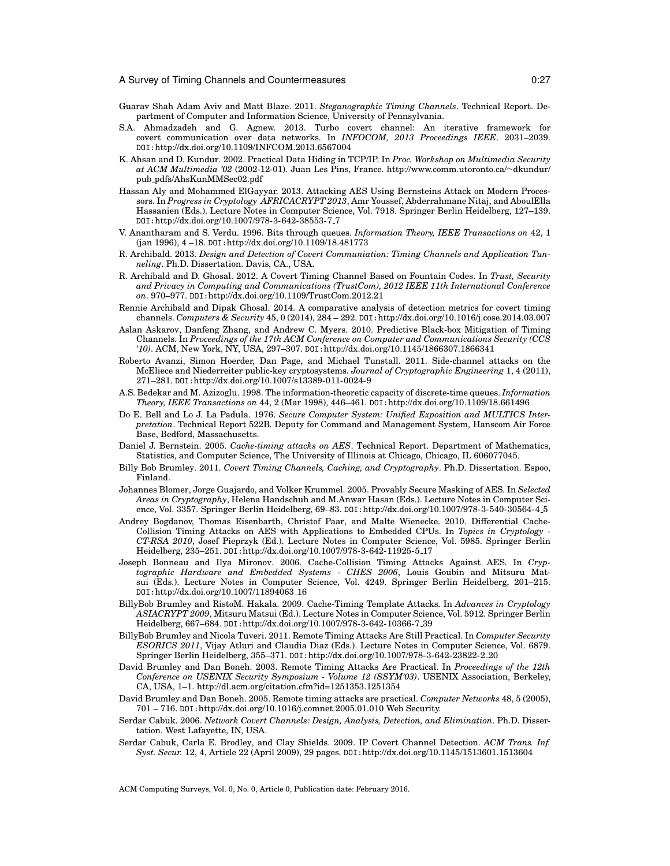- Guarav Shah Adam Aviv and Matt Blaze. 2011. *Steganographic Timing Channels*. Technical Report. Department of Computer and Information Science, University of Pennsylvania.
- S.A. Ahmadzadeh and G. Agnew. 2013. Turbo covert channel: An iterative framework for covert communication over data networks. In *INFOCOM, 2013 Proceedings IEEE*. 2031–2039. DOI:http://dx.doi.org/10.1109/INFCOM.2013.6567004
- K. Ahsan and D. Kundur. 2002. Practical Data Hiding in TCP/IP. In *Proc. Workshop on Multimedia Security at ACM Multimedia '02* (2002-12-01). Juan Les Pins, France. http://www.comm.utoronto.ca/*∼*dkundur/ pub pdfs/AhsKunMMSec02.pdf
- Hassan Aly and Mohammed ElGayyar. 2013. Attacking AES Using Bernsteins Attack on Modern Processors. In *Progress in Cryptology AFRICACRYPT 2013*, Amr Youssef, Abderrahmane Nitaj, and AboulElla Hassanien (Eds.). Lecture Notes in Computer Science, Vol. 7918. Springer Berlin Heidelberg, 127–139. DOI:http://dx.doi.org/10.1007/978-3-642-38553-7 7
- V. Anantharam and S. Verdu. 1996. Bits through queues. *Information Theory, IEEE Transactions on* 42, 1 (jan 1996), 4 –18. DOI:http://dx.doi.org/10.1109/18.481773
- R. Archibald. 2013. *Design and Detection of Covert Communiation: Timing Channels and Application Tunneling*. Ph.D. Dissertation. Davis, CA., USA.
- R. Archibald and D. Ghosal. 2012. A Covert Timing Channel Based on Fountain Codes. In *Trust, Security and Privacy in Computing and Communications (TrustCom), 2012 IEEE 11th International Conference on*. 970–977. DOI:http://dx.doi.org/10.1109/TrustCom.2012.21
- Rennie Archibald and Dipak Ghosal. 2014. A comparative analysis of detection metrics for covert timing channels. *Computers & Security* 45, 0 (2014), 284 – 292. DOI:http://dx.doi.org/10.1016/j.cose.2014.03.007
- Aslan Askarov, Danfeng Zhang, and Andrew C. Myers. 2010. Predictive Black-box Mitigation of Timing Channels. In *Proceedings of the 17th ACM Conference on Computer and Communications Security (CCS '10)*. ACM, New York, NY, USA, 297–307. DOI:http://dx.doi.org/10.1145/1866307.1866341
- Roberto Avanzi, Simon Hoerder, Dan Page, and Michael Tunstall. 2011. Side-channel attacks on the McEliece and Niederreiter public-key cryptosystems. *Journal of Cryptographic Engineering* 1, 4 (2011), 271–281. DOI:http://dx.doi.org/10.1007/s13389-011-0024-9
- A.S. Bedekar and M. Azizoglu. 1998. The information-theoretic capacity of discrete-time queues. *Information Theory, IEEE Transactions on* 44, 2 (Mar 1998), 446–461. DOI:http://dx.doi.org/10.1109/18.661496
- Do E. Bell and Lo J. La Padula. 1976. *Secure Computer System: Unified Exposition and MULTICS Interpretation*. Technical Report 522B. Deputy for Command and Management System, Hanscom Air Force Base, Bedford, Massachusetts.
- Daniel J. Bernstein. 2005. *Cache-timing attacks on AES*. Technical Report. Department of Mathematics, Statistics, and Computer Science, The University of Illinois at Chicago, Chicago, IL 606077045.
- Billy Bob Brumley. 2011. *Covert Timing Channels, Caching, and Cryptography*. Ph.D. Dissertation. Espoo, Finland.
- Johannes Blomer, Jorge Guajardo, and Volker Krummel. 2005. Provably Secure Masking of AES. In *Selected Areas in Cryptography*, Helena Handschuh and M.Anwar Hasan (Eds.). Lecture Notes in Computer Science, Vol. 3357. Springer Berlin Heidelberg, 69–83. DOI:http://dx.doi.org/10.1007/978-3-540-30564-4 5
- Andrey Bogdanov, Thomas Eisenbarth, Christof Paar, and Malte Wienecke. 2010. Differential Cache-Collision Timing Attacks on AES with Applications to Embedded CPUs. In *Topics in Cryptology - CT-RSA 2010*, Josef Pieprzyk (Ed.). Lecture Notes in Computer Science, Vol. 5985. Springer Berlin Heidelberg, 235–251. DOI:http://dx.doi.org/10.1007/978-3-642-11925-5 17
- Joseph Bonneau and Ilya Mironov. 2006. Cache-Collision Timing Attacks Against AES. In *Cryptographic Hardware and Embedded Systems - CHES 2006*, Louis Goubin and Mitsuru Matsui (Eds.). Lecture Notes in Computer Science, Vol. 4249. Springer Berlin Heidelberg, 201–215. DOI:http://dx.doi.org/10.1007/11894063 16
- BillyBob Brumley and RistoM. Hakala. 2009. Cache-Timing Template Attacks. In *Advances in Cryptology ASIACRYPT 2009*, Mitsuru Matsui (Ed.). Lecture Notes in Computer Science, Vol. 5912. Springer Berlin Heidelberg, 667–684. DOI:http://dx.doi.org/10.1007/978-3-642-10366-7 39
- BillyBob Brumley and Nicola Tuveri. 2011. Remote Timing Attacks Are Still Practical. In *Computer Security ESORICS 2011*, Vijay Atluri and Claudia Diaz (Eds.). Lecture Notes in Computer Science, Vol. 6879. Springer Berlin Heidelberg, 355–371. DOI:http://dx.doi.org/10.1007/978-3-642-23822-2 20
- David Brumley and Dan Boneh. 2003. Remote Timing Attacks Are Practical. In *Proceedings of the 12th Conference on USENIX Security Symposium - Volume 12 (SSYM'03)*. USENIX Association, Berkeley, CA, USA, 1–1. http://dl.acm.org/citation.cfm?id=1251353.1251354
- David Brumley and Dan Boneh. 2005. Remote timing attacks are practical. *Computer Networks* 48, 5 (2005), 701 – 716. DOI:http://dx.doi.org/10.1016/j.comnet.2005.01.010 Web Security.
- Serdar Cabuk. 2006. *Network Covert Channels: Design, Analysis, Detection, and Elimination*. Ph.D. Dissertation. West Lafayette, IN, USA.
- Serdar Cabuk, Carla E. Brodley, and Clay Shields. 2009. IP Covert Channel Detection. *ACM Trans. Inf. Syst. Secur.* 12, 4, Article 22 (April 2009), 29 pages. DOI:http://dx.doi.org/10.1145/1513601.1513604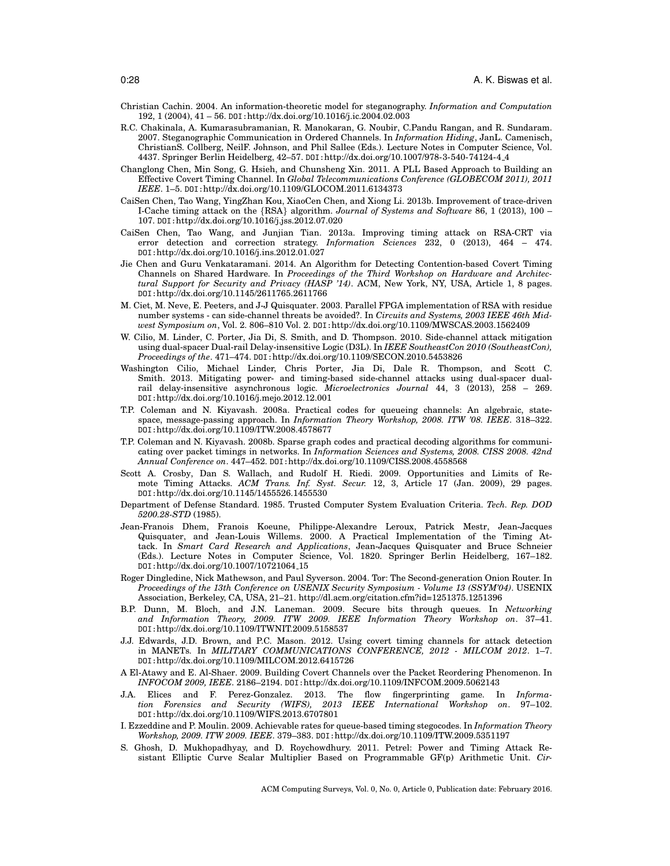- Christian Cachin. 2004. An information-theoretic model for steganography. *Information and Computation* 192, 1 (2004), 41 – 56. DOI:http://dx.doi.org/10.1016/j.ic.2004.02.003
- R.C. Chakinala, A. Kumarasubramanian, R. Manokaran, G. Noubir, C.Pandu Rangan, and R. Sundaram. 2007. Steganographic Communication in Ordered Channels. In *Information Hiding*, JanL. Camenisch, ChristianS. Collberg, NeilF. Johnson, and Phil Sallee (Eds.). Lecture Notes in Computer Science, Vol. 4437. Springer Berlin Heidelberg, 42–57. DOI:http://dx.doi.org/10.1007/978-3-540-74124-4 4
- Changlong Chen, Min Song, G. Hsieh, and Chunsheng Xin. 2011. A PLL Based Approach to Building an Effective Covert Timing Channel. In *Global Telecommunications Conference (GLOBECOM 2011), 2011 IEEE*. 1–5. DOI:http://dx.doi.org/10.1109/GLOCOM.2011.6134373
- CaiSen Chen, Tao Wang, YingZhan Kou, XiaoCen Chen, and Xiong Li. 2013b. Improvement of trace-driven I-Cache timing attack on the *{*RSA*}* algorithm. *Journal of Systems and Software* 86, 1 (2013), 100 – 107. DOI:http://dx.doi.org/10.1016/j.jss.2012.07.020
- CaiSen Chen, Tao Wang, and Junjian Tian. 2013a. Improving timing attack on RSA-CRT via error detection and correction strategy. *Information Sciences* 232, 0 (2013), 464 – 474. DOI:http://dx.doi.org/10.1016/j.ins.2012.01.027
- Jie Chen and Guru Venkataramani. 2014. An Algorithm for Detecting Contention-based Covert Timing Channels on Shared Hardware. In *Proceedings of the Third Workshop on Hardware and Architectural Support for Security and Privacy (HASP '14)*. ACM, New York, NY, USA, Article 1, 8 pages. DOI:http://dx.doi.org/10.1145/2611765.2611766
- M. Ciet, M. Neve, E. Peeters, and J-J Quisquater. 2003. Parallel FPGA implementation of RSA with residue number systems - can side-channel threats be avoided?. In *Circuits and Systems, 2003 IEEE 46th Midwest Symposium on*, Vol. 2. 806–810 Vol. 2. DOI:http://dx.doi.org/10.1109/MWSCAS.2003.1562409
- W. Cilio, M. Linder, C. Porter, Jia Di, S. Smith, and D. Thompson. 2010. Side-channel attack mitigation using dual-spacer Dual-rail Delay-insensitive Logic (D3L). In *IEEE SoutheastCon 2010 (SoutheastCon), Proceedings of the*. 471–474. DOI:http://dx.doi.org/10.1109/SECON.2010.5453826
- Washington Cilio, Michael Linder, Chris Porter, Jia Di, Dale R. Thompson, and Scott C. Smith. 2013. Mitigating power- and timing-based side-channel attacks using dual-spacer dualrail delay-insensitive asynchronous logic. *Microelectronics Journal* 44, 3 (2013), 258 – 269. DOI:http://dx.doi.org/10.1016/j.mejo.2012.12.001
- T.P. Coleman and N. Kiyavash. 2008a. Practical codes for queueing channels: An algebraic, statespace, message-passing approach. In *Information Theory Workshop, 2008. ITW '08. IEEE*. 318–322. DOI:http://dx.doi.org/10.1109/ITW.2008.4578677
- T.P. Coleman and N. Kiyavash. 2008b. Sparse graph codes and practical decoding algorithms for communicating over packet timings in networks. In *Information Sciences and Systems, 2008. CISS 2008. 42nd Annual Conference on*. 447–452. DOI:http://dx.doi.org/10.1109/CISS.2008.4558568
- Scott A. Crosby, Dan S. Wallach, and Rudolf H. Riedi. 2009. Opportunities and Limits of Remote Timing Attacks. *ACM Trans. Inf. Syst. Secur.* 12, 3, Article 17 (Jan. 2009), 29 pages. DOI:http://dx.doi.org/10.1145/1455526.1455530
- Department of Defense Standard. 1985. Trusted Computer System Evaluation Criteria. *Tech. Rep. DOD 5200.28-STD* (1985).
- Jean-Franois Dhem, Franois Koeune, Philippe-Alexandre Leroux, Patrick Mestr, Jean-Jacques Quisquater, and Jean-Louis Willems. 2000. A Practical Implementation of the Timing Attack. In *Smart Card Research and Applications*, Jean-Jacques Quisquater and Bruce Schneier (Eds.). Lecture Notes in Computer Science, Vol. 1820. Springer Berlin Heidelberg, 167–182. DOI:http://dx.doi.org/10.1007/10721064 15
- Roger Dingledine, Nick Mathewson, and Paul Syverson. 2004. Tor: The Second-generation Onion Router. In *Proceedings of the 13th Conference on USENIX Security Symposium - Volume 13 (SSYM'04)*. USENIX Association, Berkeley, CA, USA, 21–21. http://dl.acm.org/citation.cfm?id=1251375.1251396
- B.P. Dunn, M. Bloch, and J.N. Laneman. 2009. Secure bits through queues. In *Networking and Information Theory, 2009. ITW 2009. IEEE Information Theory Workshop on*. 37–41. DOI:http://dx.doi.org/10.1109/ITWNIT.2009.5158537
- J.J. Edwards, J.D. Brown, and P.C. Mason. 2012. Using covert timing channels for attack detection in MANETs. In *MILITARY COMMUNICATIONS CONFERENCE, 2012 - MILCOM 2012*. 1–7. DOI:http://dx.doi.org/10.1109/MILCOM.2012.6415726
- A El-Atawy and E. Al-Shaer. 2009. Building Covert Channels over the Packet Reordering Phenomenon. In *INFOCOM 2009, IEEE*. 2186–2194. DOI:http://dx.doi.org/10.1109/INFCOM.2009.5062143
- J.A. Elices and F. Perez-Gonzalez. 2013. The flow fingerprinting game. In *Information Forensics and Security (WIFS), 2013 IEEE International* DOI:http://dx.doi.org/10.1109/WIFS.2013.6707801
- I. Ezzeddine and P. Moulin. 2009. Achievable rates for queue-based timing stegocodes. In *Information Theory Workshop, 2009. ITW 2009. IEEE*. 379–383. DOI:http://dx.doi.org/10.1109/ITW.2009.5351197
- S. Ghosh, D. Mukhopadhyay, and D. Roychowdhury. 2011. Petrel: Power and Timing Attack Resistant Elliptic Curve Scalar Multiplier Based on Programmable GF(p) Arithmetic Unit. *Cir-*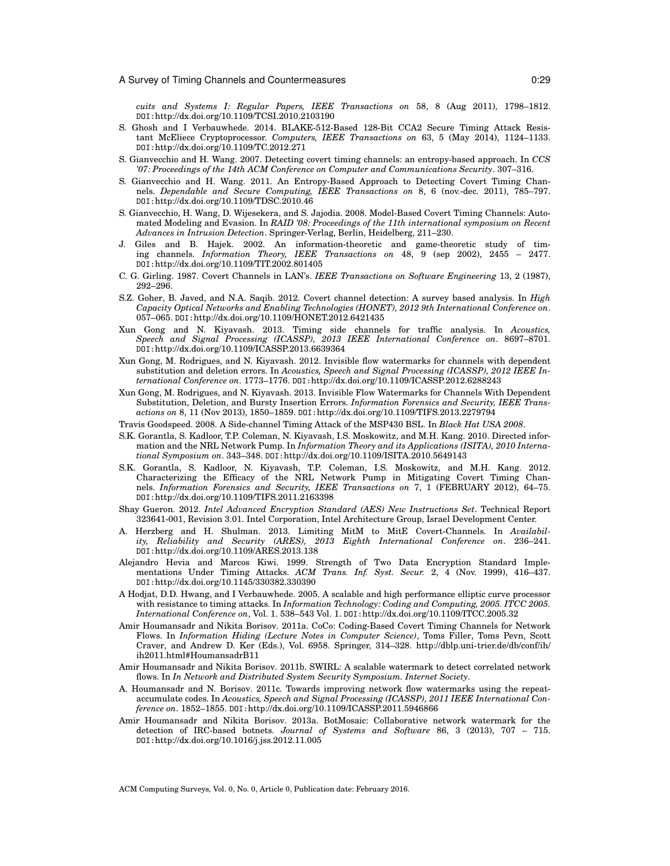*cuits and Systems I: Regular Papers, IEEE Transactions on* 58, 8 (Aug 2011), 1798–1812. DOI:http://dx.doi.org/10.1109/TCSI.2010.2103190

- S. Ghosh and I Verbauwhede. 2014. BLAKE-512-Based 128-Bit CCA2 Secure Timing Attack Resistant McEliece Cryptoprocessor. *Computers, IEEE Transactions on* 63, 5 (May 2014), 1124–1133. DOI:http://dx.doi.org/10.1109/TC.2012.271
- S. Gianvecchio and H. Wang. 2007. Detecting covert timing channels: an entropy-based approach. In *CCS '07: Proceedings of the 14th ACM Conference on Computer and Communications Security*. 307–316.
- S. Gianvecchio and H. Wang. 2011. An Entropy-Based Approach to Detecting Covert Timing Channels. *Dependable and Secure Computing, IEEE Transactions on* 8, 6 (nov.-dec. 2011), 785–797. DOI:http://dx.doi.org/10.1109/TDSC.2010.46
- S. Gianvecchio, H. Wang, D. Wijesekera, and S. Jajodia. 2008. Model-Based Covert Timing Channels: Automated Modeling and Evasion. In *RAID '08: Proceedings of the 11th international symposium on Recent Advances in Intrusion Detection*. Springer-Verlag, Berlin, Heidelberg, 211–230.
- J. Giles and B. Hajek. 2002. An information-theoretic and game-theoretic study of timing channels. *Information Theory, IEEE Transactions on* 48, 9 (sep 2002), 2455 – 2477. DOI:http://dx.doi.org/10.1109/TIT.2002.801405
- C. G. Girling. 1987. Covert Channels in LAN's. *IEEE Transactions on Software Engineering* 13, 2 (1987), 292–296.
- S.Z. Goher, B. Javed, and N.A. Saqib. 2012. Covert channel detection: A survey based analysis. In *High Capacity Optical Networks and Enabling Technologies (HONET), 2012 9th International Conference on*. 057–065. DOI:http://dx.doi.org/10.1109/HONET.2012.6421435
- Xun Gong and N. Kiyavash. 2013. Timing side channels for traffic analysis. In *Acoustics, Speech and Signal Processing (ICASSP), 2013 IEEE International Conference on*. 8697–8701. DOI:http://dx.doi.org/10.1109/ICASSP.2013.6639364
- Xun Gong, M. Rodrigues, and N. Kiyavash. 2012. Invisible flow watermarks for channels with dependent substitution and deletion errors. In *Acoustics, Speech and Signal Processing (ICASSP), 2012 IEEE International Conference on*. 1773–1776. DOI:http://dx.doi.org/10.1109/ICASSP.2012.6288243
- Xun Gong, M. Rodrigues, and N. Kiyavash. 2013. Invisible Flow Watermarks for Channels With Dependent Substitution, Deletion, and Bursty Insertion Errors. *Information Forensics and Security, IEEE Transactions on* 8, 11 (Nov 2013), 1850–1859. DOI:http://dx.doi.org/10.1109/TIFS.2013.2279794
- Travis Goodspeed. 2008. A Side-channel Timing Attack of the MSP430 BSL. In *Black Hat USA 2008*.
- S.K. Gorantla, S. Kadloor, T.P. Coleman, N. Kiyavash, I.S. Moskowitz, and M.H. Kang. 2010. Directed information and the NRL Network Pump. In *Information Theory and its Applications (ISITA), 2010 International Symposium on*. 343–348. DOI:http://dx.doi.org/10.1109/ISITA.2010.5649143
- S.K. Gorantla, S. Kadloor, N. Kiyavash, T.P. Coleman, I.S. Moskowitz, and M.H. Kang. 2012. Characterizing the Efficacy of the NRL Network Pump in Mitigating Covert Timing Channels. *Information Forensics and Security, IEEE Transactions on* 7, 1 (FEBRUARY 2012), 64–75. DOI:http://dx.doi.org/10.1109/TIFS.2011.2163398
- Shay Gueron. 2012. *Intel Advanced Encryption Standard (AES) New Instructions Set*. Technical Report 323641-001, Revision 3.01. Intel Corporation, Intel Architecture Group, Israel Development Center.
- A. Herzberg and H. Shulman. 2013. Limiting MitM to MitE Covert-Channels. In *Availability, Reliability and Security (ARES), 2013 Eighth International Conference on*. 236–241. DOI:http://dx.doi.org/10.1109/ARES.2013.138
- Alejandro Hevia and Marcos Kiwi. 1999. Strength of Two Data Encryption Standard Implementations Under Timing Attacks. *ACM Trans. Inf. Syst. Secur.* 2, 4 (Nov. 1999), 416–437. DOI:http://dx.doi.org/10.1145/330382.330390
- A Hodjat, D.D. Hwang, and I Verbauwhede. 2005. A scalable and high performance elliptic curve processor with resistance to timing attacks. In *Information Technology: Coding and Computing, 2005. ITCC 2005. International Conference on*, Vol. 1. 538–543 Vol. 1. DOI:http://dx.doi.org/10.1109/ITCC.2005.32
- Amir Houmansadr and Nikita Borisov. 2011a. CoCo: Coding-Based Covert Timing Channels for Network Flows. In *Information Hiding (Lecture Notes in Computer Science)*, Toms Filler, Toms Pevn, Scott Craver, and Andrew D. Ker (Eds.), Vol. 6958. Springer, 314–328. http://dblp.uni-trier.de/db/conf/ih/ ih2011.html#HoumansadrB11
- Amir Houmansadr and Nikita Borisov. 2011b. SWIRL: A scalable watermark to detect correlated network flows. In *In Network and Distributed System Security Symposium. Internet Society*.
- A. Houmansadr and N. Borisov. 2011c. Towards improving network flow watermarks using the repeataccumulate codes. In *Acoustics, Speech and Signal Processing (ICASSP), 2011 IEEE International Conference on*. 1852–1855. DOI:http://dx.doi.org/10.1109/ICASSP.2011.5946866
- Amir Houmansadr and Nikita Borisov. 2013a. BotMosaic: Collaborative network watermark for the detection of IRC-based botnets. *Journal of Systems and Software* 86, 3 (2013), 707 – 715. DOI:http://dx.doi.org/10.1016/j.jss.2012.11.005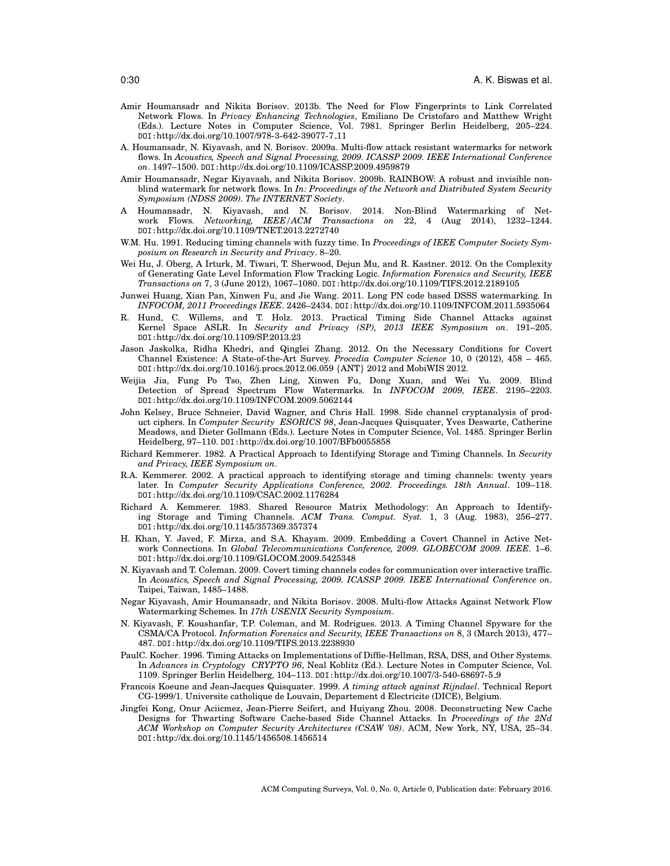- Amir Houmansadr and Nikita Borisov. 2013b. The Need for Flow Fingerprints to Link Correlated Network Flows. In *Privacy Enhancing Technologies*, Emiliano De Cristofaro and Matthew Wright (Eds.). Lecture Notes in Computer Science, Vol. 7981. Springer Berlin Heidelberg, 205–224. DOI:http://dx.doi.org/10.1007/978-3-642-39077-7 11
- A. Houmansadr, N. Kiyavash, and N. Borisov. 2009a. Multi-flow attack resistant watermarks for network flows. In *Acoustics, Speech and Signal Processing, 2009. ICASSP 2009. IEEE International Conference on*. 1497–1500. DOI:http://dx.doi.org/10.1109/ICASSP.2009.4959879
- Amir Houmansadr, Negar Kiyavash, and Nikita Borisov. 2009b. RAINBOW: A robust and invisible nonblind watermark for network flows. In *In: Proceedings of the Network and Distributed System Security Symposium (NDSS 2009). The INTERNET Society*.
- A Houmansadr, N. Kiyavash, and N. Borisov. 2014. Non-Blind Watermarking of Network Flows. *Networking, IEEE/ACM Transactions on* 22, 4 (Aug 2014), 1232–1244. DOI:http://dx.doi.org/10.1109/TNET.2013.2272740
- W.M. Hu. 1991. Reducing timing channels with fuzzy time. In *Proceedings of IEEE Computer Society Symposium on Research in Security and Privacy*. 8–20.
- Wei Hu, J. Oberg, A Irturk, M. Tiwari, T. Sherwood, Dejun Mu, and R. Kastner. 2012. On the Complexity of Generating Gate Level Information Flow Tracking Logic. *Information Forensics and Security, IEEE Transactions on* 7, 3 (June 2012), 1067–1080. DOI:http://dx.doi.org/10.1109/TIFS.2012.2189105
- Junwei Huang, Xian Pan, Xinwen Fu, and Jie Wang. 2011. Long PN code based DSSS watermarking. In *INFOCOM, 2011 Proceedings IEEE*. 2426–2434. DOI:http://dx.doi.org/10.1109/INFCOM.2011.5935064
- R. Hund, C. Willems, and T. Holz. 2013. Practical Timing Side Channel Attacks against Kernel Space ASLR. In *Security and Privacy (SP), 2013 IEEE Symposium on*. 191–205. DOI:http://dx.doi.org/10.1109/SP.2013.23
- Jason Jaskolka, Ridha Khedri, and Qinglei Zhang. 2012. On the Necessary Conditions for Covert Channel Existence: A State-of-the-Art Survey. *Procedia Computer Science* 10, 0 (2012), 458 – 465. DOI:http://dx.doi.org/10.1016/j.procs.2012.06.059 *{*ANT*}* 2012 and MobiWIS 2012.
- Weijia Jia, Fung Po Tso, Zhen Ling, Xinwen Fu, Dong Xuan, and Wei Yu. 2009. Blind Detection of Spread Spectrum Flow Watermarks. In *INFOCOM 2009, IEEE*. 2195–2203. DOI:http://dx.doi.org/10.1109/INFCOM.2009.5062144
- John Kelsey, Bruce Schneier, David Wagner, and Chris Hall. 1998. Side channel cryptanalysis of product ciphers. In *Computer Security ESORICS 98*, Jean-Jacques Quisquater, Yves Deswarte, Catherine Meadows, and Dieter Gollmann (Eds.). Lecture Notes in Computer Science, Vol. 1485. Springer Berlin Heidelberg, 97–110. DOI:http://dx.doi.org/10.1007/BFb0055858
- Richard Kemmerer. 1982. A Practical Approach to Identifying Storage and Timing Channels. In *Security and Privacy, IEEE Symposium on*.
- R.A. Kemmerer. 2002. A practical approach to identifying storage and timing channels: twenty years later. In *Computer Security Applications Conference, 2002. Proceedings. 18th Annual*. 109–118. DOI:http://dx.doi.org/10.1109/CSAC.2002.1176284
- Richard A. Kemmerer. 1983. Shared Resource Matrix Methodology: An Approach to Identifying Storage and Timing Channels. *ACM Trans. Comput. Syst.* 1, 3 (Aug. 1983), 256–277. DOI:http://dx.doi.org/10.1145/357369.357374
- H. Khan, Y. Javed, F. Mirza, and S.A. Khayam. 2009. Embedding a Covert Channel in Active Network Connections. In *Global Telecommunications Conference, 2009. GLOBECOM 2009. IEEE*. 1–6. DOI:http://dx.doi.org/10.1109/GLOCOM.2009.5425348
- N. Kiyavash and T. Coleman. 2009. Covert timing channels codes for communication over interactive traffic. In *Acoustics, Speech and Signal Processing, 2009. ICASSP 2009. IEEE International Conference on*. Taipei, Taiwan, 1485–1488.
- Negar Kiyavash, Amir Houmansadr, and Nikita Borisov. 2008. Multi-flow Attacks Against Network Flow Watermarking Schemes. In *17th USENIX Security Symposium*.
- N. Kiyavash, F. Koushanfar, T.P. Coleman, and M. Rodrigues. 2013. A Timing Channel Spyware for the CSMA/CA Protocol. *Information Forensics and Security, IEEE Transactions on* 8, 3 (March 2013), 477– 487. DOI:http://dx.doi.org/10.1109/TIFS.2013.2238930
- PaulC. Kocher. 1996. Timing Attacks on Implementations of Diffie-Hellman, RSA, DSS, and Other Systems. In *Advances in Cryptology CRYPTO 96*, Neal Koblitz (Ed.). Lecture Notes in Computer Science, Vol. 1109. Springer Berlin Heidelberg, 104–113. DOI:http://dx.doi.org/10.1007/3-540-68697-5 9
- Francois Koeune and Jean-Jacques Quisquater. 1999. *A timing attack against Rijndael*. Technical Report CG-1999/1. Universite catholique de Louvain, Departement d Electricite (DICE), Belgium.
- Jingfei Kong, Onur Aciicmez, Jean-Pierre Seifert, and Huiyang Zhou. 2008. Deconstructing New Cache Designs for Thwarting Software Cache-based Side Channel Attacks. In *Proceedings of the 2Nd ACM Workshop on Computer Security Architectures (CSAW '08)*. ACM, New York, NY, USA, 25–34. DOI:http://dx.doi.org/10.1145/1456508.1456514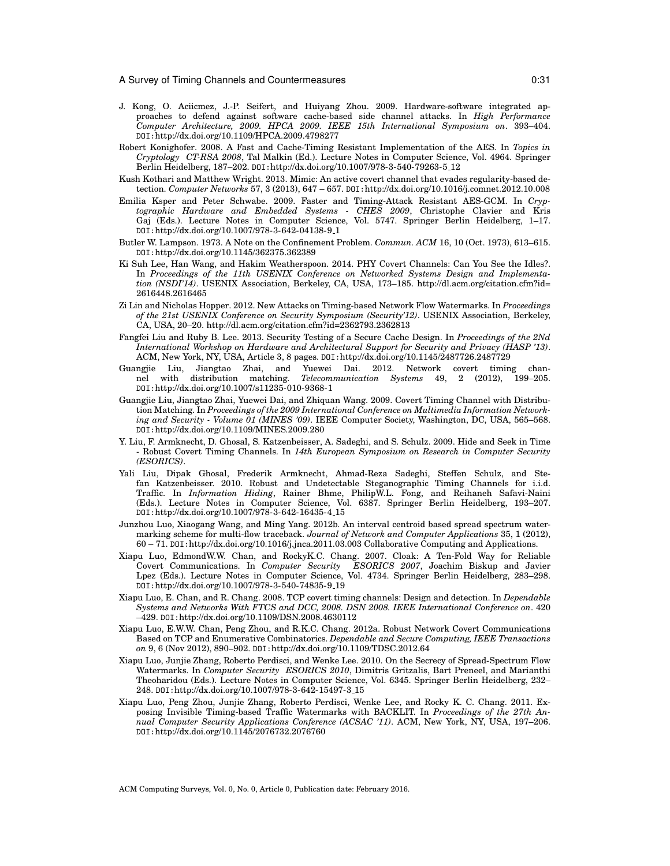- J. Kong, O. Aciicmez, J.-P. Seifert, and Huiyang Zhou. 2009. Hardware-software integrated approaches to defend against software cache-based side channel attacks. In *High Performance Computer Architecture, 2009. HPCA 2009. IEEE 15th International Symposium on*. 393–404. DOI:http://dx.doi.org/10.1109/HPCA.2009.4798277
- Robert Konighofer. 2008. A Fast and Cache-Timing Resistant Implementation of the AES. In *Topics in Cryptology CT-RSA 2008*, Tal Malkin (Ed.). Lecture Notes in Computer Science, Vol. 4964. Springer Berlin Heidelberg, 187–202. DOI:http://dx.doi.org/10.1007/978-3-540-79263-5 12
- Kush Kothari and Matthew Wright. 2013. Mimic: An active covert channel that evades regularity-based detection. *Computer Networks* 57, 3 (2013), 647 – 657. DOI:http://dx.doi.org/10.1016/j.comnet.2012.10.008
- Emilia Ksper and Peter Schwabe. 2009. Faster and Timing-Attack Resistant AES-GCM. In *Cryptographic Hardware and Embedded Systems - CHES 2009*, Christophe Clavier and Kris Gaj (Eds.). Lecture Notes in Computer Science, Vol. 5747. Springer Berlin Heidelberg, 1–17. DOI:http://dx.doi.org/10.1007/978-3-642-04138-9 1
- Butler W. Lampson. 1973. A Note on the Confinement Problem. *Commun. ACM* 16, 10 (Oct. 1973), 613–615. DOI:http://dx.doi.org/10.1145/362375.362389
- Ki Suh Lee, Han Wang, and Hakim Weatherspoon. 2014. PHY Covert Channels: Can You See the Idles?. In *Proceedings of the 11th USENIX Conference on Networked Systems Design and Implementation (NSDI'14)*. USENIX Association, Berkeley, CA, USA, 173–185. http://dl.acm.org/citation.cfm?id= 2616448.2616465
- Zi Lin and Nicholas Hopper. 2012. New Attacks on Timing-based Network Flow Watermarks. In *Proceedings of the 21st USENIX Conference on Security Symposium (Security'12)*. USENIX Association, Berkeley, CA, USA, 20–20. http://dl.acm.org/citation.cfm?id=2362793.2362813
- Fangfei Liu and Ruby B. Lee. 2013. Security Testing of a Secure Cache Design. In *Proceedings of the 2Nd International Workshop on Hardware and Architectural Support for Security and Privacy (HASP '13)*. ACM, New York, NY, USA, Article 3, 8 pages. DOI:http://dx.doi.org/10.1145/2487726.2487729
- Guangjie Liu, Jiangtao Zhai, and Yuewei Dai. 2012. Network covert timing chan-<br>nel with distribution matching. Telecommunication Systems 49, 2 (2012), 199–205. nel material distribution distribution Systems 49, 2 (2012), DOI:http://dx.doi.org/10.1007/s11235-010-9368-1
- Guangjie Liu, Jiangtao Zhai, Yuewei Dai, and Zhiquan Wang. 2009. Covert Timing Channel with Distribution Matching. In *Proceedings of the 2009 International Conference on Multimedia Information Networking and Security - Volume 01 (MINES '09)*. IEEE Computer Society, Washington, DC, USA, 565–568. DOI:http://dx.doi.org/10.1109/MINES.2009.280
- Y. Liu, F. Armknecht, D. Ghosal, S. Katzenbeisser, A. Sadeghi, and S. Schulz. 2009. Hide and Seek in Time - Robust Covert Timing Channels. In *14th European Symposium on Research in Computer Security (ESORICS)*.
- Yali Liu, Dipak Ghosal, Frederik Armknecht, Ahmad-Reza Sadeghi, Steffen Schulz, and Stefan Katzenbeisser. 2010. Robust and Undetectable Steganographic Timing Channels for i.i.d. Traffic. In *Information Hiding*, Rainer Bhme, PhilipW.L. Fong, and Reihaneh Safavi-Naini (Eds.). Lecture Notes in Computer Science, Vol. 6387. Springer Berlin Heidelberg, 193–207. DOI:http://dx.doi.org/10.1007/978-3-642-16435-4 15
- Junzhou Luo, Xiaogang Wang, and Ming Yang. 2012b. An interval centroid based spread spectrum watermarking scheme for multi-flow traceback. *Journal of Network and Computer Applications* 35, 1 (2012), 60 – 71. DOI:http://dx.doi.org/10.1016/j.jnca.2011.03.003 Collaborative Computing and Applications.
- Xiapu Luo, EdmondW.W. Chan, and RockyK.C. Chang. 2007. Cloak: A Ten-Fold Way for Reliable Covert Communications. In *Computer Security ESORICS 2007*, Joachim Biskup and Javier Lpez (Eds.). Lecture Notes in Computer Science, Vol. 4734. Springer Berlin Heidelberg, 283–298. DOI:http://dx.doi.org/10.1007/978-3-540-74835-9 19
- Xiapu Luo, E. Chan, and R. Chang. 2008. TCP covert timing channels: Design and detection. In *Dependable Systems and Networks With FTCS and DCC, 2008. DSN 2008. IEEE International Conference on*. 420 –429. DOI:http://dx.doi.org/10.1109/DSN.2008.4630112
- Xiapu Luo, E.W.W. Chan, Peng Zhou, and R.K.C. Chang. 2012a. Robust Network Covert Communications Based on TCP and Enumerative Combinatorics. *Dependable and Secure Computing, IEEE Transactions on* 9, 6 (Nov 2012), 890–902. DOI:http://dx.doi.org/10.1109/TDSC.2012.64
- Xiapu Luo, Junjie Zhang, Roberto Perdisci, and Wenke Lee. 2010. On the Secrecy of Spread-Spectrum Flow Watermarks. In *Computer Security ESORICS 2010*, Dimitris Gritzalis, Bart Preneel, and Marianthi Theoharidou (Eds.). Lecture Notes in Computer Science, Vol. 6345. Springer Berlin Heidelberg, 232– 248. DOI:http://dx.doi.org/10.1007/978-3-642-15497-3 15
- Xiapu Luo, Peng Zhou, Junjie Zhang, Roberto Perdisci, Wenke Lee, and Rocky K. C. Chang. 2011. Exposing Invisible Timing-based Traffic Watermarks with BACKLIT. In *Proceedings of the 27th Annual Computer Security Applications Conference (ACSAC '11)*. ACM, New York, NY, USA, 197–206. DOI:http://dx.doi.org/10.1145/2076732.2076760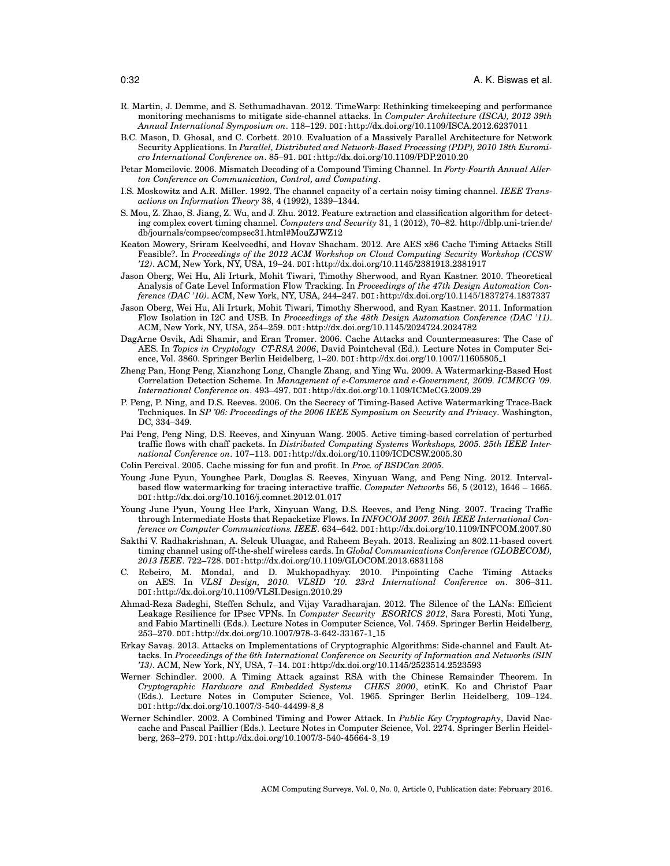- R. Martin, J. Demme, and S. Sethumadhavan. 2012. TimeWarp: Rethinking timekeeping and performance monitoring mechanisms to mitigate side-channel attacks. In *Computer Architecture (ISCA), 2012 39th Annual International Symposium on*. 118–129. DOI:http://dx.doi.org/10.1109/ISCA.2012.6237011
- B.C. Mason, D. Ghosal, and C. Corbett. 2010. Evaluation of a Massively Parallel Architecture for Network Security Applications. In *Parallel, Distributed and Network-Based Processing (PDP), 2010 18th Euromicro International Conference on*. 85–91. DOI:http://dx.doi.org/10.1109/PDP.2010.20
- Petar Momcilovic. 2006. Mismatch Decoding of a Compound Timing Channel. In *Forty-Fourth Annual Allerton Conference on Communication, Control, and Computing*.
- I.S. Moskowitz and A.R. Miller. 1992. The channel capacity of a certain noisy timing channel. *IEEE Transactions on Information Theory* 38, 4 (1992), 1339–1344.
- S. Mou, Z. Zhao, S. Jiang, Z. Wu, and J. Zhu. 2012. Feature extraction and classification algorithm for detecting complex covert timing channel. *Computers and Security* 31, 1 (2012), 70–82. http://dblp.uni-trier.de/ db/journals/compsec/compsec31.html#MouZJWZ12
- Keaton Mowery, Sriram Keelveedhi, and Hovav Shacham. 2012. Are AES x86 Cache Timing Attacks Still Feasible?. In *Proceedings of the 2012 ACM Workshop on Cloud Computing Security Workshop (CCSW '12)*. ACM, New York, NY, USA, 19–24. DOI:http://dx.doi.org/10.1145/2381913.2381917
- Jason Oberg, Wei Hu, Ali Irturk, Mohit Tiwari, Timothy Sherwood, and Ryan Kastner. 2010. Theoretical Analysis of Gate Level Information Flow Tracking. In *Proceedings of the 47th Design Automation Conference (DAC '10)*. ACM, New York, NY, USA, 244–247. DOI:http://dx.doi.org/10.1145/1837274.1837337
- Jason Oberg, Wei Hu, Ali Irturk, Mohit Tiwari, Timothy Sherwood, and Ryan Kastner. 2011. Information Flow Isolation in I2C and USB. In *Proceedings of the 48th Design Automation Conference (DAC '11)*. ACM, New York, NY, USA, 254–259. DOI:http://dx.doi.org/10.1145/2024724.2024782
- DagArne Osvik, Adi Shamir, and Eran Tromer. 2006. Cache Attacks and Countermeasures: The Case of AES. In *Topics in Cryptology CT-RSA 2006*, David Pointcheval (Ed.). Lecture Notes in Computer Science, Vol. 3860. Springer Berlin Heidelberg, 1-20. D0I:http://dx.doi.org/10.1007/11605805<sub>-1</sub>
- Zheng Pan, Hong Peng, Xianzhong Long, Changle Zhang, and Ying Wu. 2009. A Watermarking-Based Host Correlation Detection Scheme. In *Management of e-Commerce and e-Government, 2009. ICMECG '09. International Conference on*. 493–497. DOI:http://dx.doi.org/10.1109/ICMeCG.2009.29
- P. Peng, P. Ning, and D.S. Reeves. 2006. On the Secrecy of Timing-Based Active Watermarking Trace-Back Techniques. In *SP '06: Proceedings of the 2006 IEEE Symposium on Security and Privacy*. Washington, DC, 334–349.
- Pai Peng, Peng Ning, D.S. Reeves, and Xinyuan Wang. 2005. Active timing-based correlation of perturbed traffic flows with chaff packets. In *Distributed Computing Systems Workshops, 2005. 25th IEEE International Conference on*. 107–113. DOI:http://dx.doi.org/10.1109/ICDCSW.2005.30
- Colin Percival. 2005. Cache missing for fun and profit. In *Proc. of BSDCan 2005*.
- Young June Pyun, Younghee Park, Douglas S. Reeves, Xinyuan Wang, and Peng Ning. 2012. Intervalbased flow watermarking for tracing interactive traffic. *Computer Networks* 56, 5 (2012), 1646 – 1665. DOI:http://dx.doi.org/10.1016/j.comnet.2012.01.017
- Young June Pyun, Young Hee Park, Xinyuan Wang, D.S. Reeves, and Peng Ning. 2007. Tracing Traffic through Intermediate Hosts that Repacketize Flows. In *INFOCOM 2007. 26th IEEE International Conference on Computer Communications. IEEE*. 634–642. DOI:http://dx.doi.org/10.1109/INFCOM.2007.80
- Sakthi V. Radhakrishnan, A. Selcuk Uluagac, and Raheem Beyah. 2013. Realizing an 802.11-based covert timing channel using off-the-shelf wireless cards. In *Global Communications Conference (GLOBECOM), 2013 IEEE*. 722–728. DOI:http://dx.doi.org/10.1109/GLOCOM.2013.6831158
- C. Rebeiro, M. Mondal, and D. Mukhopadhyay. 2010. Pinpointing Cache Timing Attacks on AES. In *VLSI Design, 2010. VLSID '10. 23rd International Conference on*. 306–311. DOI:http://dx.doi.org/10.1109/VLSI.Design.2010.29
- Ahmad-Reza Sadeghi, Steffen Schulz, and Vijay Varadharajan. 2012. The Silence of the LANs: Efficient Leakage Resilience for IPsec VPNs. In *Computer Security ESORICS 2012*, Sara Foresti, Moti Yung, and Fabio Martinelli (Eds.). Lecture Notes in Computer Science, Vol. 7459. Springer Berlin Heidelberg, 253–270. DOI:http://dx.doi.org/10.1007/978-3-642-33167-1 15
- Erkay Savas¸. 2013. Attacks on Implementations of Cryptographic Algorithms: Side-channel and Fault Attacks. In *Proceedings of the 6th International Conference on Security of Information and Networks (SIN '13)*. ACM, New York, NY, USA, 7–14. DOI:http://dx.doi.org/10.1145/2523514.2523593
- Werner Schindler. 2000. A Timing Attack against RSA with the Chinese Remainder Theorem. In *Cryptographic Hardware and Embedded Systems CHES 2000*, etinK. Ko and Christof Paar (Eds.). Lecture Notes in Computer Science, Vol. 1965. Springer Berlin Heidelberg, 109–124. DOI:http://dx.doi.org/10.1007/3-540-44499-8 8
- Werner Schindler. 2002. A Combined Timing and Power Attack. In *Public Key Cryptography*, David Naccache and Pascal Paillier (Eds.). Lecture Notes in Computer Science, Vol. 2274. Springer Berlin Heidelberg, 263–279. DOI:http://dx.doi.org/10.1007/3-540-45664-3 19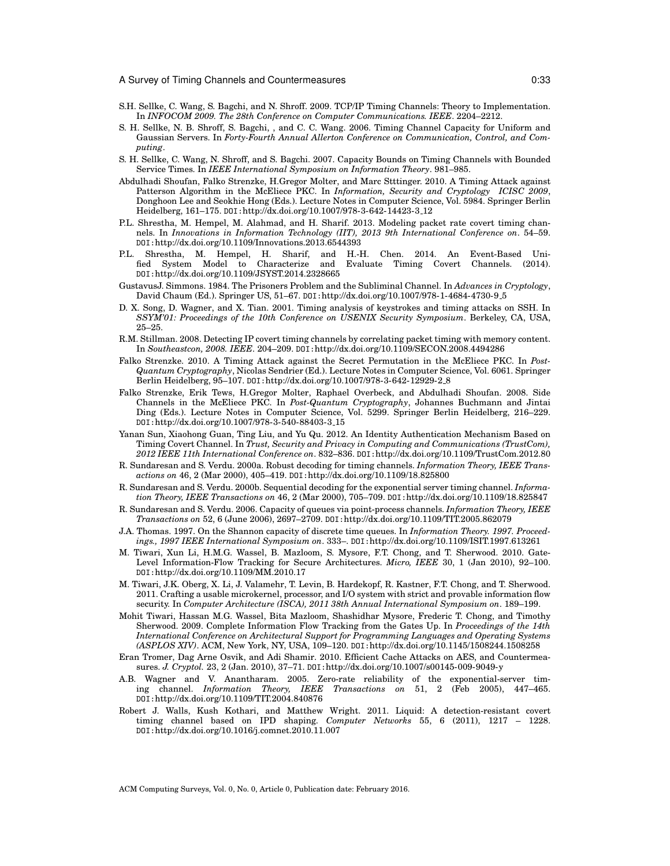- S.H. Sellke, C. Wang, S. Bagchi, and N. Shroff. 2009. TCP/IP Timing Channels: Theory to Implementation. In *INFOCOM 2009. The 28th Conference on Computer Communications. IEEE*. 2204–2212.
- S. H. Sellke, N. B. Shroff, S. Bagchi, , and C. C. Wang. 2006. Timing Channel Capacity for Uniform and Gaussian Servers. In *Forty-Fourth Annual Allerton Conference on Communication, Control, and Computing*.
- S. H. Sellke, C. Wang, N. Shroff, and S. Bagchi. 2007. Capacity Bounds on Timing Channels with Bounded Service Times. In *IEEE International Symposium on Information Theory*. 981–985.
- Abdulhadi Shoufan, Falko Strenzke, H.Gregor Molter, and Marc Stttinger. 2010. A Timing Attack against Patterson Algorithm in the McEliece PKC. In *Information, Security and Cryptology ICISC 2009*, Donghoon Lee and Seokhie Hong (Eds.). Lecture Notes in Computer Science, Vol. 5984. Springer Berlin Heidelberg, 161–175. DOI:http://dx.doi.org/10.1007/978-3-642-14423-3 12
- P.L. Shrestha, M. Hempel, M. Alahmad, and H. Sharif. 2013. Modeling packet rate covert timing channels. In *Innovations in Information Technology (IIT), 2013 9th International Conference on*. 54–59. DOI:http://dx.doi.org/10.1109/Innovations.2013.6544393
- P.L. Shrestha, M. Hempel, H. Sharif, and H.-H. Chen. 2014. An Event-Based Unified System Model to Characterize and Evaluate Timing Covert Channels. (2014). DOI:http://dx.doi.org/10.1109/JSYST.2014.2328665
- GustavusJ. Simmons. 1984. The Prisoners Problem and the Subliminal Channel. In *Advances in Cryptology*, David Chaum (Ed.). Springer US, 51–67. D0I:http://dx.doi.org/10.1007/978-1-4684-4730-9<sub>-</sub>5
- D. X. Song, D. Wagner, and X. Tian. 2001. Timing analysis of keystrokes and timing attacks on SSH. In *SSYM'01: Proceedings of the 10th Conference on USENIX Security Symposium*. Berkeley, CA, USA, 25–25.
- R.M. Stillman. 2008. Detecting IP covert timing channels by correlating packet timing with memory content. In *Southeastcon, 2008. IEEE*. 204–209. DOI:http://dx.doi.org/10.1109/SECON.2008.4494286
- Falko Strenzke. 2010. A Timing Attack against the Secret Permutation in the McEliece PKC. In *Post-Quantum Cryptography*, Nicolas Sendrier (Ed.). Lecture Notes in Computer Science, Vol. 6061. Springer Berlin Heidelberg, 95–107. DOI:http://dx.doi.org/10.1007/978-3-642-12929-2 8
- Falko Strenzke, Erik Tews, H.Gregor Molter, Raphael Overbeck, and Abdulhadi Shoufan. 2008. Side Channels in the McEliece PKC. In *Post-Quantum Cryptography*, Johannes Buchmann and Jintai Ding (Eds.). Lecture Notes in Computer Science, Vol. 5299. Springer Berlin Heidelberg, 216–229. DOI:http://dx.doi.org/10.1007/978-3-540-88403-3 15
- Yanan Sun, Xiaohong Guan, Ting Liu, and Yu Qu. 2012. An Identity Authentication Mechanism Based on Timing Covert Channel. In *Trust, Security and Privacy in Computing and Communications (TrustCom), 2012 IEEE 11th International Conference on*. 832–836. DOI:http://dx.doi.org/10.1109/TrustCom.2012.80
- R. Sundaresan and S. Verdu. 2000a. Robust decoding for timing channels. *Information Theory, IEEE Transactions on* 46, 2 (Mar 2000), 405–419. DOI:http://dx.doi.org/10.1109/18.825800
- R. Sundaresan and S. Verdu. 2000b. Sequential decoding for the exponential server timing channel. *Information Theory, IEEE Transactions on* 46, 2 (Mar 2000), 705–709. DOI:http://dx.doi.org/10.1109/18.825847
- R. Sundaresan and S. Verdu. 2006. Capacity of queues via point-process channels. *Information Theory, IEEE Transactions on* 52, 6 (June 2006), 2697–2709. DOI:http://dx.doi.org/10.1109/TIT.2005.862079
- J.A. Thomas. 1997. On the Shannon capacity of discrete time queues. In *Information Theory. 1997. Proceedings., 1997 IEEE International Symposium on*. 333–. DOI:http://dx.doi.org/10.1109/ISIT.1997.613261
- M. Tiwari, Xun Li, H.M.G. Wassel, B. Mazloom, S. Mysore, F.T. Chong, and T. Sherwood. 2010. Gate-Level Information-Flow Tracking for Secure Architectures. *Micro, IEEE* 30, 1 (Jan 2010), 92–100. DOI:http://dx.doi.org/10.1109/MM.2010.17
- M. Tiwari, J.K. Oberg, X. Li, J. Valamehr, T. Levin, B. Hardekopf, R. Kastner, F.T. Chong, and T. Sherwood. 2011. Crafting a usable microkernel, processor, and I/O system with strict and provable information flow security. In *Computer Architecture (ISCA), 2011 38th Annual International Symposium on*. 189–199.
- Mohit Tiwari, Hassan M.G. Wassel, Bita Mazloom, Shashidhar Mysore, Frederic T. Chong, and Timothy Sherwood. 2009. Complete Information Flow Tracking from the Gates Up. In *Proceedings of the 14th International Conference on Architectural Support for Programming Languages and Operating Systems (ASPLOS XIV)*. ACM, New York, NY, USA, 109–120. DOI:http://dx.doi.org/10.1145/1508244.1508258
- Eran Tromer, Dag Arne Osvik, and Adi Shamir. 2010. Efficient Cache Attacks on AES, and Countermeasures. *J. Cryptol.* 23, 2 (Jan. 2010), 37–71. DOI:http://dx.doi.org/10.1007/s00145-009-9049-y
- A.B. Wagner and V. Anantharam. 2005. Zero-rate reliability of the exponential-server timing channel. *Information Theory, IEEE Transactions on* 51, 2 (Feb 2005), 447–465. DOI:http://dx.doi.org/10.1109/TIT.2004.840876
- Robert J. Walls, Kush Kothari, and Matthew Wright. 2011. Liquid: A detection-resistant covert timing channel based on IPD shaping. *Computer Networks* 55, 6 (2011), 1217 – 1228. DOI:http://dx.doi.org/10.1016/j.comnet.2010.11.007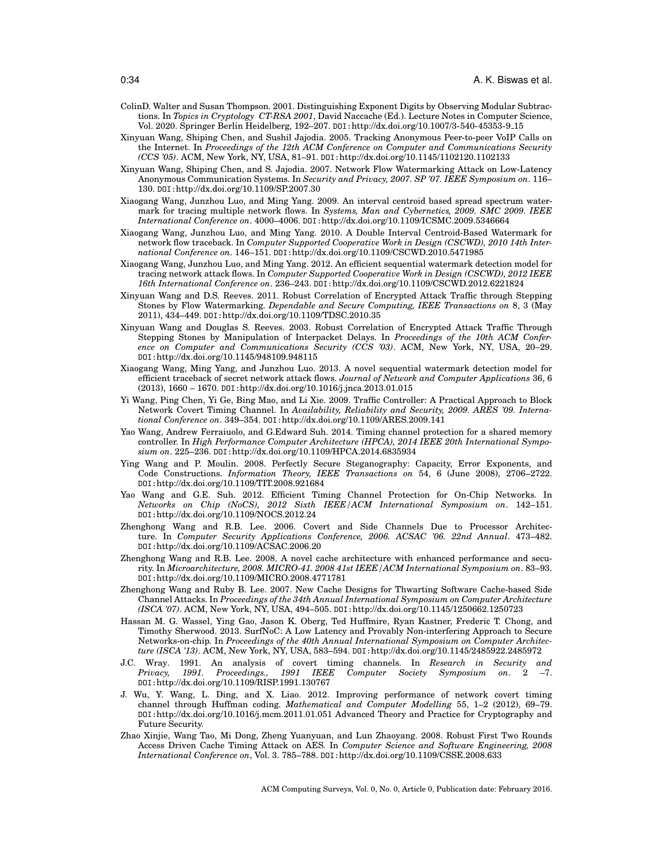- ColinD. Walter and Susan Thompson. 2001. Distinguishing Exponent Digits by Observing Modular Subtractions. In *Topics in Cryptology CT-RSA 2001*, David Naccache (Ed.). Lecture Notes in Computer Science, Vol. 2020. Springer Berlin Heidelberg, 192–207. DOI:http://dx.doi.org/10.1007/3-540-45353-9 15
- Xinyuan Wang, Shiping Chen, and Sushil Jajodia. 2005. Tracking Anonymous Peer-to-peer VoIP Calls on the Internet. In *Proceedings of the 12th ACM Conference on Computer and Communications Security (CCS '05)*. ACM, New York, NY, USA, 81–91. DOI:http://dx.doi.org/10.1145/1102120.1102133
- Xinyuan Wang, Shiping Chen, and S. Jajodia. 2007. Network Flow Watermarking Attack on Low-Latency Anonymous Communication Systems. In *Security and Privacy, 2007. SP '07. IEEE Symposium on*. 116– 130. DOI:http://dx.doi.org/10.1109/SP.2007.30
- Xiaogang Wang, Junzhou Luo, and Ming Yang. 2009. An interval centroid based spread spectrum watermark for tracing multiple network flows. In *Systems, Man and Cybernetics, 2009. SMC 2009. IEEE International Conference on*. 4000–4006. DOI:http://dx.doi.org/10.1109/ICSMC.2009.5346664
- Xiaogang Wang, Junzhou Luo, and Ming Yang. 2010. A Double Interval Centroid-Based Watermark for network flow traceback. In *Computer Supported Cooperative Work in Design (CSCWD), 2010 14th International Conference on*. 146–151. DOI:http://dx.doi.org/10.1109/CSCWD.2010.5471985
- Xiaogang Wang, Junzhou Luo, and Ming Yang. 2012. An efficient sequential watermark detection model for tracing network attack flows. In *Computer Supported Cooperative Work in Design (CSCWD), 2012 IEEE 16th International Conference on*. 236–243. DOI:http://dx.doi.org/10.1109/CSCWD.2012.6221824
- Xinyuan Wang and D.S. Reeves. 2011. Robust Correlation of Encrypted Attack Traffic through Stepping Stones by Flow Watermarking. *Dependable and Secure Computing, IEEE Transactions on* 8, 3 (May 2011), 434–449. DOI:http://dx.doi.org/10.1109/TDSC.2010.35
- Xinyuan Wang and Douglas S. Reeves. 2003. Robust Correlation of Encrypted Attack Traffic Through Stepping Stones by Manipulation of Interpacket Delays. In *Proceedings of the 10th ACM Conference on Computer and Communications Security (CCS '03)*. ACM, New York, NY, USA, 20–29. DOI:http://dx.doi.org/10.1145/948109.948115
- Xiaogang Wang, Ming Yang, and Junzhou Luo. 2013. A novel sequential watermark detection model for efficient traceback of secret network attack flows. *Journal of Network and Computer Applications* 36, 6 (2013), 1660 – 1670. DOI:http://dx.doi.org/10.1016/j.jnca.2013.01.015
- Yi Wang, Ping Chen, Yi Ge, Bing Mao, and Li Xie. 2009. Traffic Controller: A Practical Approach to Block Network Covert Timing Channel. In *Availability, Reliability and Security, 2009. ARES '09. International Conference on*. 349–354. DOI:http://dx.doi.org/10.1109/ARES.2009.141
- Yao Wang, Andrew Ferraiuolo, and G.Edward Suh. 2014. Timing channel protection for a shared memory controller. In *High Performance Computer Architecture (HPCA), 2014 IEEE 20th International Symposium on*. 225–236. DOI:http://dx.doi.org/10.1109/HPCA.2014.6835934
- Ying Wang and P. Moulin. 2008. Perfectly Secure Steganography: Capacity, Error Exponents, and Code Constructions. *Information Theory, IEEE Transactions on* 54, 6 (June 2008), 2706–2722. DOI:http://dx.doi.org/10.1109/TIT.2008.921684
- Yao Wang and G.E. Suh. 2012. Efficient Timing Channel Protection for On-Chip Networks. In *Networks on Chip (NoCS), 2012 Sixth IEEE/ACM International Symposium on*. 142–151. DOI:http://dx.doi.org/10.1109/NOCS.2012.24
- Zhenghong Wang and R.B. Lee. 2006. Covert and Side Channels Due to Processor Architecture. In *Computer Security Applications Conference, 2006. ACSAC '06. 22nd Annual*. 473–482. DOI:http://dx.doi.org/10.1109/ACSAC.2006.20
- Zhenghong Wang and R.B. Lee. 2008. A novel cache architecture with enhanced performance and security. In *Microarchitecture, 2008. MICRO-41. 2008 41st IEEE/ACM International Symposium on*. 83–93. DOI:http://dx.doi.org/10.1109/MICRO.2008.4771781
- Zhenghong Wang and Ruby B. Lee. 2007. New Cache Designs for Thwarting Software Cache-based Side Channel Attacks. In *Proceedings of the 34th Annual International Symposium on Computer Architecture (ISCA '07)*. ACM, New York, NY, USA, 494–505. DOI:http://dx.doi.org/10.1145/1250662.1250723
- Hassan M. G. Wassel, Ying Gao, Jason K. Oberg, Ted Huffmire, Ryan Kastner, Frederic T. Chong, and Timothy Sherwood. 2013. SurfNoC: A Low Latency and Provably Non-interfering Approach to Secure Networks-on-chip. In *Proceedings of the 40th Annual International Symposium on Computer Architecture (ISCA '13)*. ACM, New York, NY, USA, 583–594. DOI:http://dx.doi.org/10.1145/2485922.2485972
- J.C. Wray. 1991. An analysis of covert timing channels. In *Research in Security and Privacy, 1991. Proceedings., 1991 IEEE Computer Society Symposium on*. 2 –7. DOI:http://dx.doi.org/10.1109/RISP.1991.130767
- J. Wu, Y. Wang, L. Ding, and X. Liao. 2012. Improving performance of network covert timing channel through Huffman coding. *Mathematical and Computer Modelling* 55, 1–2 (2012), 69–79. DOI:http://dx.doi.org/10.1016/j.mcm.2011.01.051 Advanced Theory and Practice for Cryptography and Future Security.
- Zhao Xinjie, Wang Tao, Mi Dong, Zheng Yuanyuan, and Lun Zhaoyang. 2008. Robust First Two Rounds Access Driven Cache Timing Attack on AES. In *Computer Science and Software Engineering, 2008 International Conference on*, Vol. 3. 785–788. DOI:http://dx.doi.org/10.1109/CSSE.2008.633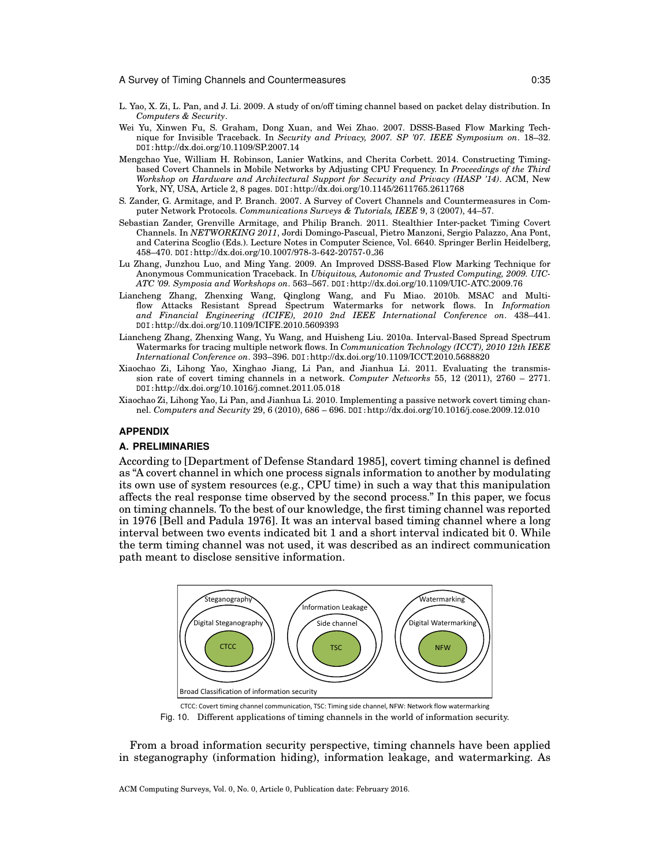- L. Yao, X. Zi, L. Pan, and J. Li. 2009. A study of on/off timing channel based on packet delay distribution. In *Computers & Security*.
- Wei Yu, Xinwen Fu, S. Graham, Dong Xuan, and Wei Zhao. 2007. DSSS-Based Flow Marking Technique for Invisible Traceback. In *Security and Privacy, 2007. SP '07. IEEE Symposium on*. 18–32. DOI:http://dx.doi.org/10.1109/SP.2007.14
- Mengchao Yue, William H. Robinson, Lanier Watkins, and Cherita Corbett. 2014. Constructing Timingbased Covert Channels in Mobile Networks by Adjusting CPU Frequency. In *Proceedings of the Third Workshop on Hardware and Architectural Support for Security and Privacy (HASP '14)*. ACM, New York, NY, USA, Article 2, 8 pages. DOI:http://dx.doi.org/10.1145/2611765.2611768
- S. Zander, G. Armitage, and P. Branch. 2007. A Survey of Covert Channels and Countermeasures in Computer Network Protocols. *Communications Surveys & Tutorials, IEEE* 9, 3 (2007), 44–57.
- Sebastian Zander, Grenville Armitage, and Philip Branch. 2011. Stealthier Inter-packet Timing Covert Channels. In *NETWORKING 2011*, Jordi Domingo-Pascual, Pietro Manzoni, Sergio Palazzo, Ana Pont, and Caterina Scoglio (Eds.). Lecture Notes in Computer Science, Vol. 6640. Springer Berlin Heidelberg, 458–470. DOI:http://dx.doi.org/10.1007/978-3-642-20757-0 36
- Lu Zhang, Junzhou Luo, and Ming Yang. 2009. An Improved DSSS-Based Flow Marking Technique for Anonymous Communication Traceback. In *Ubiquitous, Autonomic and Trusted Computing, 2009. UIC-ATC '09. Symposia and Workshops on*. 563–567. DOI:http://dx.doi.org/10.1109/UIC-ATC.2009.76
- Liancheng Zhang, Zhenxing Wang, Qinglong Wang, and Fu Miao. 2010b. MSAC and Multiflow Attacks Resistant Spread Spectrum Watermarks for network flows. In *Information and Financial Engineering (ICIFE), 2010 2nd IEEE International Conference on*. 438–441. DOI:http://dx.doi.org/10.1109/ICIFE.2010.5609393
- Liancheng Zhang, Zhenxing Wang, Yu Wang, and Huisheng Liu. 2010a. Interval-Based Spread Spectrum Watermarks for tracing multiple network flows. In *Communication Technology (ICCT), 2010 12th IEEE International Conference on*. 393–396. DOI:http://dx.doi.org/10.1109/ICCT.2010.5688820
- Xiaochao Zi, Lihong Yao, Xinghao Jiang, Li Pan, and Jianhua Li. 2011. Evaluating the transmission rate of covert timing channels in a network. *Computer Networks* 55, 12 (2011), 2760 – 2771. DOI:http://dx.doi.org/10.1016/j.comnet.2011.05.018
- Xiaochao Zi, Lihong Yao, Li Pan, and Jianhua Li. 2010. Implementing a passive network covert timing channel. *Computers and Security* 29, 6 (2010), 686 – 696. DOI:http://dx.doi.org/10.1016/j.cose.2009.12.010

### **APPENDIX**

#### **A. PRELIMINARIES**

According to [Department of Defense Standard 1985], covert timing channel is defined as "A covert channel in which one process signals information to another by modulating its own use of system resources (e.g., CPU time) in such a way that this manipulation affects the real response time observed by the second process." In this paper, we focus on timing channels. To the best of our knowledge, the first timing channel was reported in 1976 [Bell and Padula 1976]. It was an interval based timing channel where a long interval between two events indicated bit 1 and a short interval indicated bit 0. While the term timing channel was not used, it was described as an indirect communication path meant to disclose sensitive information.



CTCC: Covert timing channel communication, TSC: Timing side channel, NFW: Network flow watermarking Fig. 10. Different applications of timing channels in the world of information security.

From a broad information security perspective, timing channels have been applied in steganography (information hiding), information leakage, and watermarking. As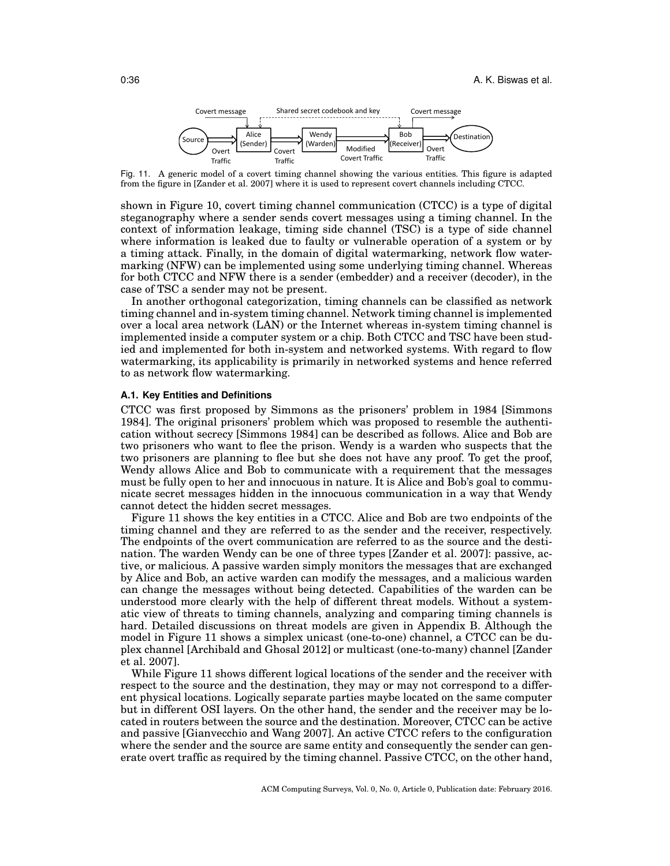

Fig. 11. A generic model of a covert timing channel showing the various entities. This figure is adapted from the figure in [Zander et al. 2007] where it is used to represent covert channels including CTCC.

shown in Figure 10, covert timing channel communication (CTCC) is a type of digital steganography where a sender sends covert messages using a timing channel. In the context of information leakage, timing side channel (TSC) is a type of side channel where information is leaked due to faulty or vulnerable operation of a system or by a timing attack. Finally, in the domain of digital watermarking, network flow watermarking (NFW) can be implemented using some underlying timing channel. Whereas for both CTCC and NFW there is a sender (embedder) and a receiver (decoder), in the case of TSC a sender may not be present.

In another orthogonal categorization, timing channels can be classified as network timing channel and in-system timing channel. Network timing channel is implemented over a local area network (LAN) or the Internet whereas in-system timing channel is implemented inside a computer system or a chip. Both CTCC and TSC have been studied and implemented for both in-system and networked systems. With regard to flow watermarking, its applicability is primarily in networked systems and hence referred to as network flow watermarking.

## **A.1. Key Entities and Definitions**

CTCC was first proposed by Simmons as the prisoners' problem in 1984 [Simmons 1984]. The original prisoners' problem which was proposed to resemble the authentication without secrecy [Simmons 1984] can be described as follows. Alice and Bob are two prisoners who want to flee the prison. Wendy is a warden who suspects that the two prisoners are planning to flee but she does not have any proof. To get the proof, Wendy allows Alice and Bob to communicate with a requirement that the messages must be fully open to her and innocuous in nature. It is Alice and Bob's goal to communicate secret messages hidden in the innocuous communication in a way that Wendy cannot detect the hidden secret messages.

Figure 11 shows the key entities in a CTCC. Alice and Bob are two endpoints of the timing channel and they are referred to as the sender and the receiver, respectively. The endpoints of the overt communication are referred to as the source and the destination. The warden Wendy can be one of three types [Zander et al. 2007]: passive, active, or malicious. A passive warden simply monitors the messages that are exchanged by Alice and Bob, an active warden can modify the messages, and a malicious warden can change the messages without being detected. Capabilities of the warden can be understood more clearly with the help of different threat models. Without a systematic view of threats to timing channels, analyzing and comparing timing channels is hard. Detailed discussions on threat models are given in Appendix B. Although the model in Figure 11 shows a simplex unicast (one-to-one) channel, a CTCC can be duplex channel [Archibald and Ghosal 2012] or multicast (one-to-many) channel [Zander et al. 2007].

While Figure 11 shows different logical locations of the sender and the receiver with respect to the source and the destination, they may or may not correspond to a different physical locations. Logically separate parties maybe located on the same computer but in different OSI layers. On the other hand, the sender and the receiver may be located in routers between the source and the destination. Moreover, CTCC can be active and passive [Gianvecchio and Wang 2007]. An active CTCC refers to the configuration where the sender and the source are same entity and consequently the sender can generate overt traffic as required by the timing channel. Passive CTCC, on the other hand,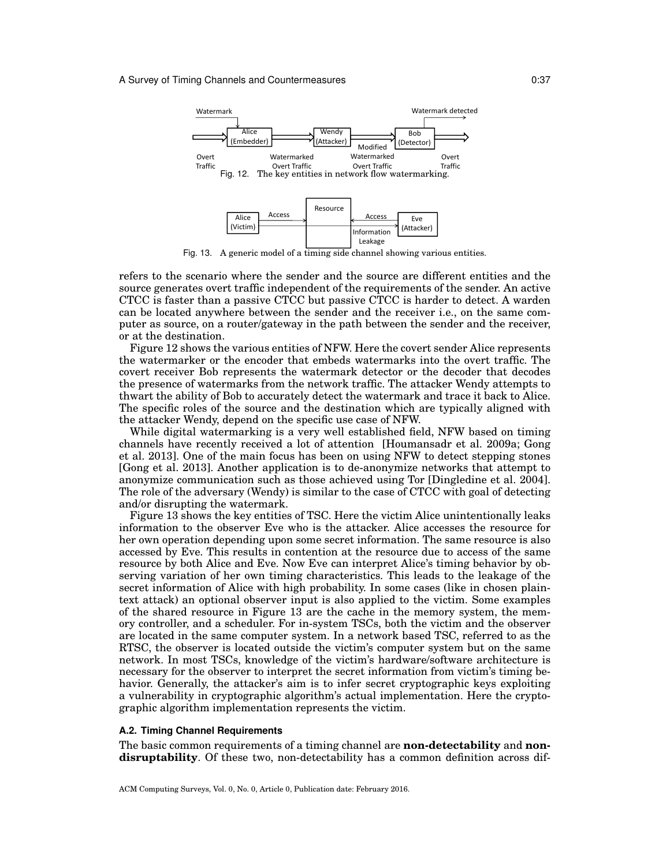

Fig. 13. A generic model of a timing side channel showing various entities.

refers to the scenario where the sender and the source are different entities and the source generates overt traffic independent of the requirements of the sender. An active CTCC is faster than a passive CTCC but passive CTCC is harder to detect. A warden can be located anywhere between the sender and the receiver i.e., on the same computer as source, on a router/gateway in the path between the sender and the receiver, or at the destination.

Figure 12 shows the various entities of NFW. Here the covert sender Alice represents the watermarker or the encoder that embeds watermarks into the overt traffic. The covert receiver Bob represents the watermark detector or the decoder that decodes the presence of watermarks from the network traffic. The attacker Wendy attempts to thwart the ability of Bob to accurately detect the watermark and trace it back to Alice. The specific roles of the source and the destination which are typically aligned with the attacker Wendy, depend on the specific use case of NFW.

While digital watermarking is a very well established field, NFW based on timing channels have recently received a lot of attention [Houmansadr et al. 2009a; Gong et al. 2013]. One of the main focus has been on using NFW to detect stepping stones [Gong et al. 2013]. Another application is to de-anonymize networks that attempt to anonymize communication such as those achieved using Tor [Dingledine et al. 2004]. The role of the adversary (Wendy) is similar to the case of CTCC with goal of detecting and/or disrupting the watermark.

Figure 13 shows the key entities of TSC. Here the victim Alice unintentionally leaks information to the observer Eve who is the attacker. Alice accesses the resource for her own operation depending upon some secret information. The same resource is also accessed by Eve. This results in contention at the resource due to access of the same resource by both Alice and Eve. Now Eve can interpret Alice's timing behavior by observing variation of her own timing characteristics. This leads to the leakage of the secret information of Alice with high probability. In some cases (like in chosen plaintext attack) an optional observer input is also applied to the victim. Some examples of the shared resource in Figure 13 are the cache in the memory system, the memory controller, and a scheduler. For in-system TSCs, both the victim and the observer are located in the same computer system. In a network based TSC, referred to as the RTSC, the observer is located outside the victim's computer system but on the same network. In most TSCs, knowledge of the victim's hardware/software architecture is necessary for the observer to interpret the secret information from victim's timing behavior. Generally, the attacker's aim is to infer secret cryptographic keys exploiting a vulnerability in cryptographic algorithm's actual implementation. Here the cryptographic algorithm implementation represents the victim.

### **A.2. Timing Channel Requirements**

The basic common requirements of a timing channel are **non-detectability** and **nondisruptability**. Of these two, non-detectability has a common definition across dif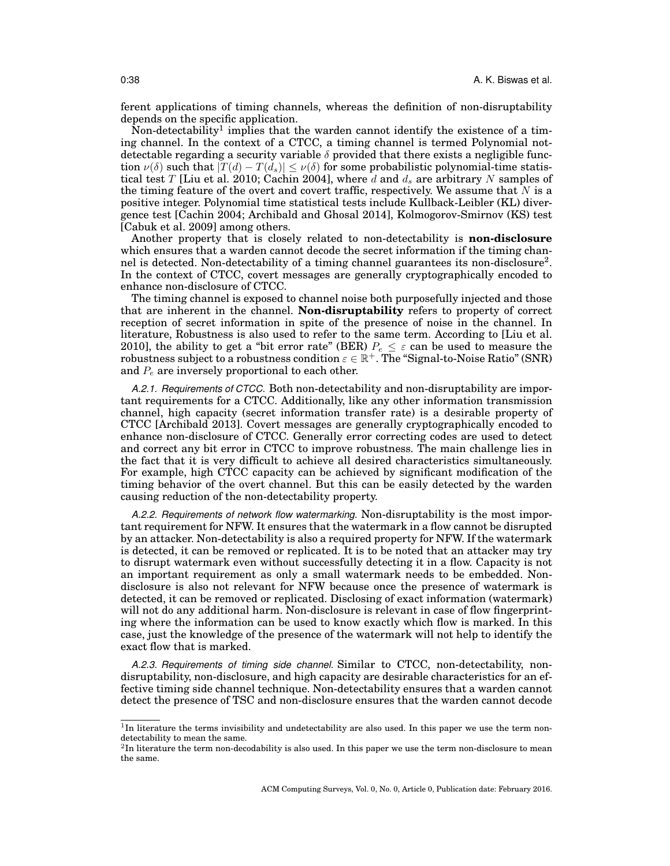ferent applications of timing channels, whereas the definition of non-disruptability depends on the specific application.

Non-detectability<sup>1</sup> implies that the warden cannot identify the existence of a timing channel. In the context of a CTCC, a timing channel is termed Polynomial notdetectable regarding a security variable  $\delta$  provided that there exists a negligible function  $\nu(\delta)$  such that  $|T(d) - T(d_s)| \leq \nu(\delta)$  for some probabilistic polynomial-time statistical test *T* [Liu et al. 2010; Cachin 2004], where *d* and *d<sup>s</sup>* are arbitrary *N* samples of the timing feature of the overt and covert traffic, respectively. We assume that *N* is a positive integer. Polynomial time statistical tests include Kullback-Leibler (KL) divergence test [Cachin 2004; Archibald and Ghosal 2014], Kolmogorov-Smirnov (KS) test [Cabuk et al. 2009] among others.

Another property that is closely related to non-detectability is **non-disclosure** which ensures that a warden cannot decode the secret information if the timing channel is detected. Non-detectability of a timing channel guarantees its non-disclosure<sup>2</sup>. In the context of CTCC, covert messages are generally cryptographically encoded to enhance non-disclosure of CTCC.

The timing channel is exposed to channel noise both purposefully injected and those that are inherent in the channel. **Non-disruptability** refers to property of correct reception of secret information in spite of the presence of noise in the channel. In literature, Robustness is also used to refer to the same term. According to [Liu et al. 2010], the ability to get a "bit error rate" (BER)  $P_e \leq \varepsilon$  can be used to measure the  $\text{robustness subject to a robustness condition } \varepsilon \in \mathbb{R}^+. \text{ The ``Signal-to-Noise Ratio'' (SNR)}$ and *P<sup>e</sup>* are inversely proportional to each other.

*A.2.1. Requirements of CTCC.* Both non-detectability and non-disruptability are important requirements for a CTCC. Additionally, like any other information transmission channel, high capacity (secret information transfer rate) is a desirable property of CTCC [Archibald 2013]. Covert messages are generally cryptographically encoded to enhance non-disclosure of CTCC. Generally error correcting codes are used to detect and correct any bit error in CTCC to improve robustness. The main challenge lies in the fact that it is very difficult to achieve all desired characteristics simultaneously. For example, high CTCC capacity can be achieved by significant modification of the timing behavior of the overt channel. But this can be easily detected by the warden causing reduction of the non-detectability property.

*A.2.2. Requirements of network flow watermarking.* Non-disruptability is the most important requirement for NFW. It ensures that the watermark in a flow cannot be disrupted by an attacker. Non-detectability is also a required property for NFW. If the watermark is detected, it can be removed or replicated. It is to be noted that an attacker may try to disrupt watermark even without successfully detecting it in a flow. Capacity is not an important requirement as only a small watermark needs to be embedded. Nondisclosure is also not relevant for NFW because once the presence of watermark is detected, it can be removed or replicated. Disclosing of exact information (watermark) will not do any additional harm. Non-disclosure is relevant in case of flow fingerprinting where the information can be used to know exactly which flow is marked. In this case, just the knowledge of the presence of the watermark will not help to identify the exact flow that is marked.

*A.2.3. Requirements of timing side channel.* Similar to CTCC, non-detectability, nondisruptability, non-disclosure, and high capacity are desirable characteristics for an effective timing side channel technique. Non-detectability ensures that a warden cannot detect the presence of TSC and non-disclosure ensures that the warden cannot decode

<sup>&</sup>lt;sup>1</sup>In literature the terms invisibility and undetectability are also used. In this paper we use the term nondetectability to mean the same.

 ${}^{2}$ In literature the term non-decodability is also used. In this paper we use the term non-disclosure to mean the same.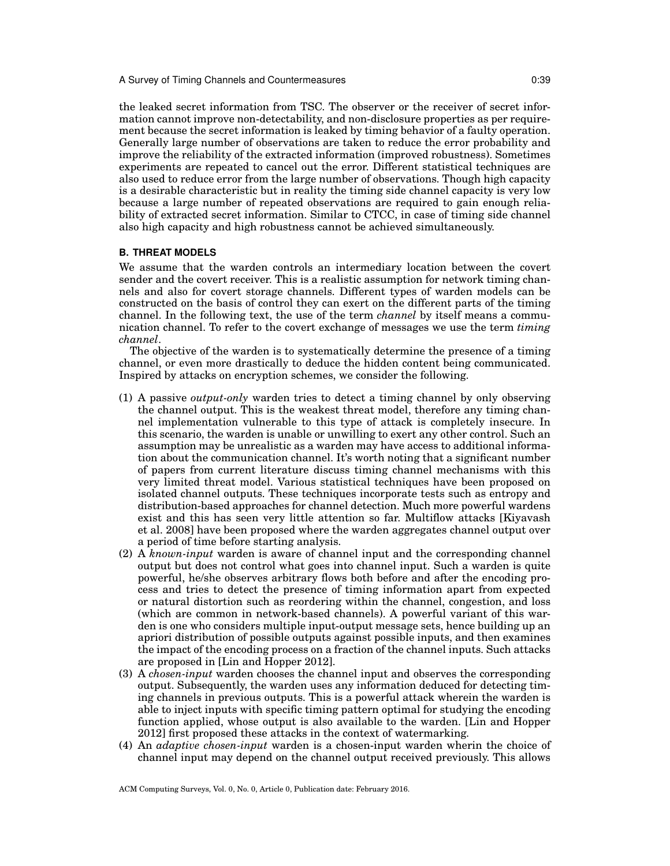the leaked secret information from TSC. The observer or the receiver of secret information cannot improve non-detectability, and non-disclosure properties as per requirement because the secret information is leaked by timing behavior of a faulty operation. Generally large number of observations are taken to reduce the error probability and improve the reliability of the extracted information (improved robustness). Sometimes experiments are repeated to cancel out the error. Different statistical techniques are also used to reduce error from the large number of observations. Though high capacity is a desirable characteristic but in reality the timing side channel capacity is very low because a large number of repeated observations are required to gain enough reliability of extracted secret information. Similar to CTCC, in case of timing side channel also high capacity and high robustness cannot be achieved simultaneously.

## **B. THREAT MODELS**

We assume that the warden controls an intermediary location between the covert sender and the covert receiver. This is a realistic assumption for network timing channels and also for covert storage channels. Different types of warden models can be constructed on the basis of control they can exert on the different parts of the timing channel. In the following text, the use of the term *channel* by itself means a communication channel. To refer to the covert exchange of messages we use the term *timing channel*.

The objective of the warden is to systematically determine the presence of a timing channel, or even more drastically to deduce the hidden content being communicated. Inspired by attacks on encryption schemes, we consider the following.

- (1) A passive *output-only* warden tries to detect a timing channel by only observing the channel output. This is the weakest threat model, therefore any timing channel implementation vulnerable to this type of attack is completely insecure. In this scenario, the warden is unable or unwilling to exert any other control. Such an assumption may be unrealistic as a warden may have access to additional information about the communication channel. It's worth noting that a significant number of papers from current literature discuss timing channel mechanisms with this very limited threat model. Various statistical techniques have been proposed on isolated channel outputs. These techniques incorporate tests such as entropy and distribution-based approaches for channel detection. Much more powerful wardens exist and this has seen very little attention so far. Multiflow attacks [Kiyavash et al. 2008] have been proposed where the warden aggregates channel output over a period of time before starting analysis.
- (2) A *known-input* warden is aware of channel input and the corresponding channel output but does not control what goes into channel input. Such a warden is quite powerful, he/she observes arbitrary flows both before and after the encoding process and tries to detect the presence of timing information apart from expected or natural distortion such as reordering within the channel, congestion, and loss (which are common in network-based channels). A powerful variant of this warden is one who considers multiple input-output message sets, hence building up an apriori distribution of possible outputs against possible inputs, and then examines the impact of the encoding process on a fraction of the channel inputs. Such attacks are proposed in [Lin and Hopper 2012].
- (3) A *chosen-input* warden chooses the channel input and observes the corresponding output. Subsequently, the warden uses any information deduced for detecting timing channels in previous outputs. This is a powerful attack wherein the warden is able to inject inputs with specific timing pattern optimal for studying the encoding function applied, whose output is also available to the warden. [Lin and Hopper 2012] first proposed these attacks in the context of watermarking.
- (4) An *adaptive chosen-input* warden is a chosen-input warden wherin the choice of channel input may depend on the channel output received previously. This allows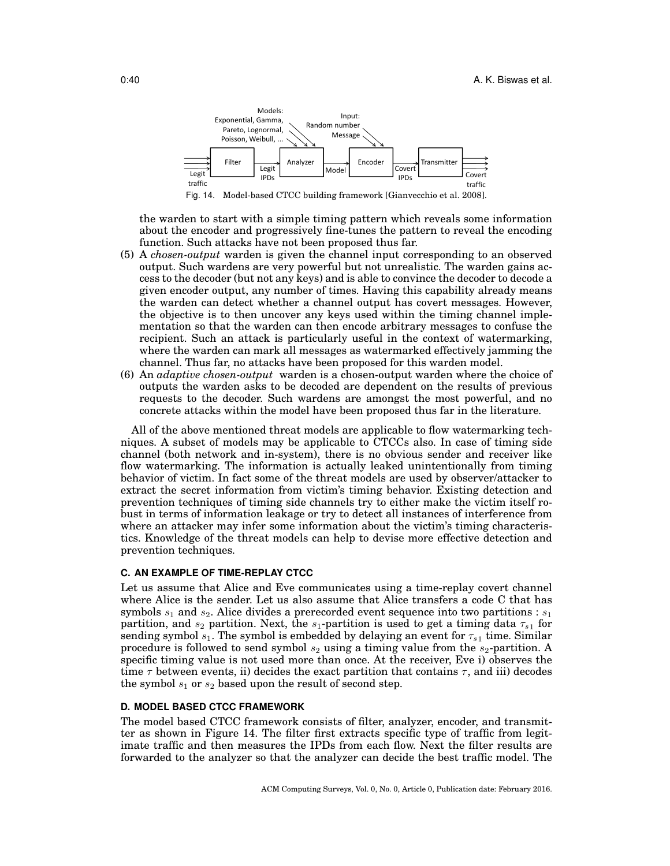

the warden to start with a simple timing pattern which reveals some information about the encoder and progressively fine-tunes the pattern to reveal the encoding function. Such attacks have not been proposed thus far.

- (5) A *chosen-output* warden is given the channel input corresponding to an observed output. Such wardens are very powerful but not unrealistic. The warden gains access to the decoder (but not any keys) and is able to convince the decoder to decode a given encoder output, any number of times. Having this capability already means the warden can detect whether a channel output has covert messages. However, the objective is to then uncover any keys used within the timing channel implementation so that the warden can then encode arbitrary messages to confuse the recipient. Such an attack is particularly useful in the context of watermarking, where the warden can mark all messages as watermarked effectively jamming the channel. Thus far, no attacks have been proposed for this warden model.
- (6) An *adaptive chosen-output* warden is a chosen-output warden where the choice of outputs the warden asks to be decoded are dependent on the results of previous requests to the decoder. Such wardens are amongst the most powerful, and no concrete attacks within the model have been proposed thus far in the literature.

All of the above mentioned threat models are applicable to flow watermarking techniques. A subset of models may be applicable to CTCCs also. In case of timing side channel (both network and in-system), there is no obvious sender and receiver like flow watermarking. The information is actually leaked unintentionally from timing behavior of victim. In fact some of the threat models are used by observer/attacker to extract the secret information from victim's timing behavior. Existing detection and prevention techniques of timing side channels try to either make the victim itself robust in terms of information leakage or try to detect all instances of interference from where an attacker may infer some information about the victim's timing characteristics. Knowledge of the threat models can help to devise more effective detection and prevention techniques.

## **C. AN EXAMPLE OF TIME-REPLAY CTCC**

Let us assume that Alice and Eve communicates using a time-replay covert channel where Alice is the sender. Let us also assume that Alice transfers a code C that has symbols *s*<sup>1</sup> and *s*2. Alice divides a prerecorded event sequence into two partitions : *s*<sup>1</sup> partition, and  $s_2$  partition. Next, the  $s_1$ -partition is used to get a timing data  $\tau_{s_1}$  for sending symbol  $s_1$ . The symbol is embedded by delaying an event for  $\tau_{s1}$  time. Similar procedure is followed to send symbol *s*<sup>2</sup> using a timing value from the *s*2-partition. A specific timing value is not used more than once. At the receiver, Eve i) observes the time *τ* between events, ii) decides the exact partition that contains *τ* , and iii) decodes the symbol  $s_1$  or  $s_2$  based upon the result of second step.

## **D. MODEL BASED CTCC FRAMEWORK**

The model based CTCC framework consists of filter, analyzer, encoder, and transmitter as shown in Figure 14. The filter first extracts specific type of traffic from legitimate traffic and then measures the IPDs from each flow. Next the filter results are forwarded to the analyzer so that the analyzer can decide the best traffic model. The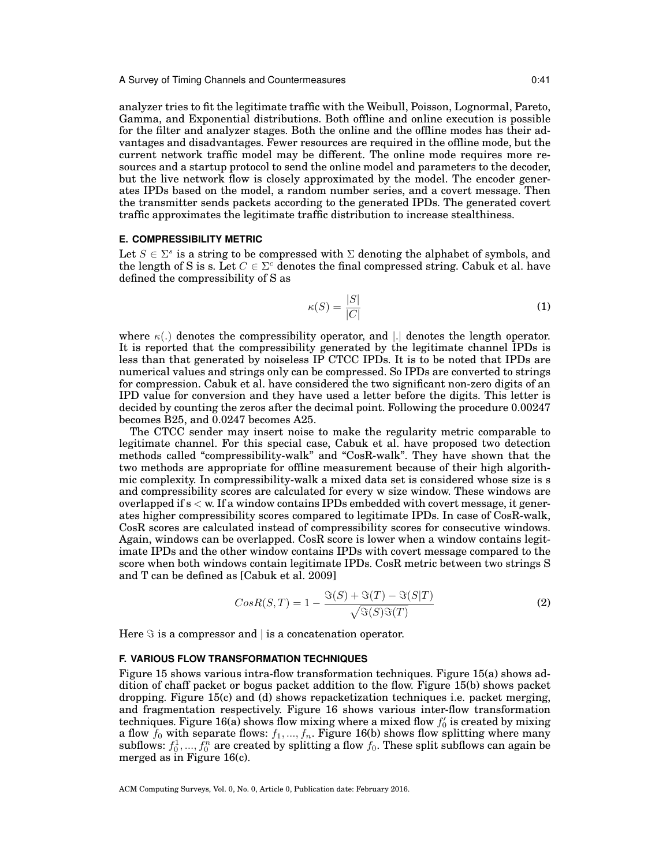analyzer tries to fit the legitimate traffic with the Weibull, Poisson, Lognormal, Pareto, Gamma, and Exponential distributions. Both offline and online execution is possible for the filter and analyzer stages. Both the online and the offline modes has their advantages and disadvantages. Fewer resources are required in the offline mode, but the current network traffic model may be different. The online mode requires more resources and a startup protocol to send the online model and parameters to the decoder, but the live network flow is closely approximated by the model. The encoder generates IPDs based on the model, a random number series, and a covert message. Then the transmitter sends packets according to the generated IPDs. The generated covert traffic approximates the legitimate traffic distribution to increase stealthiness.

## **E. COMPRESSIBILITY METRIC**

Let  $S \in \Sigma^s$  is a string to be compressed with  $\Sigma$  denoting the alphabet of symbols, and the length of S is s. Let  $C \in \Sigma^c$  denotes the final compressed string. Cabuk et al. have defined the compressibility of S as

$$
\kappa(S) = \frac{|S|}{|C|} \tag{1}
$$

where *κ*(*.*) denotes the compressibility operator, and *|.|* denotes the length operator. It is reported that the compressibility generated by the legitimate channel IPDs is less than that generated by noiseless IP CTCC IPDs. It is to be noted that IPDs are numerical values and strings only can be compressed. So IPDs are converted to strings for compression. Cabuk et al. have considered the two significant non-zero digits of an IPD value for conversion and they have used a letter before the digits. This letter is decided by counting the zeros after the decimal point. Following the procedure 0.00247 becomes B25, and 0.0247 becomes A25.

The CTCC sender may insert noise to make the regularity metric comparable to legitimate channel. For this special case, Cabuk et al. have proposed two detection methods called "compressibility-walk" and "CosR-walk". They have shown that the two methods are appropriate for offline measurement because of their high algorithmic complexity. In compressibility-walk a mixed data set is considered whose size is s and compressibility scores are calculated for every w size window. These windows are overlapped if s *<* w. If a window contains IPDs embedded with covert message, it generates higher compressibility scores compared to legitimate IPDs. In case of CosR-walk, CosR scores are calculated instead of compressibility scores for consecutive windows. Again, windows can be overlapped. CosR score is lower when a window contains legitimate IPDs and the other window contains IPDs with covert message compared to the score when both windows contain legitimate IPDs. CosR metric between two strings S and T can be defined as [Cabuk et al. 2009]

$$
CosR(S,T) = 1 - \frac{\Im(S) + \Im(T) - \Im(S|T)}{\sqrt{\Im(S)\Im(T)}}
$$
(2)

Here *ℑ* is a compressor and *|* is a concatenation operator.

### **F. VARIOUS FLOW TRANSFORMATION TECHNIQUES**

Figure 15 shows various intra-flow transformation techniques. Figure 15(a) shows addition of chaff packet or bogus packet addition to the flow. Figure 15(b) shows packet dropping. Figure 15(c) and (d) shows repacketization techniques i.e. packet merging, and fragmentation respectively. Figure 16 shows various inter-flow transformation techniques. Figure 16(a) shows flow mixing where a mixed flow *f ′* 0 is created by mixing a flow  $f_0$  with separate flows:  $f_1, ..., f_n$ . Figure 16(b) shows flow splitting where many  $\text{subflows: } f_0^1,...,f_0^n$  are created by splitting a flow  $f_0.$  These split subflows can again be merged as in Figure 16(c).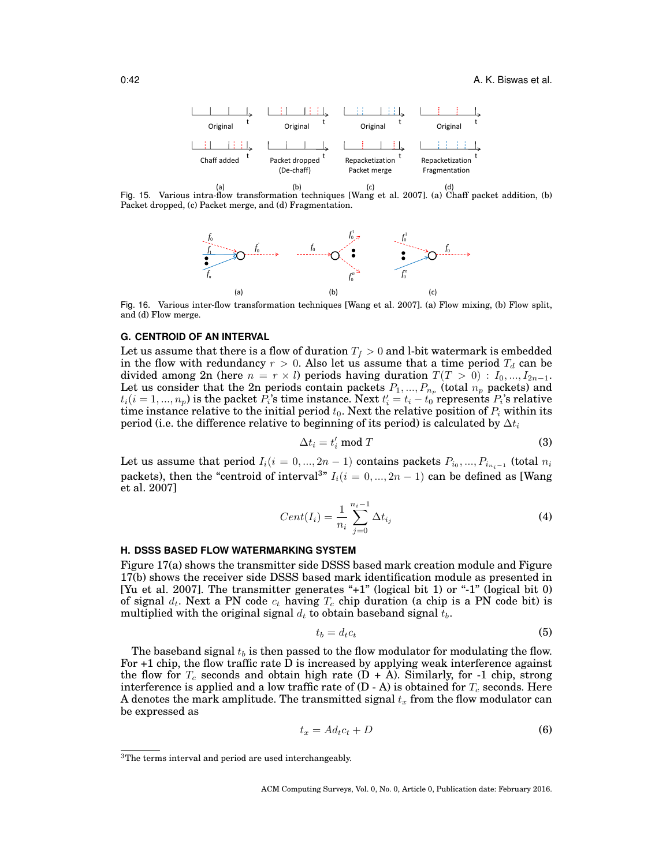

 Fig. 15. Various intra-flow transformation techniques [Wang et al. 2007]. (a) Chaff packet addition, (b) Packet dropped, (c) Packet merge, and (d) Fragmentation.



Fig. 16. Various inter-flow transformation techniques [Wang et al. 2007]. (a) Flow mixing, (b) Flow split, and (d) Flow merge.

## **G. CENTROID OF AN INTERVAL**

Let us assume that there is a flow of duration  $T_f > 0$  and l-bit watermark is embedded in the flow with redundancy  $r > 0$ . Also let us assume that a time period  $T_d$  can be divided among 2n (here  $n = r \times l$ ) periods having duration  $T(T > 0)$  :  $I_0, ..., I_{2n-1}$ . Let us consider that the 2n periods contain packets  $P_1, ..., P_{n_p}$  (total  $n_p$  packets) and  $t_i$  ( $i = 1, ..., n_p$ ) is the packet *P*<sub>*i*</sub>'s time instance. Next  $t'_i = t_i - t_0$  represents *P*<sub>*i*</sub>'s relative time instance relative to the initial period  $t_0$ . Next the relative position of  $P_i$  within its period (i.e. the difference relative to beginning of its period) is calculated by  $\Delta t_i$ 

$$
\Delta t_i = t'_i \bmod T \tag{3}
$$

Let us assume that period  $I_i(i = 0, ..., 2n - 1)$  contains packets  $P_{i_0}, ..., P_{i_{n_i-1}}$  (total  $n_i$ packets), then the "centroid of interval<sup>3</sup>"  $I_i(i = 0, ..., 2n - 1)$  can be defined as [Wang et al. 2007]

$$
Cent(I_i) = \frac{1}{n_i} \sum_{j=0}^{n_i - 1} \Delta t_{i_j}
$$
 (4)

### **H. DSSS BASED FLOW WATERMARKING SYSTEM**

Figure 17(a) shows the transmitter side DSSS based mark creation module and Figure 17(b) shows the receiver side DSSS based mark identification module as presented in [Yu et al. 2007]. The transmitter generates "+1" (logical bit 1) or "-1" (logical bit 0) of signal  $d_t$ . Next a PN code  $c_t$  having  $T_c$  chip duration (a chip is a PN code bit) is multiplied with the original signal  $d_t$  to obtain baseband signal  $\bar{t}_b$ .

$$
t_b = d_t c_t \tag{5}
$$

The baseband signal  $t_b$  is then passed to the flow modulator for modulating the flow. For +1 chip, the flow traffic rate D is increased by applying weak interference against the flow for  $T_c$  seconds and obtain high rate  $(D + A)$ . Similarly, for -1 chip, strong interference is applied and a low traffic rate of  $(D - A)$  is obtained for  $T_c$  seconds. Here A denotes the mark amplitude. The transmitted signal  $t_x$  from the flow modulator can be expressed as

$$
t_x = Ad_t c_t + D \tag{6}
$$

<sup>3</sup>The terms interval and period are used interchangeably.